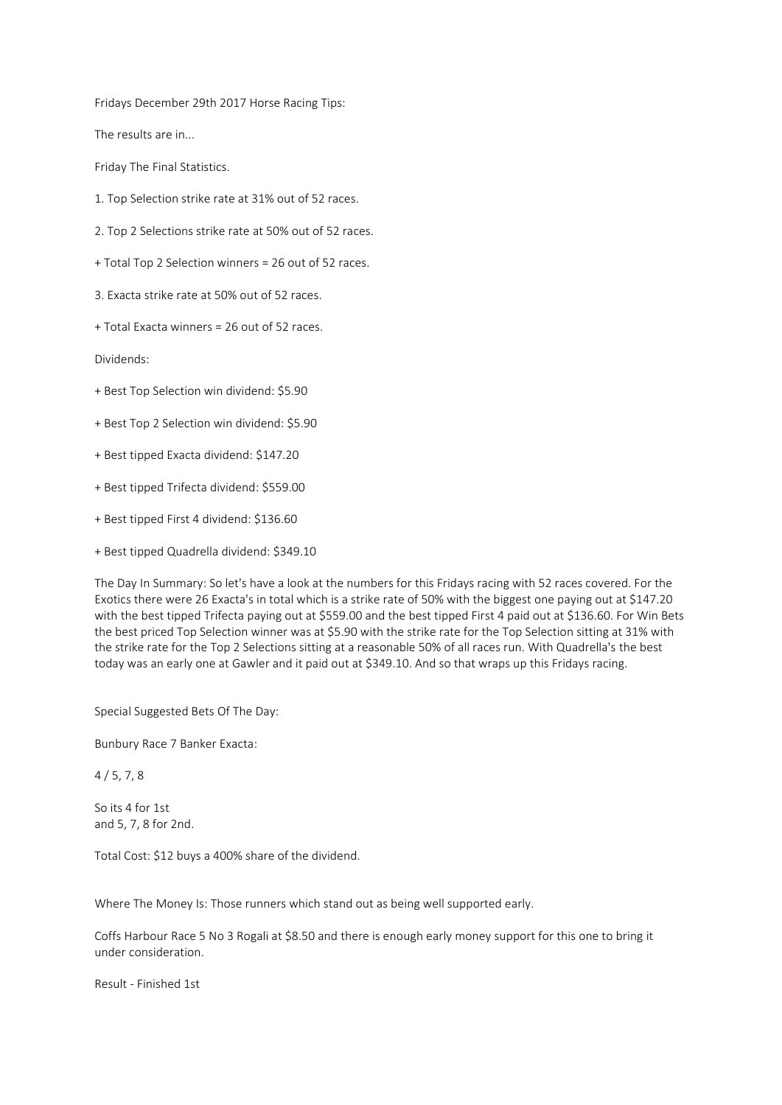Fridays December 29th 2017 Horse Racing Tips:

The results are in...

Friday The Final Statistics.

- 1. Top Selection strike rate at 31% out of 52 races.
- 2. Top 2 Selections strike rate at 50% out of 52 races.
- + Total Top 2 Selection winners = 26 out of 52 races.
- 3. Exacta strike rate at 50% out of 52 races.
- + Total Exacta winners = 26 out of 52 races.

Dividends:

- + Best Top Selection win dividend: \$5.90
- + Best Top 2 Selection win dividend: \$5.90
- + Best tipped Exacta dividend: \$147.20
- + Best tipped Trifecta dividend: \$559.00
- + Best tipped First 4 dividend: \$136.60
- + Best tipped Quadrella dividend: \$349.10

The Day In Summary: So let's have a look at the numbers for this Fridays racing with 52 races covered. For the Exotics there were 26 Exacta's in total which is a strike rate of 50% with the biggest one paying out at \$147.20 with the best tipped Trifecta paying out at \$559.00 and the best tipped First 4 paid out at \$136.60. For Win Bets the best priced Top Selection winner was at \$5.90 with the strike rate for the Top Selection sitting at 31% with the strike rate for the Top 2 Selections sitting at a reasonable 50% of all races run. With Quadrella's the best today was an early one at Gawler and it paid out at \$349.10. And so that wraps up this Fridays racing.

Special Suggested Bets Of The Day:

Bunbury Race 7 Banker Exacta:

 $4/5, 7, 8$ 

So its 4 for 1st and 5, 7, 8 for 2nd.

Total Cost: \$12 buys a 400% share of the dividend.

Where The Money Is: Those runners which stand out as being well supported early.

Coffs Harbour Race 5 No 3 Rogali at \$8.50 and there is enough early money support for this one to bring it under consideration.

Result - Finished 1st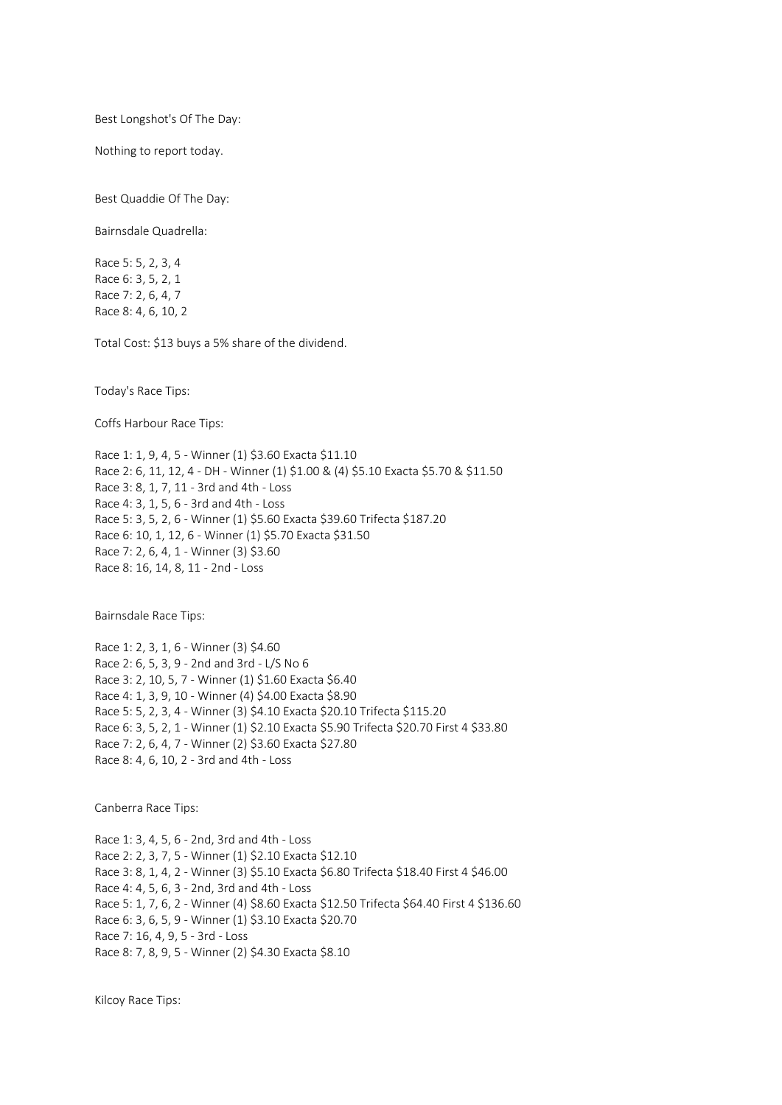Best Longshot's Of The Day:

Nothing to report today.

Best Quaddie Of The Day:

Bairnsdale Quadrella:

Race 5: 5, 2, 3, 4 Race 6: 3, 5, 2, 1 Race 7: 2, 6, 4, 7 Race 8: 4, 6, 10, 2

Total Cost: \$13 buys a 5% share of the dividend.

Today's Race Tips:

Coffs Harbour Race Tips:

Race 1: 1, 9, 4, 5 - Winner (1) \$3.60 Exacta \$11.10 Race 2: 6, 11, 12, 4 - DH - Winner (1) \$1.00 & (4) \$5.10 Exacta \$5.70 & \$11.50 Race 3: 8, 1, 7, 11 - 3rd and 4th - Loss Race 4: 3, 1, 5, 6 - 3rd and 4th - Loss Race 5: 3, 5, 2, 6 - Winner (1) \$5.60 Exacta \$39.60 Trifecta \$187.20 Race 6: 10, 1, 12, 6 - Winner (1) \$5.70 Exacta \$31.50 Race 7: 2, 6, 4, 1 - Winner (3) \$3.60 Race 8: 16, 14, 8, 11 - 2nd - Loss

Bairnsdale Race Tips:

Race 1: 2, 3, 1, 6 - Winner (3) \$4.60 Race 2: 6, 5, 3, 9 - 2nd and 3rd - L/S No 6 Race 3: 2, 10, 5, 7 - Winner (1) \$1.60 Exacta \$6.40 Race 4: 1, 3, 9, 10 - Winner (4) \$4.00 Exacta \$8.90 Race 5: 5, 2, 3, 4 - Winner (3) \$4.10 Exacta \$20.10 Trifecta \$115.20 Race 6: 3, 5, 2, 1 - Winner (1) \$2.10 Exacta \$5.90 Trifecta \$20.70 First 4 \$33.80 Race 7: 2, 6, 4, 7 - Winner (2) \$3.60 Exacta \$27.80 Race 8: 4, 6, 10, 2 - 3rd and 4th - Loss

Canberra Race Tips:

Race 1: 3, 4, 5, 6 - 2nd, 3rd and 4th - Loss Race 2: 2, 3, 7, 5 - Winner (1) \$2.10 Exacta \$12.10 Race 3: 8, 1, 4, 2 - Winner (3) \$5.10 Exacta \$6.80 Trifecta \$18.40 First 4 \$46.00 Race 4: 4, 5, 6, 3 - 2nd, 3rd and 4th - Loss Race 5: 1, 7, 6, 2 - Winner (4) \$8.60 Exacta \$12.50 Trifecta \$64.40 First 4 \$136.60 Race 6: 3, 6, 5, 9 - Winner (1) \$3.10 Exacta \$20.70 Race 7: 16, 4, 9, 5 - 3rd - Loss Race 8: 7, 8, 9, 5 - Winner (2) \$4.30 Exacta \$8.10

Kilcoy Race Tips: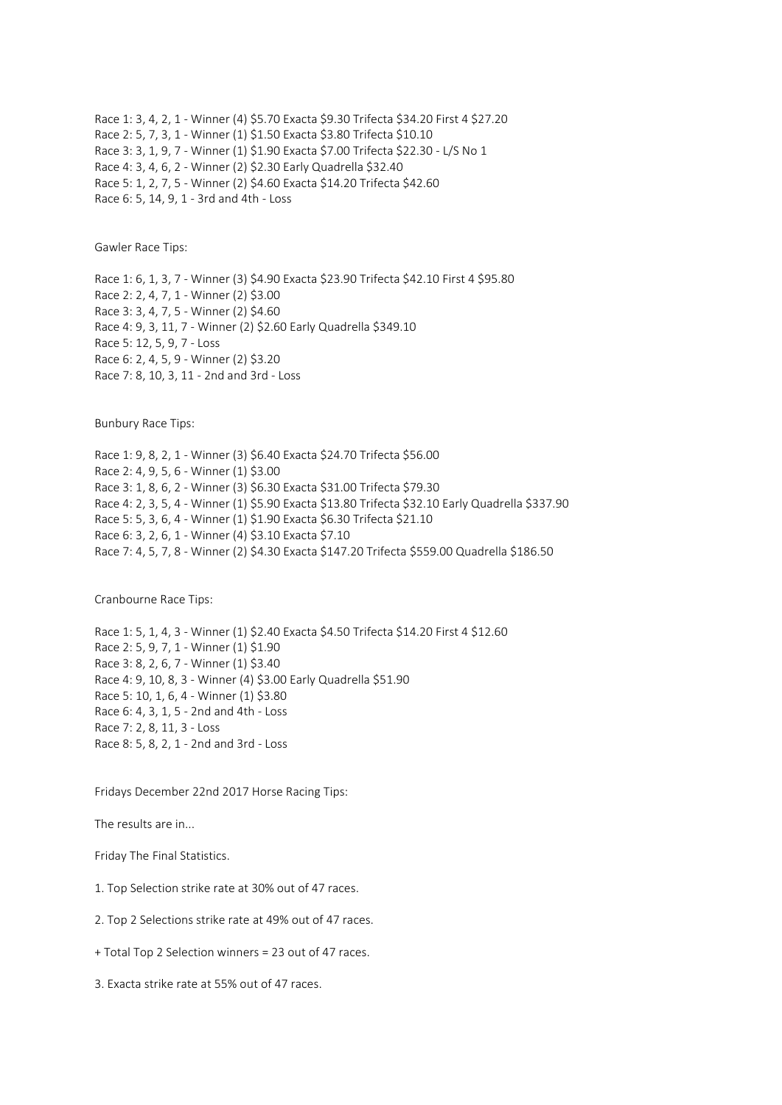Race 1: 3, 4, 2, 1 - Winner (4) \$5.70 Exacta \$9.30 Trifecta \$34.20 First 4 \$27.20 Race 2: 5, 7, 3, 1 - Winner (1) \$1.50 Exacta \$3.80 Trifecta \$10.10 Race 3: 3, 1, 9, 7 - Winner (1) \$1.90 Exacta \$7.00 Trifecta \$22.30 - L/S No 1 Race 4: 3, 4, 6, 2 - Winner (2) \$2.30 Early Quadrella \$32.40 Race 5: 1, 2, 7, 5 - Winner (2) \$4.60 Exacta \$14.20 Trifecta \$42.60 Race 6: 5, 14, 9, 1 - 3rd and 4th - Loss

Gawler Race Tips:

Race 1: 6, 1, 3, 7 - Winner (3) \$4.90 Exacta \$23.90 Trifecta \$42.10 First 4 \$95.80 Race 2: 2, 4, 7, 1 - Winner (2) \$3.00 Race 3: 3, 4, 7, 5 - Winner (2) \$4.60 Race 4: 9, 3, 11, 7 - Winner (2) \$2.60 Early Quadrella \$349.10 Race 5: 12, 5, 9, 7 - Loss Race 6: 2, 4, 5, 9 - Winner (2) \$3.20 Race 7: 8, 10, 3, 11 - 2nd and 3rd - Loss

Bunbury Race Tips:

Race 1: 9, 8, 2, 1 - Winner (3) \$6.40 Exacta \$24.70 Trifecta \$56.00 Race 2: 4, 9, 5, 6 - Winner (1) \$3.00 Race 3: 1, 8, 6, 2 - Winner (3) \$6.30 Exacta \$31.00 Trifecta \$79.30 Race 4: 2, 3, 5, 4 - Winner (1) \$5.90 Exacta \$13.80 Trifecta \$32.10 Early Quadrella \$337.90 Race 5: 5, 3, 6, 4 - Winner (1) \$1.90 Exacta \$6.30 Trifecta \$21.10 Race 6: 3, 2, 6, 1 - Winner (4) \$3.10 Exacta \$7.10 Race 7: 4, 5, 7, 8 - Winner (2) \$4.30 Exacta \$147.20 Trifecta \$559.00 Quadrella \$186.50

Cranbourne Race Tips:

Race 1: 5, 1, 4, 3 - Winner (1) \$2.40 Exacta \$4.50 Trifecta \$14.20 First 4 \$12.60 Race 2: 5, 9, 7, 1 - Winner (1) \$1.90 Race 3: 8, 2, 6, 7 - Winner (1) \$3.40 Race 4: 9, 10, 8, 3 - Winner (4) \$3.00 Early Quadrella \$51.90 Race 5: 10, 1, 6, 4 - Winner (1) \$3.80 Race 6: 4, 3, 1, 5 - 2nd and 4th - Loss Race 7: 2, 8, 11, 3 - Loss Race 8: 5, 8, 2, 1 - 2nd and 3rd - Loss

Fridays December 22nd 2017 Horse Racing Tips:

The results are in...

Friday The Final Statistics.

1. Top Selection strike rate at 30% out of 47 races.

2. Top 2 Selections strike rate at 49% out of 47 races.

+ Total Top 2 Selection winners = 23 out of 47 races.

3. Exacta strike rate at 55% out of 47 races.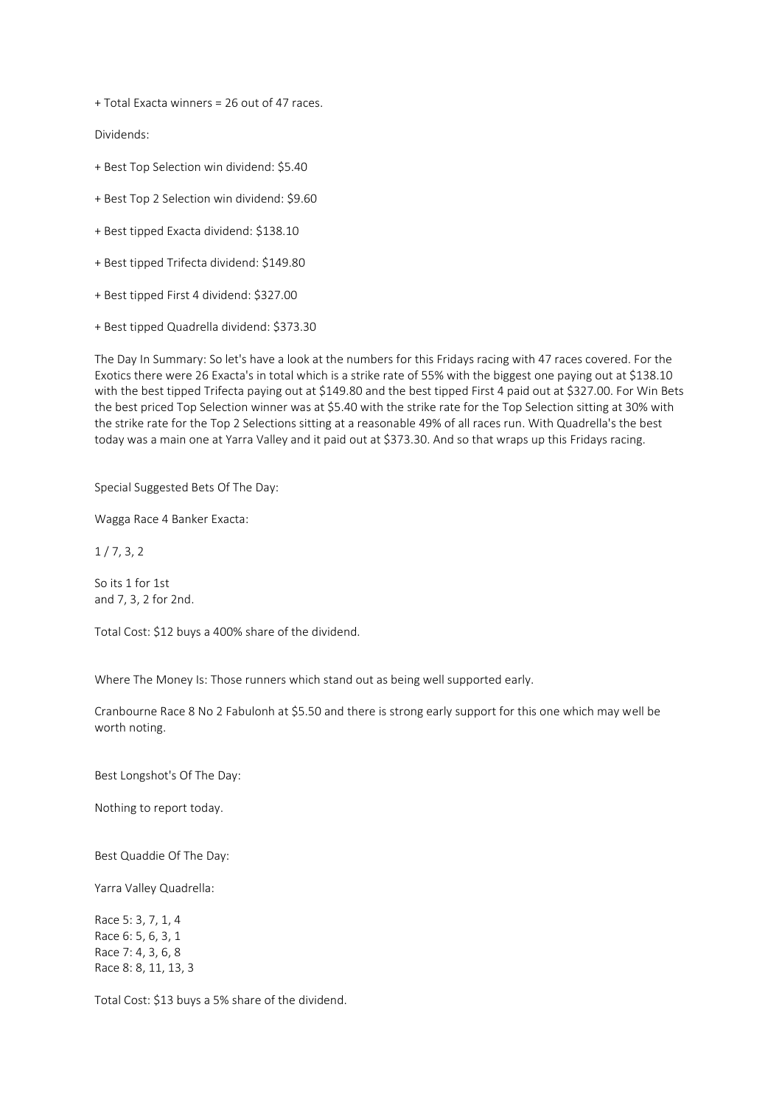+ Total Exacta winners = 26 out of 47 races.

Dividends:

- + Best Top Selection win dividend: \$5.40
- + Best Top 2 Selection win dividend: \$9.60
- + Best tipped Exacta dividend: \$138.10
- + Best tipped Trifecta dividend: \$149.80
- + Best tipped First 4 dividend: \$327.00
- + Best tipped Quadrella dividend: \$373.30

The Day In Summary: So let's have a look at the numbers for this Fridays racing with 47 races covered. For the Exotics there were 26 Exacta's in total which is a strike rate of 55% with the biggest one paying out at \$138.10 with the best tipped Trifecta paying out at \$149.80 and the best tipped First 4 paid out at \$327.00. For Win Bets the best priced Top Selection winner was at \$5.40 with the strike rate for the Top Selection sitting at 30% with the strike rate for the Top 2 Selections sitting at a reasonable 49% of all races run. With Quadrella's the best today was a main one at Yarra Valley and it paid out at \$373.30. And so that wraps up this Fridays racing.

Special Suggested Bets Of The Day:

Wagga Race 4 Banker Exacta:

 $1/7, 3, 2$ 

So its 1 for 1st and 7, 3, 2 for 2nd.

Total Cost: \$12 buys a 400% share of the dividend.

Where The Money Is: Those runners which stand out as being well supported early.

Cranbourne Race 8 No 2 Fabulonh at \$5.50 and there is strong early support for this one which may well be worth noting.

Best Longshot's Of The Day:

Nothing to report today.

Best Quaddie Of The Day:

Yarra Valley Quadrella:

Race 5: 3, 7, 1, 4 Race 6: 5, 6, 3, 1 Race 7: 4, 3, 6, 8 Race 8: 8, 11, 13, 3

Total Cost: \$13 buys a 5% share of the dividend.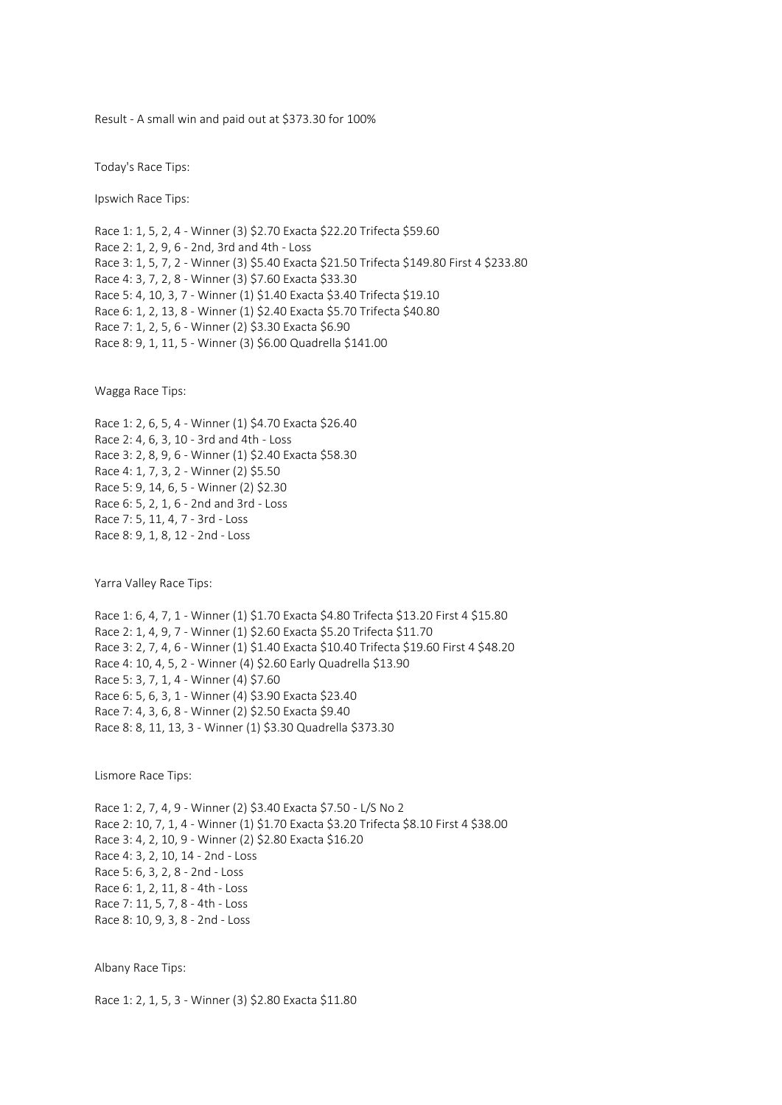Result - A small win and paid out at \$373.30 for 100%

Today's Race Tips:

Ipswich Race Tips:

Race 1: 1, 5, 2, 4 - Winner (3) \$2.70 Exacta \$22.20 Trifecta \$59.60 Race 2: 1, 2, 9, 6 - 2nd, 3rd and 4th - Loss Race 3: 1, 5, 7, 2 - Winner (3) \$5.40 Exacta \$21.50 Trifecta \$149.80 First 4 \$233.80 Race 4: 3, 7, 2, 8 - Winner (3) \$7.60 Exacta \$33.30 Race 5: 4, 10, 3, 7 - Winner (1) \$1.40 Exacta \$3.40 Trifecta \$19.10 Race 6: 1, 2, 13, 8 - Winner (1) \$2.40 Exacta \$5.70 Trifecta \$40.80 Race 7: 1, 2, 5, 6 - Winner (2) \$3.30 Exacta \$6.90 Race 8: 9, 1, 11, 5 - Winner (3) \$6.00 Quadrella \$141.00

Wagga Race Tips:

Race 1: 2, 6, 5, 4 - Winner (1) \$4.70 Exacta \$26.40 Race 2: 4, 6, 3, 10 - 3rd and 4th - Loss Race 3: 2, 8, 9, 6 - Winner (1) \$2.40 Exacta \$58.30 Race 4: 1, 7, 3, 2 - Winner (2) \$5.50 Race 5: 9, 14, 6, 5 - Winner (2) \$2.30 Race 6: 5, 2, 1, 6 - 2nd and 3rd - Loss Race 7: 5, 11, 4, 7 - 3rd - Loss Race 8: 9, 1, 8, 12 - 2nd - Loss

Yarra Valley Race Tips:

Race 1: 6, 4, 7, 1 - Winner (1) \$1.70 Exacta \$4.80 Trifecta \$13.20 First 4 \$15.80 Race 2: 1, 4, 9, 7 - Winner (1) \$2.60 Exacta \$5.20 Trifecta \$11.70 Race 3: 2, 7, 4, 6 - Winner (1) \$1.40 Exacta \$10.40 Trifecta \$19.60 First 4 \$48.20 Race 4: 10, 4, 5, 2 - Winner (4) \$2.60 Early Quadrella \$13.90 Race 5: 3, 7, 1, 4 - Winner (4) \$7.60 Race 6: 5, 6, 3, 1 - Winner (4) \$3.90 Exacta \$23.40 Race 7: 4, 3, 6, 8 - Winner (2) \$2.50 Exacta \$9.40 Race 8: 8, 11, 13, 3 - Winner (1) \$3.30 Quadrella \$373.30

Lismore Race Tips:

Race 1: 2, 7, 4, 9 - Winner (2) \$3.40 Exacta \$7.50 - L/S No 2 Race 2: 10, 7, 1, 4 - Winner (1) \$1.70 Exacta \$3.20 Trifecta \$8.10 First 4 \$38.00 Race 3: 4, 2, 10, 9 - Winner (2) \$2.80 Exacta \$16.20 Race 4: 3, 2, 10, 14 - 2nd - Loss Race 5: 6, 3, 2, 8 - 2nd - Loss Race 6: 1, 2, 11, 8 - 4th - Loss Race 7: 11, 5, 7, 8 - 4th - Loss Race 8: 10, 9, 3, 8 - 2nd - Loss

Albany Race Tips:

Race 1: 2, 1, 5, 3 - Winner (3) \$2.80 Exacta \$11.80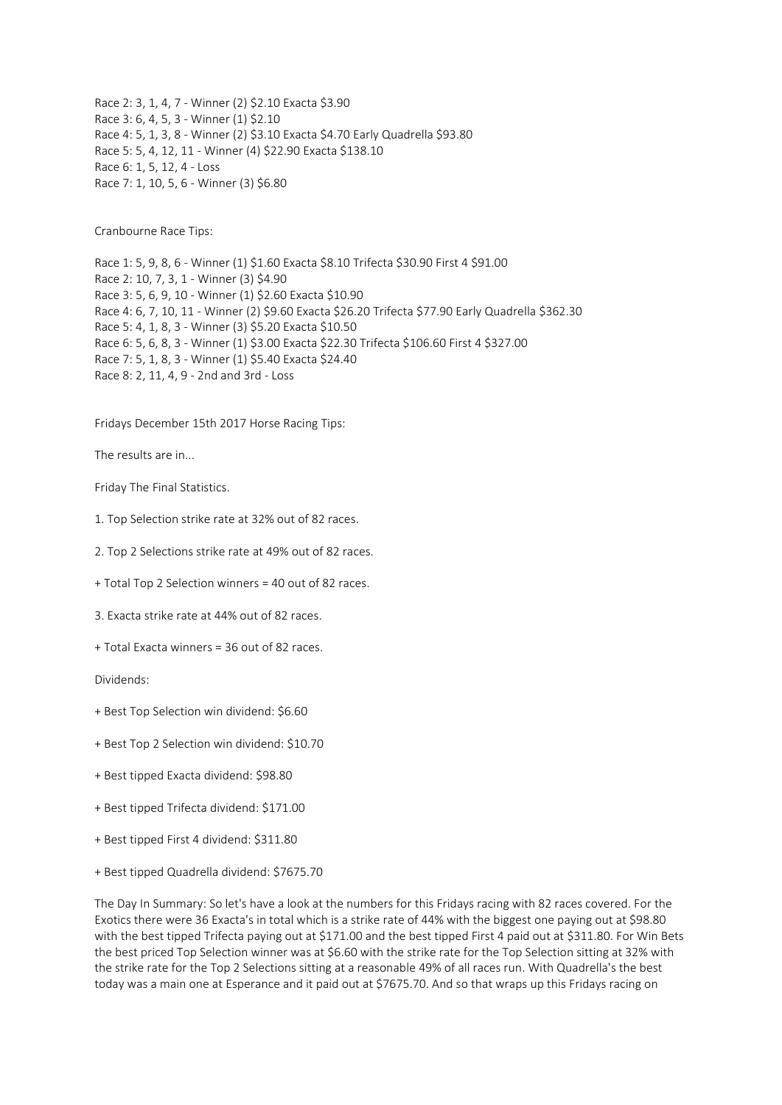Race 2: 3, 1, 4, 7 - Winner (2) \$2.10 Exacta \$3.90 Race 3: 6, 4, 5, 3 - Winner (1) \$2.10 Race 4: 5, 1, 3, 8 - Winner (2) \$3.10 Exacta \$4.70 Early Quadrella \$93.80 Race 5: 5, 4, 12, 11 - Winner (4) \$22.90 Exacta \$138.10 Race 6: 1, 5, 12, 4 - Loss Race 7: 1, 10, 5, 6 - Winner (3) \$6.80

Cranbourne Race Tips:

Race 1: 5, 9, 8, 6 - Winner (1) \$1.60 Exacta \$8.10 Trifecta \$30.90 First 4 \$91.00 Race 2: 10, 7, 3, 1 - Winner (3) \$4.90 Race 3: 5, 6, 9, 10 - Winner (1) \$2.60 Exacta \$10.90 Race 4: 6, 7, 10, 11 - Winner (2) \$9.60 Exacta \$26.20 Trifecta \$77.90 Early Quadrella \$362.30 Race 5: 4, 1, 8, 3 - Winner (3) \$5.20 Exacta \$10.50 Race 6: 5, 6, 8, 3 - Winner (1) \$3.00 Exacta \$22.30 Trifecta \$106.60 First 4 \$327.00 Race 7: 5, 1, 8, 3 - Winner (1) \$5.40 Exacta \$24.40 Race 8: 2, 11, 4, 9 - 2nd and 3rd - Loss

Fridays December 15th 2017 Horse Racing Tips:

The results are in...

Friday The Final Statistics.

1. Top Selection strike rate at 32% out of 82 races.

2. Top 2 Selections strike rate at 49% out of 82 races.

+ Total Top 2 Selection winners = 40 out of 82 races.

3. Exacta strike rate at 44% out of 82 races.

+ Total Exacta winners = 36 out of 82 races.

Dividends:

- + Best Top Selection win dividend: \$6.60
- + Best Top 2 Selection win dividend: \$10.70
- + Best tipped Exacta dividend: \$98.80
- + Best tipped Trifecta dividend: \$171.00
- + Best tipped First 4 dividend: \$311.80
- + Best tipped Quadrella dividend: \$7675.70

The Day In Summary: So let's have a look at the numbers for this Fridays racing with 82 races covered. For the Exotics there were 36 Exacta's in total which is a strike rate of 44% with the biggest one paying out at \$98.80 with the best tipped Trifecta paying out at \$171.00 and the best tipped First 4 paid out at \$311.80. For Win Bets the best priced Top Selection winner was at \$6.60 with the strike rate for the Top Selection sitting at 32% with the strike rate for the Top 2 Selections sitting at a reasonable 49% of all races run. With Quadrella's the best today was a main one at Esperance and it paid out at \$7675.70. And so that wraps up this Fridays racing on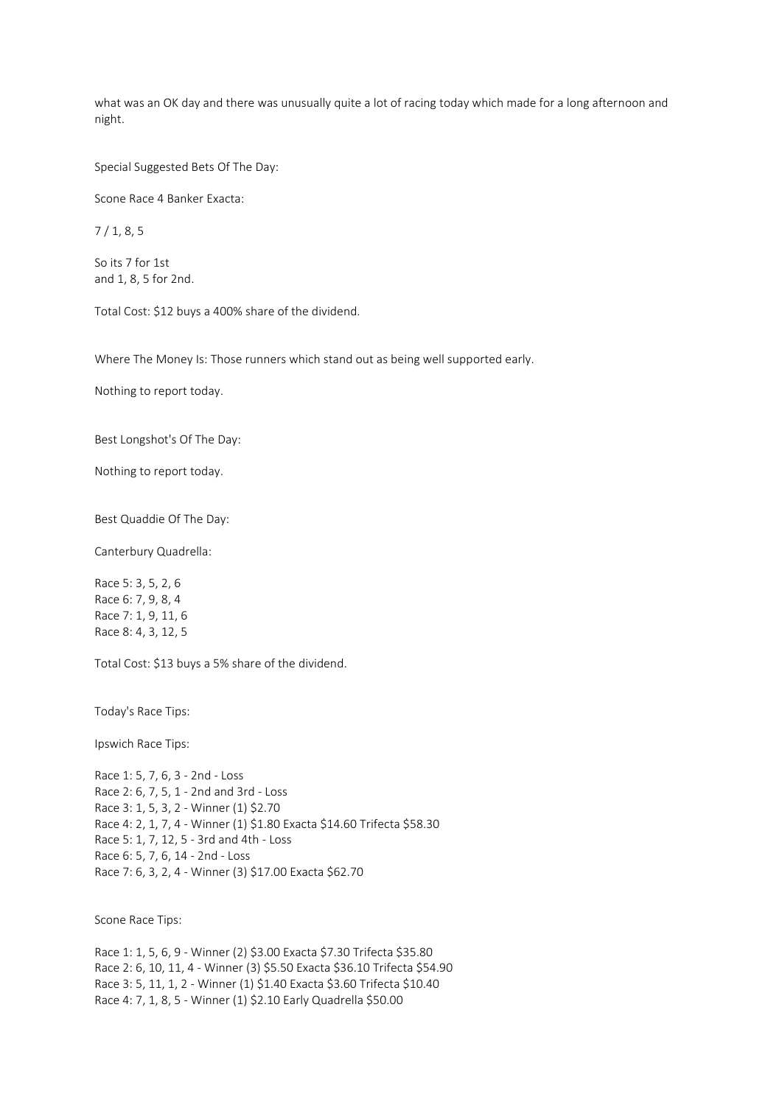what was an OK day and there was unusually quite a lot of racing today which made for a long afternoon and night.

Special Suggested Bets Of The Day:

Scone Race 4 Banker Exacta:

7 / 1, 8, 5

So its 7 for 1st and 1, 8, 5 for 2nd.

Total Cost: \$12 buys a 400% share of the dividend.

Where The Money Is: Those runners which stand out as being well supported early.

Nothing to report today.

Best Longshot's Of The Day:

Nothing to report today.

Best Quaddie Of The Day:

Canterbury Quadrella:

Race 5: 3, 5, 2, 6 Race 6: 7, 9, 8, 4 Race 7: 1, 9, 11, 6 Race 8: 4, 3, 12, 5

Total Cost: \$13 buys a 5% share of the dividend.

Today's Race Tips:

Ipswich Race Tips:

Race 1: 5, 7, 6, 3 - 2nd - Loss Race 2: 6, 7, 5, 1 - 2nd and 3rd - Loss Race 3: 1, 5, 3, 2 - Winner (1) \$2.70 Race 4: 2, 1, 7, 4 - Winner (1) \$1.80 Exacta \$14.60 Trifecta \$58.30 Race 5: 1, 7, 12, 5 - 3rd and 4th - Loss Race 6: 5, 7, 6, 14 - 2nd - Loss Race 7: 6, 3, 2, 4 - Winner (3) \$17.00 Exacta \$62.70

Scone Race Tips:

Race 1: 1, 5, 6, 9 - Winner (2) \$3.00 Exacta \$7.30 Trifecta \$35.80 Race 2: 6, 10, 11, 4 - Winner (3) \$5.50 Exacta \$36.10 Trifecta \$54.90 Race 3: 5, 11, 1, 2 - Winner (1) \$1.40 Exacta \$3.60 Trifecta \$10.40 Race 4: 7, 1, 8, 5 - Winner (1) \$2.10 Early Quadrella \$50.00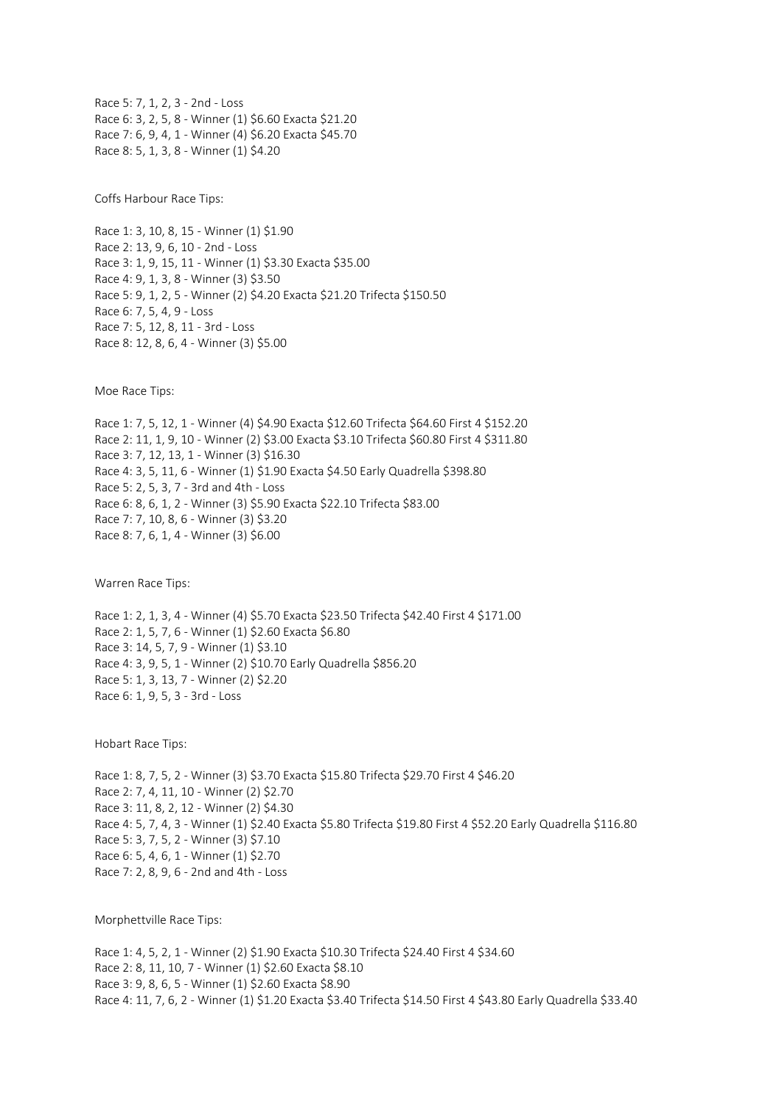Race 5: 7, 1, 2, 3 - 2nd - Loss Race 6: 3, 2, 5, 8 - Winner (1) \$6.60 Exacta \$21.20 Race 7: 6, 9, 4, 1 - Winner (4) \$6.20 Exacta \$45.70 Race 8: 5, 1, 3, 8 - Winner (1) \$4.20

Coffs Harbour Race Tips:

Race 1: 3, 10, 8, 15 - Winner (1) \$1.90 Race 2: 13, 9, 6, 10 - 2nd - Loss Race 3: 1, 9, 15, 11 - Winner (1) \$3.30 Exacta \$35.00 Race 4: 9, 1, 3, 8 - Winner (3) \$3.50 Race 5: 9, 1, 2, 5 - Winner (2) \$4.20 Exacta \$21.20 Trifecta \$150.50 Race 6: 7, 5, 4, 9 - Loss Race 7: 5, 12, 8, 11 - 3rd - Loss Race 8: 12, 8, 6, 4 - Winner (3) \$5.00

Moe Race Tips:

Race 1: 7, 5, 12, 1 - Winner (4) \$4.90 Exacta \$12.60 Trifecta \$64.60 First 4 \$152.20 Race 2: 11, 1, 9, 10 - Winner (2) \$3.00 Exacta \$3.10 Trifecta \$60.80 First 4 \$311.80 Race 3: 7, 12, 13, 1 - Winner (3) \$16.30 Race 4: 3, 5, 11, 6 - Winner (1) \$1.90 Exacta \$4.50 Early Quadrella \$398.80 Race 5: 2, 5, 3, 7 - 3rd and 4th - Loss Race 6: 8, 6, 1, 2 - Winner (3) \$5.90 Exacta \$22.10 Trifecta \$83.00 Race 7: 7, 10, 8, 6 - Winner (3) \$3.20 Race 8: 7, 6, 1, 4 - Winner (3) \$6.00

Warren Race Tips:

Race 1: 2, 1, 3, 4 - Winner (4) \$5.70 Exacta \$23.50 Trifecta \$42.40 First 4 \$171.00 Race 2: 1, 5, 7, 6 - Winner (1) \$2.60 Exacta \$6.80 Race 3: 14, 5, 7, 9 - Winner (1) \$3.10 Race 4: 3, 9, 5, 1 - Winner (2) \$10.70 Early Quadrella \$856.20 Race 5: 1, 3, 13, 7 - Winner (2) \$2.20 Race 6: 1, 9, 5, 3 - 3rd - Loss

Hobart Race Tips:

Race 1: 8, 7, 5, 2 - Winner (3) \$3.70 Exacta \$15.80 Trifecta \$29.70 First 4 \$46.20 Race 2: 7, 4, 11, 10 - Winner (2) \$2.70 Race 3: 11, 8, 2, 12 - Winner (2) \$4.30 Race 4: 5, 7, 4, 3 - Winner (1) \$2.40 Exacta \$5.80 Trifecta \$19.80 First 4 \$52.20 Early Quadrella \$116.80 Race 5: 3, 7, 5, 2 - Winner (3) \$7.10 Race 6: 5, 4, 6, 1 - Winner (1) \$2.70 Race 7: 2, 8, 9, 6 - 2nd and 4th - Loss

Morphettville Race Tips:

Race 1: 4, 5, 2, 1 - Winner (2) \$1.90 Exacta \$10.30 Trifecta \$24.40 First 4 \$34.60 Race 2: 8, 11, 10, 7 - Winner (1) \$2.60 Exacta \$8.10 Race 3: 9, 8, 6, 5 - Winner (1) \$2.60 Exacta \$8.90 Race 4: 11, 7, 6, 2 - Winner (1) \$1.20 Exacta \$3.40 Trifecta \$14.50 First 4 \$43.80 Early Quadrella \$33.40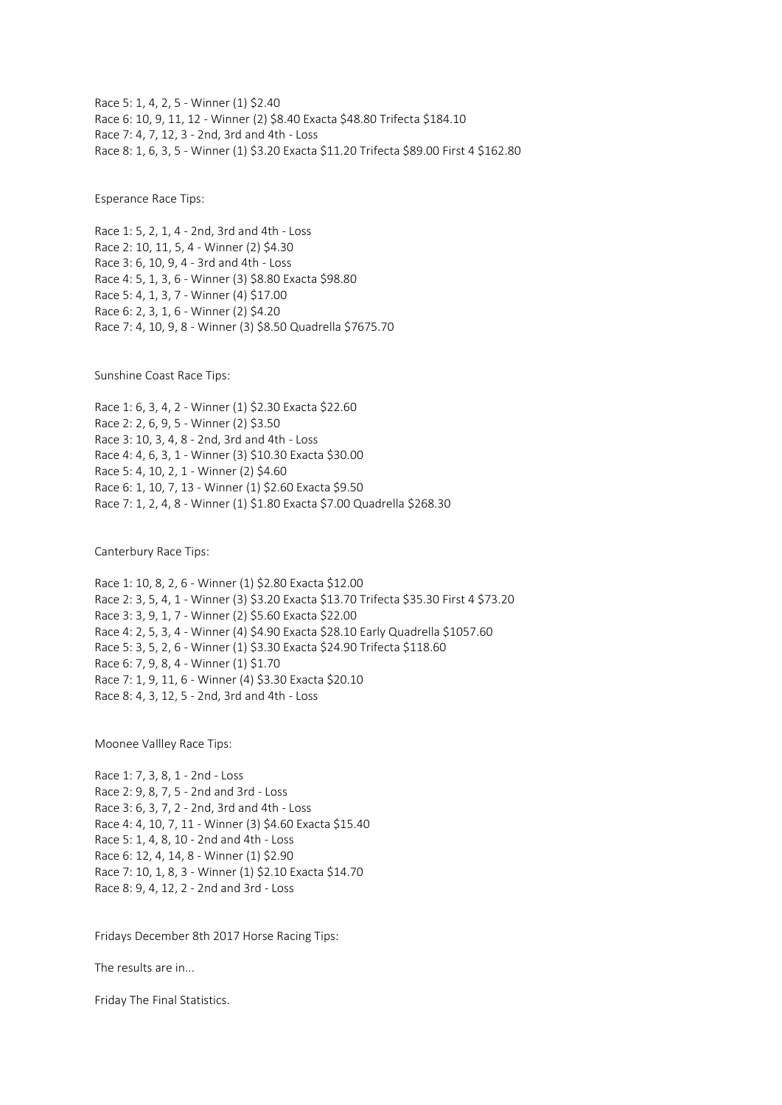Race 5: 1, 4, 2, 5 - Winner (1) \$2.40 Race 6: 10, 9, 11, 12 - Winner (2) \$8.40 Exacta \$48.80 Trifecta \$184.10 Race 7: 4, 7, 12, 3 - 2nd, 3rd and 4th - Loss Race 8: 1, 6, 3, 5 - Winner (1) \$3.20 Exacta \$11.20 Trifecta \$89.00 First 4 \$162.80

Esperance Race Tips:

Race 1: 5, 2, 1, 4 - 2nd, 3rd and 4th - Loss Race 2: 10, 11, 5, 4 - Winner (2) \$4.30 Race 3: 6, 10, 9, 4 - 3rd and 4th - Loss Race 4: 5, 1, 3, 6 - Winner (3) \$8.80 Exacta \$98.80 Race 5: 4, 1, 3, 7 - Winner (4) \$17.00 Race 6: 2, 3, 1, 6 - Winner (2) \$4.20 Race 7: 4, 10, 9, 8 - Winner (3) \$8.50 Quadrella \$7675.70

Sunshine Coast Race Tips:

Race 1: 6, 3, 4, 2 - Winner (1) \$2.30 Exacta \$22.60 Race 2: 2, 6, 9, 5 - Winner (2) \$3.50 Race 3: 10, 3, 4, 8 - 2nd, 3rd and 4th - Loss Race 4: 4, 6, 3, 1 - Winner (3) \$10.30 Exacta \$30.00 Race 5: 4, 10, 2, 1 - Winner (2) \$4.60 Race 6: 1, 10, 7, 13 - Winner (1) \$2.60 Exacta \$9.50 Race 7: 1, 2, 4, 8 - Winner (1) \$1.80 Exacta \$7.00 Quadrella \$268.30

Canterbury Race Tips:

Race 1: 10, 8, 2, 6 - Winner (1) \$2.80 Exacta \$12.00 Race 2: 3, 5, 4, 1 - Winner (3) \$3.20 Exacta \$13.70 Trifecta \$35.30 First 4 \$73.20 Race 3: 3, 9, 1, 7 - Winner (2) \$5.60 Exacta \$22.00 Race 4: 2, 5, 3, 4 - Winner (4) \$4.90 Exacta \$28.10 Early Quadrella \$1057.60 Race 5: 3, 5, 2, 6 - Winner (1) \$3.30 Exacta \$24.90 Trifecta \$118.60 Race 6: 7, 9, 8, 4 - Winner (1) \$1.70 Race 7: 1, 9, 11, 6 - Winner (4) \$3.30 Exacta \$20.10 Race 8: 4, 3, 12, 5 - 2nd, 3rd and 4th - Loss

Moonee Vallley Race Tips:

Race 1: 7, 3, 8, 1 - 2nd - Loss Race 2: 9, 8, 7, 5 - 2nd and 3rd - Loss Race 3: 6, 3, 7, 2 - 2nd, 3rd and 4th - Loss Race 4: 4, 10, 7, 11 - Winner (3) \$4.60 Exacta \$15.40 Race 5: 1, 4, 8, 10 - 2nd and 4th - Loss Race 6: 12, 4, 14, 8 - Winner (1) \$2.90 Race 7: 10, 1, 8, 3 - Winner (1) \$2.10 Exacta \$14.70 Race 8: 9, 4, 12, 2 - 2nd and 3rd - Loss

Fridays December 8th 2017 Horse Racing Tips:

The results are in...

Friday The Final Statistics.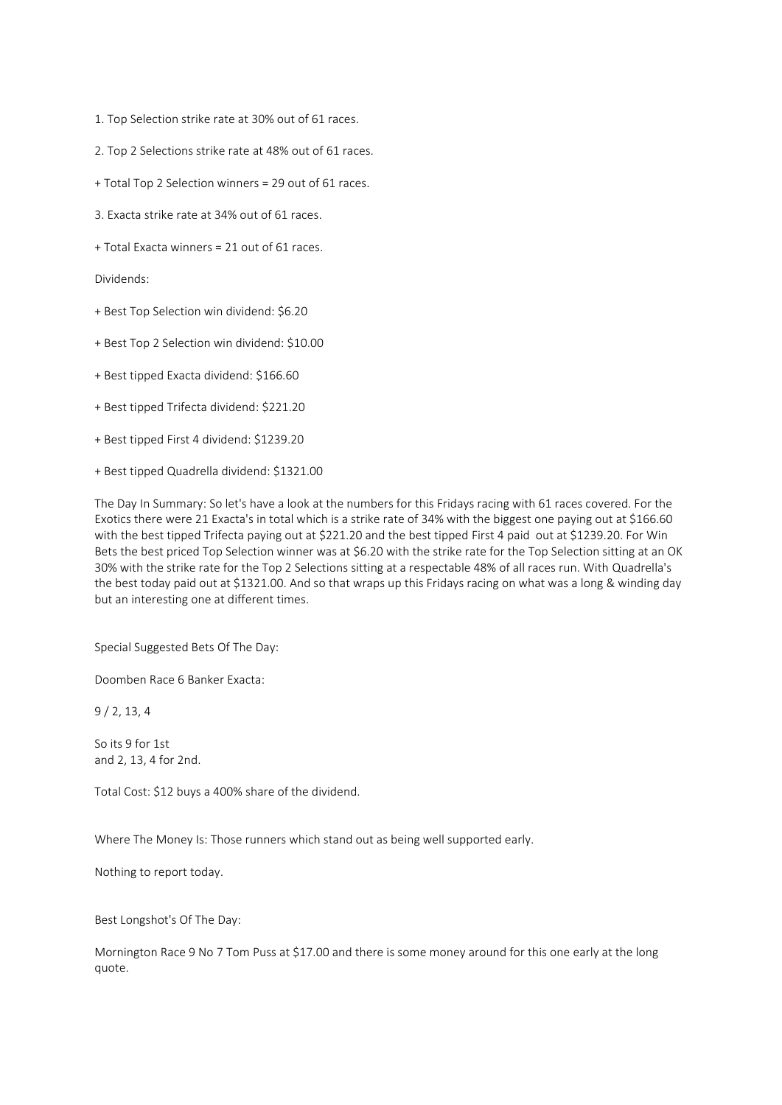- 1. Top Selection strike rate at 30% out of 61 races.
- 2. Top 2 Selections strike rate at 48% out of 61 races.
- + Total Top 2 Selection winners = 29 out of 61 races.
- 3. Exacta strike rate at 34% out of 61 races.
- + Total Exacta winners = 21 out of 61 races.

Dividends:

- + Best Top Selection win dividend: \$6.20
- + Best Top 2 Selection win dividend: \$10.00
- + Best tipped Exacta dividend: \$166.60
- + Best tipped Trifecta dividend: \$221.20
- + Best tipped First 4 dividend: \$1239.20
- + Best tipped Quadrella dividend: \$1321.00

The Day In Summary: So let's have a look at the numbers for this Fridays racing with 61 races covered. For the Exotics there were 21 Exacta's in total which is a strike rate of 34% with the biggest one paying out at \$166.60 with the best tipped Trifecta paying out at \$221.20 and the best tipped First 4 paid out at \$1239.20. For Win Bets the best priced Top Selection winner was at \$6.20 with the strike rate for the Top Selection sitting at an OK 30% with the strike rate for the Top 2 Selections sitting at a respectable 48% of all races run. With Quadrella's the best today paid out at \$1321.00. And so that wraps up this Fridays racing on what was a long & winding day but an interesting one at different times.

Special Suggested Bets Of The Day:

Doomben Race 6 Banker Exacta:

9 / 2, 13, 4

So its 9 for 1st and 2, 13, 4 for 2nd.

Total Cost: \$12 buys a 400% share of the dividend.

Where The Money Is: Those runners which stand out as being well supported early.

Nothing to report today.

Best Longshot's Of The Day:

Mornington Race 9 No 7 Tom Puss at \$17.00 and there is some money around for this one early at the long quote.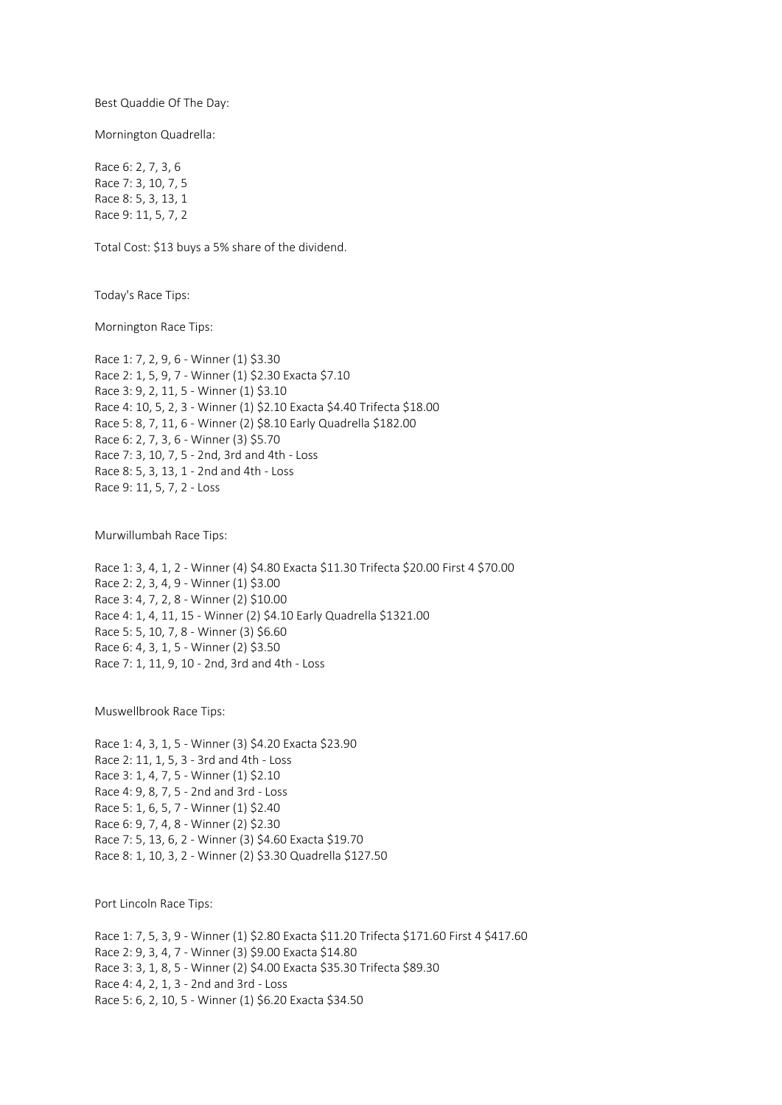Best Quaddie Of The Day:

Mornington Quadrella:

Race 6: 2, 7, 3, 6 Race 7: 3, 10, 7, 5 Race 8: 5, 3, 13, 1 Race 9: 11, 5, 7, 2

Total Cost: \$13 buys a 5% share of the dividend.

Today's Race Tips:

Mornington Race Tips:

Race 1: 7, 2, 9, 6 - Winner (1) \$3.30 Race 2: 1, 5, 9, 7 - Winner (1) \$2.30 Exacta \$7.10 Race 3: 9, 2, 11, 5 - Winner (1) \$3.10 Race 4: 10, 5, 2, 3 - Winner (1) \$2.10 Exacta \$4.40 Trifecta \$18.00 Race 5: 8, 7, 11, 6 - Winner (2) \$8.10 Early Quadrella \$182.00 Race 6: 2, 7, 3, 6 - Winner (3) \$5.70 Race 7: 3, 10, 7, 5 - 2nd, 3rd and 4th - Loss Race 8: 5, 3, 13, 1 - 2nd and 4th - Loss Race 9: 11, 5, 7, 2 - Loss

Murwillumbah Race Tips:

Race 1: 3, 4, 1, 2 - Winner (4) \$4.80 Exacta \$11.30 Trifecta \$20.00 First 4 \$70.00 Race 2: 2, 3, 4, 9 - Winner (1) \$3.00 Race 3: 4, 7, 2, 8 - Winner (2) \$10.00 Race 4: 1, 4, 11, 15 - Winner (2) \$4.10 Early Quadrella \$1321.00 Race 5: 5, 10, 7, 8 - Winner (3) \$6.60 Race 6: 4, 3, 1, 5 - Winner (2) \$3.50 Race 7: 1, 11, 9, 10 - 2nd, 3rd and 4th - Loss

Muswellbrook Race Tips:

Race 1: 4, 3, 1, 5 - Winner (3) \$4.20 Exacta \$23.90 Race 2: 11, 1, 5, 3 - 3rd and 4th - Loss Race 3: 1, 4, 7, 5 - Winner (1) \$2.10 Race 4: 9, 8, 7, 5 - 2nd and 3rd - Loss Race 5: 1, 6, 5, 7 - Winner (1) \$2.40 Race 6: 9, 7, 4, 8 - Winner (2) \$2.30 Race 7: 5, 13, 6, 2 - Winner (3) \$4.60 Exacta \$19.70 Race 8: 1, 10, 3, 2 - Winner (2) \$3.30 Quadrella \$127.50

Port Lincoln Race Tips:

Race 1: 7, 5, 3, 9 - Winner (1) \$2.80 Exacta \$11.20 Trifecta \$171.60 First 4 \$417.60 Race 2: 9, 3, 4, 7 - Winner (3) \$9.00 Exacta \$14.80 Race 3: 3, 1, 8, 5 - Winner (2) \$4.00 Exacta \$35.30 Trifecta \$89.30 Race 4: 4, 2, 1, 3 - 2nd and 3rd - Loss Race 5: 6, 2, 10, 5 - Winner (1) \$6.20 Exacta \$34.50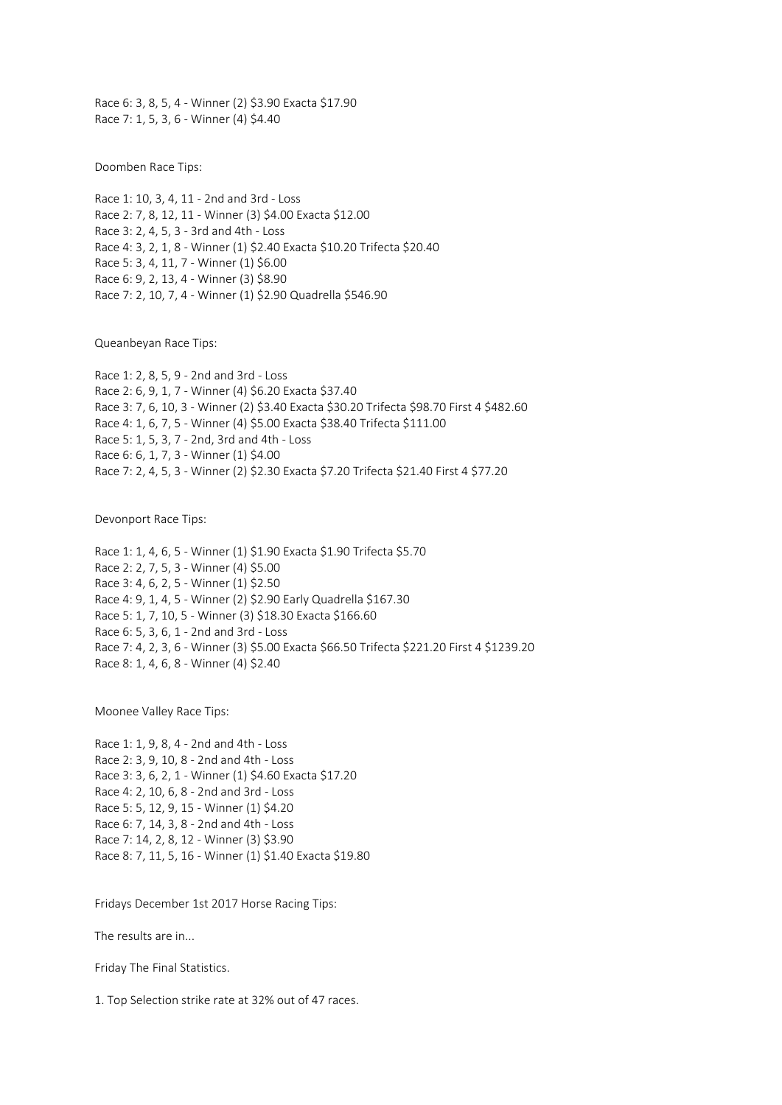Race 6: 3, 8, 5, 4 - Winner (2) \$3.90 Exacta \$17.90 Race 7: 1, 5, 3, 6 - Winner (4) \$4.40

Doomben Race Tips:

Race 1: 10, 3, 4, 11 - 2nd and 3rd - Loss Race 2: 7, 8, 12, 11 - Winner (3) \$4.00 Exacta \$12.00 Race 3: 2, 4, 5, 3 - 3rd and 4th - Loss Race 4: 3, 2, 1, 8 - Winner (1) \$2.40 Exacta \$10.20 Trifecta \$20.40 Race 5: 3, 4, 11, 7 - Winner (1) \$6.00 Race 6: 9, 2, 13, 4 - Winner (3) \$8.90 Race 7: 2, 10, 7, 4 - Winner (1) \$2.90 Quadrella \$546.90

Queanbeyan Race Tips:

Race 1: 2, 8, 5, 9 - 2nd and 3rd - Loss Race 2: 6, 9, 1, 7 - Winner (4) \$6.20 Exacta \$37.40 Race 3: 7, 6, 10, 3 - Winner (2) \$3.40 Exacta \$30.20 Trifecta \$98.70 First 4 \$482.60 Race 4: 1, 6, 7, 5 - Winner (4) \$5.00 Exacta \$38.40 Trifecta \$111.00 Race 5: 1, 5, 3, 7 - 2nd, 3rd and 4th - Loss Race 6: 6, 1, 7, 3 - Winner (1) \$4.00 Race 7: 2, 4, 5, 3 - Winner (2) \$2.30 Exacta \$7.20 Trifecta \$21.40 First 4 \$77.20

Devonport Race Tips:

Race 1: 1, 4, 6, 5 - Winner (1) \$1.90 Exacta \$1.90 Trifecta \$5.70 Race 2: 2, 7, 5, 3 - Winner (4) \$5.00 Race 3: 4, 6, 2, 5 - Winner (1) \$2.50 Race 4: 9, 1, 4, 5 - Winner (2) \$2.90 Early Quadrella \$167.30 Race 5: 1, 7, 10, 5 - Winner (3) \$18.30 Exacta \$166.60 Race 6: 5, 3, 6, 1 - 2nd and 3rd - Loss Race 7: 4, 2, 3, 6 - Winner (3) \$5.00 Exacta \$66.50 Trifecta \$221.20 First 4 \$1239.20 Race 8: 1, 4, 6, 8 - Winner (4) \$2.40

Moonee Valley Race Tips:

Race 1: 1, 9, 8, 4 - 2nd and 4th - Loss Race 2: 3, 9, 10, 8 - 2nd and 4th - Loss Race 3: 3, 6, 2, 1 - Winner (1) \$4.60 Exacta \$17.20 Race 4: 2, 10, 6, 8 - 2nd and 3rd - Loss Race 5: 5, 12, 9, 15 - Winner (1) \$4.20 Race 6: 7, 14, 3, 8 - 2nd and 4th - Loss Race 7: 14, 2, 8, 12 - Winner (3) \$3.90 Race 8: 7, 11, 5, 16 - Winner (1) \$1.40 Exacta \$19.80

Fridays December 1st 2017 Horse Racing Tips:

The results are in...

Friday The Final Statistics.

1. Top Selection strike rate at 32% out of 47 races.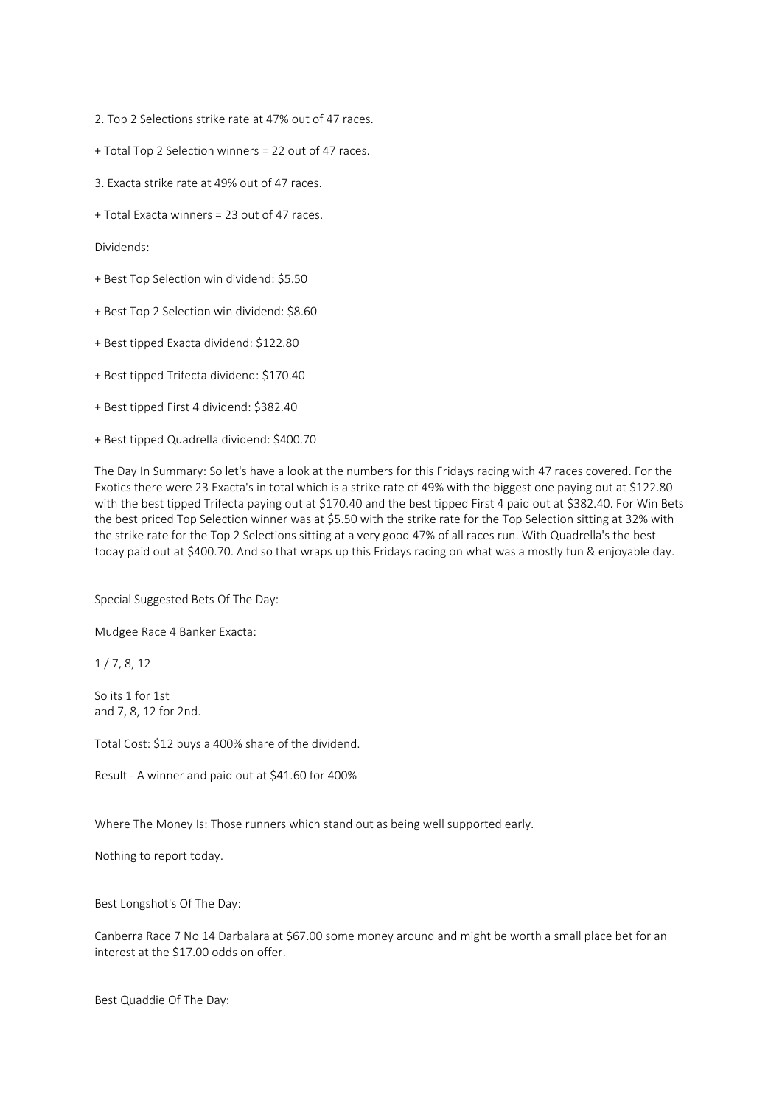2. Top 2 Selections strike rate at 47% out of 47 races.

- + Total Top 2 Selection winners = 22 out of 47 races.
- 3. Exacta strike rate at 49% out of 47 races.
- + Total Exacta winners = 23 out of 47 races.

Dividends:

- + Best Top Selection win dividend: \$5.50
- + Best Top 2 Selection win dividend: \$8.60
- + Best tipped Exacta dividend: \$122.80
- + Best tipped Trifecta dividend: \$170.40
- + Best tipped First 4 dividend: \$382.40
- + Best tipped Quadrella dividend: \$400.70

The Day In Summary: So let's have a look at the numbers for this Fridays racing with 47 races covered. For the Exotics there were 23 Exacta's in total which is a strike rate of 49% with the biggest one paying out at \$122.80 with the best tipped Trifecta paying out at \$170.40 and the best tipped First 4 paid out at \$382.40. For Win Bets the best priced Top Selection winner was at \$5.50 with the strike rate for the Top Selection sitting at 32% with the strike rate for the Top 2 Selections sitting at a very good 47% of all races run. With Quadrella's the best today paid out at \$400.70. And so that wraps up this Fridays racing on what was a mostly fun & enjoyable day.

Special Suggested Bets Of The Day:

Mudgee Race 4 Banker Exacta:

1 / 7, 8, 12

So its 1 for 1st and 7, 8, 12 for 2nd.

Total Cost: \$12 buys a 400% share of the dividend.

Result - A winner and paid out at \$41.60 for 400%

Where The Money Is: Those runners which stand out as being well supported early.

Nothing to report today.

Best Longshot's Of The Day:

Canberra Race 7 No 14 Darbalara at \$67.00 some money around and might be worth a small place bet for an interest at the \$17.00 odds on offer.

Best Quaddie Of The Day: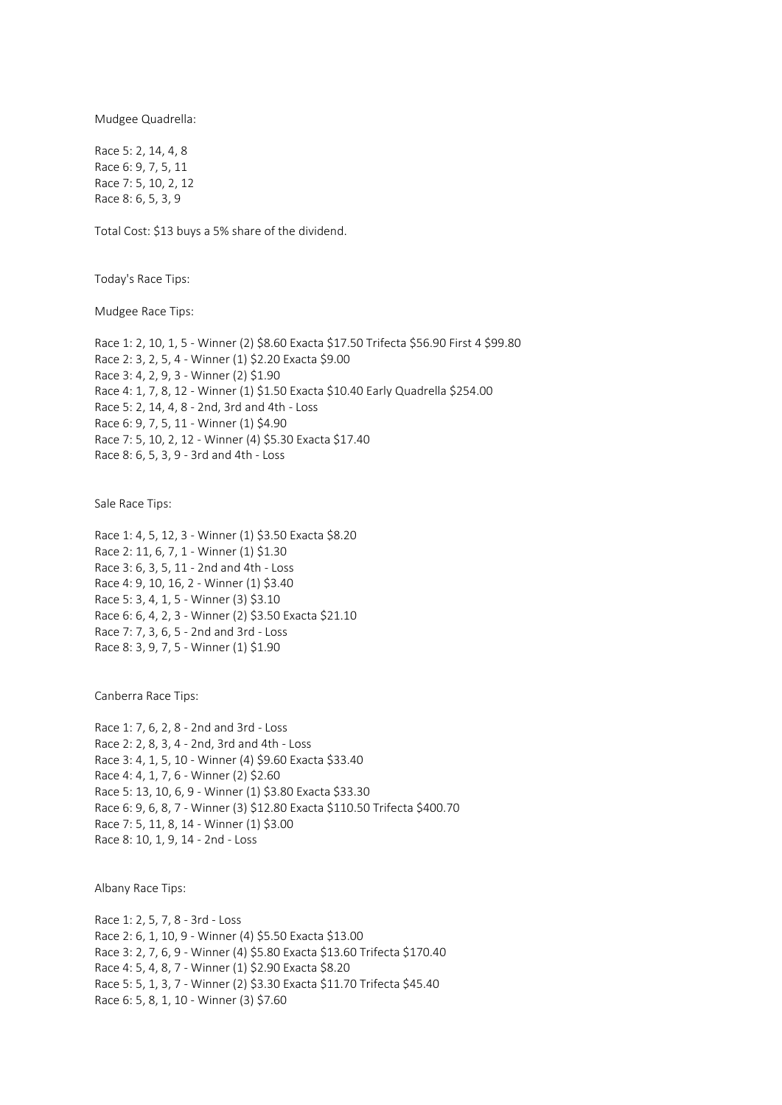Mudgee Quadrella:

Race 5: 2, 14, 4, 8 Race 6: 9, 7, 5, 11 Race 7: 5, 10, 2, 12 Race 8: 6, 5, 3, 9

Total Cost: \$13 buys a 5% share of the dividend.

Today's Race Tips:

Mudgee Race Tips:

Race 1: 2, 10, 1, 5 - Winner (2) \$8.60 Exacta \$17.50 Trifecta \$56.90 First 4 \$99.80 Race 2: 3, 2, 5, 4 - Winner (1) \$2.20 Exacta \$9.00 Race 3: 4, 2, 9, 3 - Winner (2) \$1.90 Race 4: 1, 7, 8, 12 - Winner (1) \$1.50 Exacta \$10.40 Early Quadrella \$254.00 Race 5: 2, 14, 4, 8 - 2nd, 3rd and 4th - Loss Race 6: 9, 7, 5, 11 - Winner (1) \$4.90 Race 7: 5, 10, 2, 12 - Winner (4) \$5.30 Exacta \$17.40 Race 8: 6, 5, 3, 9 - 3rd and 4th - Loss

Sale Race Tips:

Race 1: 4, 5, 12, 3 - Winner (1) \$3.50 Exacta \$8.20 Race 2: 11, 6, 7, 1 - Winner (1) \$1.30 Race 3: 6, 3, 5, 11 - 2nd and 4th - Loss Race 4: 9, 10, 16, 2 - Winner (1) \$3.40 Race 5: 3, 4, 1, 5 - Winner (3) \$3.10 Race 6: 6, 4, 2, 3 - Winner (2) \$3.50 Exacta \$21.10 Race 7: 7, 3, 6, 5 - 2nd and 3rd - Loss Race 8: 3, 9, 7, 5 - Winner (1) \$1.90

Canberra Race Tips:

Race 1: 7, 6, 2, 8 - 2nd and 3rd - Loss Race 2: 2, 8, 3, 4 - 2nd, 3rd and 4th - Loss Race 3: 4, 1, 5, 10 - Winner (4) \$9.60 Exacta \$33.40 Race 4: 4, 1, 7, 6 - Winner (2) \$2.60 Race 5: 13, 10, 6, 9 - Winner (1) \$3.80 Exacta \$33.30 Race 6: 9, 6, 8, 7 - Winner (3) \$12.80 Exacta \$110.50 Trifecta \$400.70 Race 7: 5, 11, 8, 14 - Winner (1) \$3.00 Race 8: 10, 1, 9, 14 - 2nd - Loss

Albany Race Tips:

Race 1: 2, 5, 7, 8 - 3rd - Loss Race 2: 6, 1, 10, 9 - Winner (4) \$5.50 Exacta \$13.00 Race 3: 2, 7, 6, 9 - Winner (4) \$5.80 Exacta \$13.60 Trifecta \$170.40 Race 4: 5, 4, 8, 7 - Winner (1) \$2.90 Exacta \$8.20 Race 5: 5, 1, 3, 7 - Winner (2) \$3.30 Exacta \$11.70 Trifecta \$45.40 Race 6: 5, 8, 1, 10 - Winner (3) \$7.60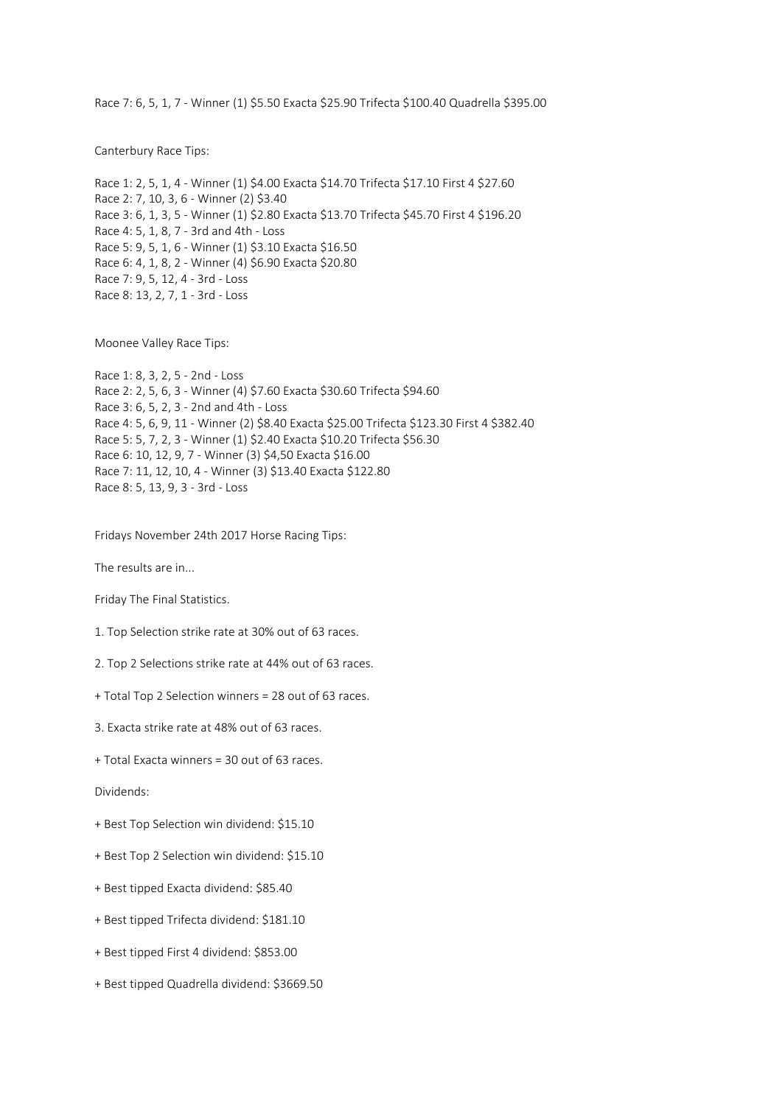Race 7: 6, 5, 1, 7 - Winner (1) \$5.50 Exacta \$25.90 Trifecta \$100.40 Quadrella \$395.00

Canterbury Race Tips:

Race 1: 2, 5, 1, 4 - Winner (1) \$4.00 Exacta \$14.70 Trifecta \$17.10 First 4 \$27.60 Race 2: 7, 10, 3, 6 - Winner (2) \$3.40 Race 3: 6, 1, 3, 5 - Winner (1) \$2.80 Exacta \$13.70 Trifecta \$45.70 First 4 \$196.20 Race 4: 5, 1, 8, 7 - 3rd and 4th - Loss Race 5: 9, 5, 1, 6 - Winner (1) \$3.10 Exacta \$16.50 Race 6: 4, 1, 8, 2 - Winner (4) \$6.90 Exacta \$20.80 Race 7: 9, 5, 12, 4 - 3rd - Loss Race 8: 13, 2, 7, 1 - 3rd - Loss

Moonee Valley Race Tips:

Race 1: 8, 3, 2, 5 - 2nd - Loss Race 2: 2, 5, 6, 3 - Winner (4) \$7.60 Exacta \$30.60 Trifecta \$94.60 Race 3: 6, 5, 2, 3 - 2nd and 4th - Loss Race 4: 5, 6, 9, 11 - Winner (2) \$8.40 Exacta \$25.00 Trifecta \$123.30 First 4 \$382.40 Race 5: 5, 7, 2, 3 - Winner (1) \$2.40 Exacta \$10.20 Trifecta \$56.30 Race 6: 10, 12, 9, 7 - Winner (3) \$4,50 Exacta \$16.00 Race 7: 11, 12, 10, 4 - Winner (3) \$13.40 Exacta \$122.80 Race 8: 5, 13, 9, 3 - 3rd - Loss

Fridays November 24th 2017 Horse Racing Tips:

The results are in...

Friday The Final Statistics.

- 1. Top Selection strike rate at 30% out of 63 races.
- 2. Top 2 Selections strike rate at 44% out of 63 races.
- + Total Top 2 Selection winners = 28 out of 63 races.
- 3. Exacta strike rate at 48% out of 63 races.
- + Total Exacta winners = 30 out of 63 races.

Dividends:

- + Best Top Selection win dividend: \$15.10
- + Best Top 2 Selection win dividend: \$15.10
- + Best tipped Exacta dividend: \$85.40
- + Best tipped Trifecta dividend: \$181.10
- + Best tipped First 4 dividend: \$853.00
- + Best tipped Quadrella dividend: \$3669.50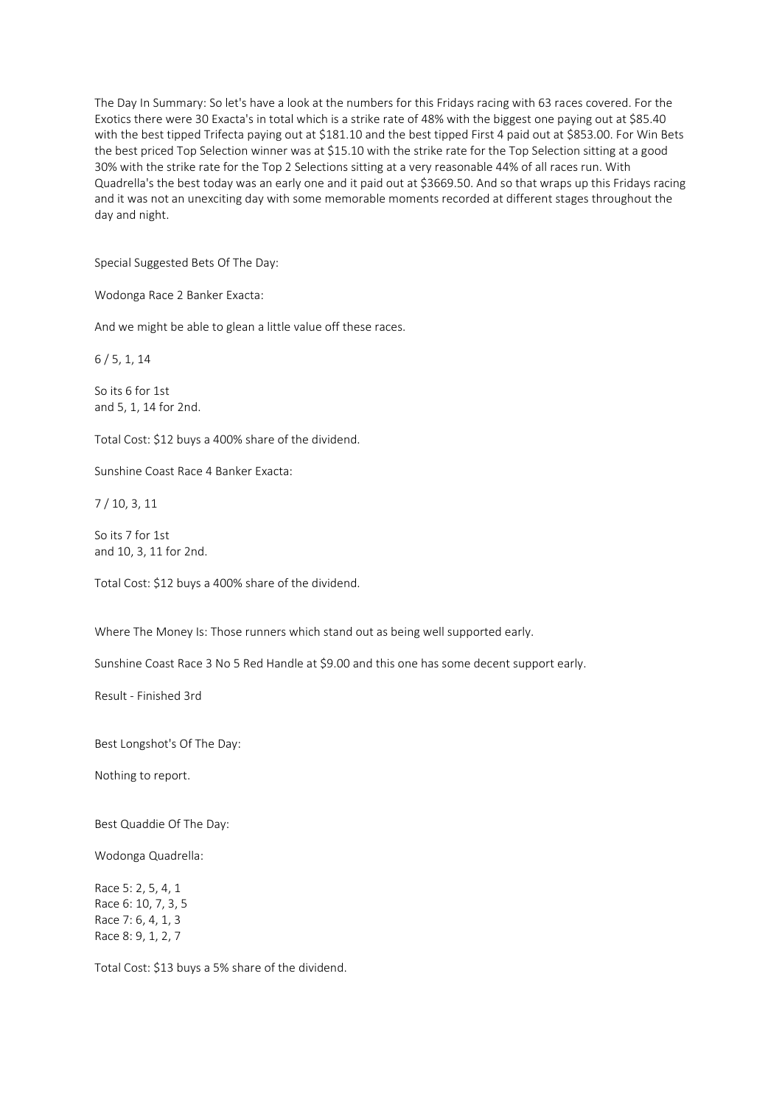The Day In Summary: So let's have a look at the numbers for this Fridays racing with 63 races covered. For the Exotics there were 30 Exacta's in total which is a strike rate of 48% with the biggest one paying out at \$85.40 with the best tipped Trifecta paying out at \$181.10 and the best tipped First 4 paid out at \$853.00. For Win Bets the best priced Top Selection winner was at \$15.10 with the strike rate for the Top Selection sitting at a good 30% with the strike rate for the Top 2 Selections sitting at a very reasonable 44% of all races run. With Quadrella's the best today was an early one and it paid out at \$3669.50. And so that wraps up this Fridays racing and it was not an unexciting day with some memorable moments recorded at different stages throughout the day and night.

Special Suggested Bets Of The Day:

Wodonga Race 2 Banker Exacta:

And we might be able to glean a little value off these races.

6 / 5, 1, 14

So its 6 for 1st and 5, 1, 14 for 2nd.

Total Cost: \$12 buys a 400% share of the dividend.

Sunshine Coast Race 4 Banker Exacta:

7 / 10, 3, 11

So its 7 for 1st and 10, 3, 11 for 2nd.

Total Cost: \$12 buys a 400% share of the dividend.

Where The Money Is: Those runners which stand out as being well supported early.

Sunshine Coast Race 3 No 5 Red Handle at \$9.00 and this one has some decent support early.

Result - Finished 3rd

Best Longshot's Of The Day:

Nothing to report.

Best Quaddie Of The Day:

Wodonga Quadrella:

Race 5: 2, 5, 4, 1 Race 6: 10, 7, 3, 5 Race 7: 6, 4, 1, 3 Race 8: 9, 1, 2, 7

Total Cost: \$13 buys a 5% share of the dividend.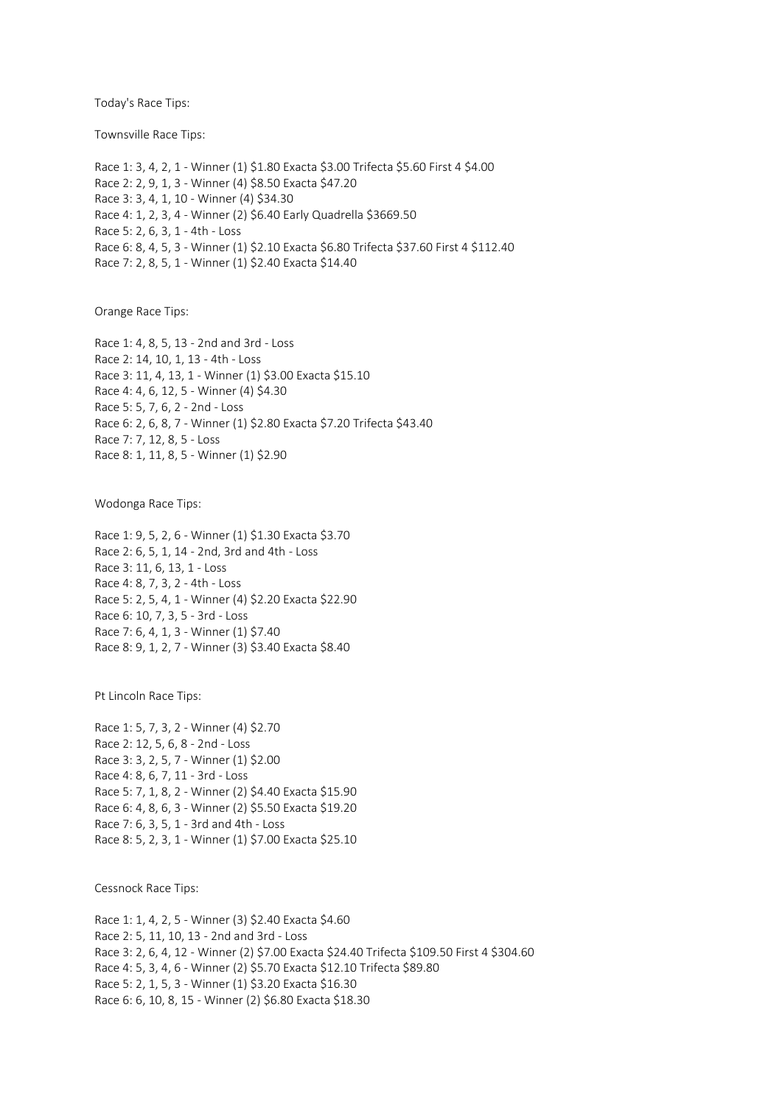Today's Race Tips:

Townsville Race Tips:

Race 1: 3, 4, 2, 1 - Winner (1) \$1.80 Exacta \$3.00 Trifecta \$5.60 First 4 \$4.00 Race 2: 2, 9, 1, 3 - Winner (4) \$8.50 Exacta \$47.20 Race 3: 3, 4, 1, 10 - Winner (4) \$34.30 Race 4: 1, 2, 3, 4 - Winner (2) \$6.40 Early Quadrella \$3669.50 Race 5: 2, 6, 3, 1 - 4th - Loss Race 6: 8, 4, 5, 3 - Winner (1) \$2.10 Exacta \$6.80 Trifecta \$37.60 First 4 \$112.40 Race 7: 2, 8, 5, 1 - Winner (1) \$2.40 Exacta \$14.40

Orange Race Tips:

Race 1: 4, 8, 5, 13 - 2nd and 3rd - Loss Race 2: 14, 10, 1, 13 - 4th - Loss Race 3: 11, 4, 13, 1 - Winner (1) \$3.00 Exacta \$15.10 Race 4: 4, 6, 12, 5 - Winner (4) \$4.30 Race 5: 5, 7, 6, 2 - 2nd - Loss Race 6: 2, 6, 8, 7 - Winner (1) \$2.80 Exacta \$7.20 Trifecta \$43.40 Race 7: 7, 12, 8, 5 - Loss Race 8: 1, 11, 8, 5 - Winner (1) \$2.90

Wodonga Race Tips:

Race 1: 9, 5, 2, 6 - Winner (1) \$1.30 Exacta \$3.70 Race 2: 6, 5, 1, 14 - 2nd, 3rd and 4th - Loss Race 3: 11, 6, 13, 1 - Loss Race 4: 8, 7, 3, 2 - 4th - Loss Race 5: 2, 5, 4, 1 - Winner (4) \$2.20 Exacta \$22.90 Race 6: 10, 7, 3, 5 - 3rd - Loss Race 7: 6, 4, 1, 3 - Winner (1) \$7.40 Race 8: 9, 1, 2, 7 - Winner (3) \$3.40 Exacta \$8.40

Pt Lincoln Race Tips:

Race 1: 5, 7, 3, 2 - Winner (4) \$2.70 Race 2: 12, 5, 6, 8 - 2nd - Loss Race 3: 3, 2, 5, 7 - Winner (1) \$2.00 Race 4: 8, 6, 7, 11 - 3rd - Loss Race 5: 7, 1, 8, 2 - Winner (2) \$4.40 Exacta \$15.90 Race 6: 4, 8, 6, 3 - Winner (2) \$5.50 Exacta \$19.20 Race 7: 6, 3, 5, 1 - 3rd and 4th - Loss Race 8: 5, 2, 3, 1 - Winner (1) \$7.00 Exacta \$25.10

Cessnock Race Tips:

Race 1: 1, 4, 2, 5 - Winner (3) \$2.40 Exacta \$4.60 Race 2: 5, 11, 10, 13 - 2nd and 3rd - Loss Race 3: 2, 6, 4, 12 - Winner (2) \$7.00 Exacta \$24.40 Trifecta \$109.50 First 4 \$304.60 Race 4: 5, 3, 4, 6 - Winner (2) \$5.70 Exacta \$12.10 Trifecta \$89.80 Race 5: 2, 1, 5, 3 - Winner (1) \$3.20 Exacta \$16.30 Race 6: 6, 10, 8, 15 - Winner (2) \$6.80 Exacta \$18.30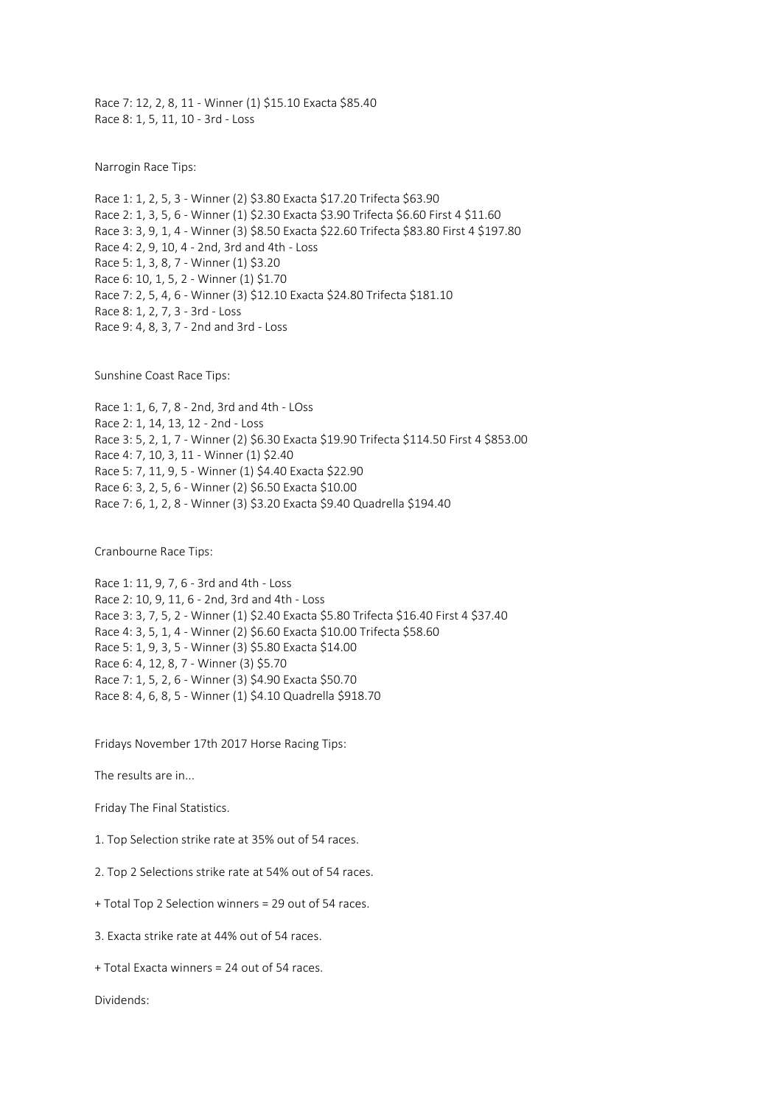Race 7: 12, 2, 8, 11 - Winner (1) \$15.10 Exacta \$85.40 Race 8: 1, 5, 11, 10 - 3rd - Loss

Narrogin Race Tips:

Race 1: 1, 2, 5, 3 - Winner (2) \$3.80 Exacta \$17.20 Trifecta \$63.90 Race 2: 1, 3, 5, 6 - Winner (1) \$2.30 Exacta \$3.90 Trifecta \$6.60 First 4 \$11.60 Race 3: 3, 9, 1, 4 - Winner (3) \$8.50 Exacta \$22.60 Trifecta \$83.80 First 4 \$197.80 Race 4: 2, 9, 10, 4 - 2nd, 3rd and 4th - Loss Race 5: 1, 3, 8, 7 - Winner (1) \$3.20 Race 6: 10, 1, 5, 2 - Winner (1) \$1.70 Race 7: 2, 5, 4, 6 - Winner (3) \$12.10 Exacta \$24.80 Trifecta \$181.10 Race 8: 1, 2, 7, 3 - 3rd - Loss Race 9: 4, 8, 3, 7 - 2nd and 3rd - Loss

Sunshine Coast Race Tips:

Race 1: 1, 6, 7, 8 - 2nd, 3rd and 4th - LOss Race 2: 1, 14, 13, 12 - 2nd - Loss Race 3: 5, 2, 1, 7 - Winner (2) \$6.30 Exacta \$19.90 Trifecta \$114.50 First 4 \$853.00 Race 4: 7, 10, 3, 11 - Winner (1) \$2.40 Race 5: 7, 11, 9, 5 - Winner (1) \$4.40 Exacta \$22.90 Race 6: 3, 2, 5, 6 - Winner (2) \$6.50 Exacta \$10.00 Race 7: 6, 1, 2, 8 - Winner (3) \$3.20 Exacta \$9.40 Quadrella \$194.40

Cranbourne Race Tips:

Race 1: 11, 9, 7, 6 - 3rd and 4th - Loss Race 2: 10, 9, 11, 6 - 2nd, 3rd and 4th - Loss Race 3: 3, 7, 5, 2 - Winner (1) \$2.40 Exacta \$5.80 Trifecta \$16.40 First 4 \$37.40 Race 4: 3, 5, 1, 4 - Winner (2) \$6.60 Exacta \$10.00 Trifecta \$58.60 Race 5: 1, 9, 3, 5 - Winner (3) \$5.80 Exacta \$14.00 Race 6: 4, 12, 8, 7 - Winner (3) \$5.70 Race 7: 1, 5, 2, 6 - Winner (3) \$4.90 Exacta \$50.70 Race 8: 4, 6, 8, 5 - Winner (1) \$4.10 Quadrella \$918.70

Fridays November 17th 2017 Horse Racing Tips:

The results are in...

Friday The Final Statistics.

1. Top Selection strike rate at 35% out of 54 races.

2. Top 2 Selections strike rate at 54% out of 54 races.

+ Total Top 2 Selection winners = 29 out of 54 races.

3. Exacta strike rate at 44% out of 54 races.

+ Total Exacta winners = 24 out of 54 races.

Dividends: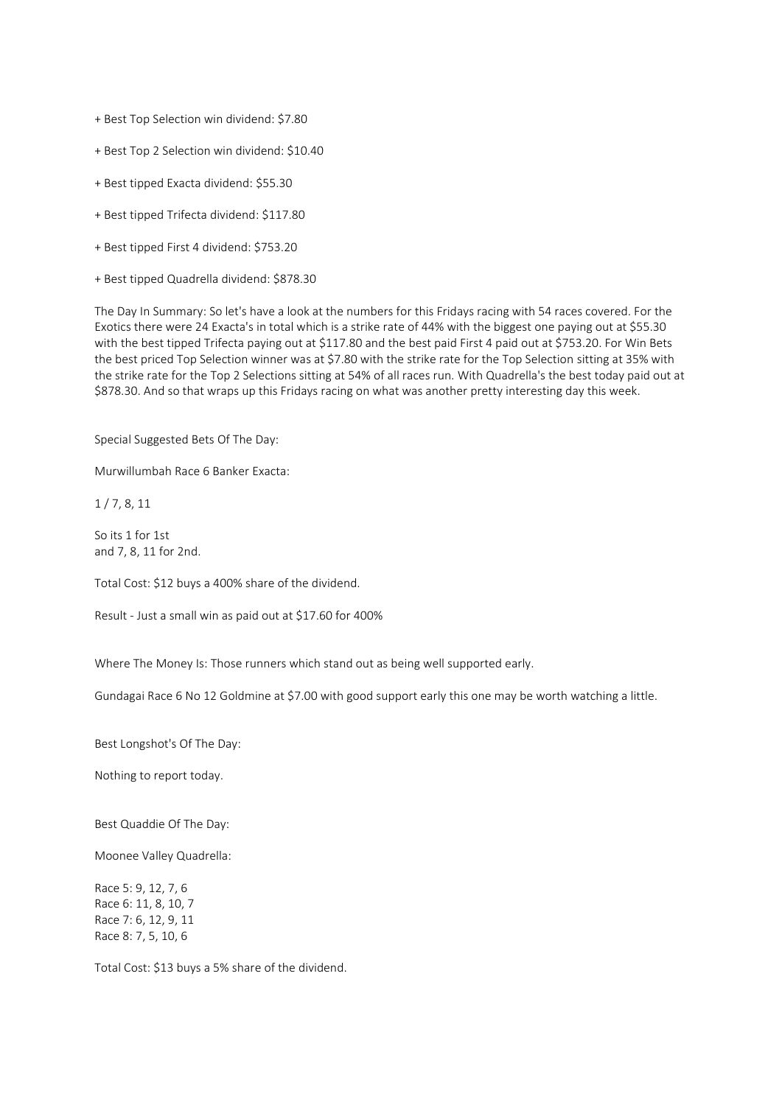+ Best Top Selection win dividend: \$7.80

- + Best Top 2 Selection win dividend: \$10.40
- + Best tipped Exacta dividend: \$55.30
- + Best tipped Trifecta dividend: \$117.80
- + Best tipped First 4 dividend: \$753.20
- + Best tipped Quadrella dividend: \$878.30

The Day In Summary: So let's have a look at the numbers for this Fridays racing with 54 races covered. For the Exotics there were 24 Exacta's in total which is a strike rate of 44% with the biggest one paying out at \$55.30 with the best tipped Trifecta paying out at \$117.80 and the best paid First 4 paid out at \$753.20. For Win Bets the best priced Top Selection winner was at \$7.80 with the strike rate for the Top Selection sitting at 35% with the strike rate for the Top 2 Selections sitting at 54% of all races run. With Quadrella's the best today paid out at \$878.30. And so that wraps up this Fridays racing on what was another pretty interesting day this week.

Special Suggested Bets Of The Day:

Murwillumbah Race 6 Banker Exacta:

1 / 7, 8, 11

So its 1 for 1st and 7, 8, 11 for 2nd.

Total Cost: \$12 buys a 400% share of the dividend.

Result - Just a small win as paid out at \$17.60 for 400%

Where The Money Is: Those runners which stand out as being well supported early.

Gundagai Race 6 No 12 Goldmine at \$7.00 with good support early this one may be worth watching a little.

Best Longshot's Of The Day:

Nothing to report today.

Best Quaddie Of The Day:

Moonee Valley Quadrella:

Race 5: 9, 12, 7, 6 Race 6: 11, 8, 10, 7 Race 7: 6, 12, 9, 11 Race 8: 7, 5, 10, 6

Total Cost: \$13 buys a 5% share of the dividend.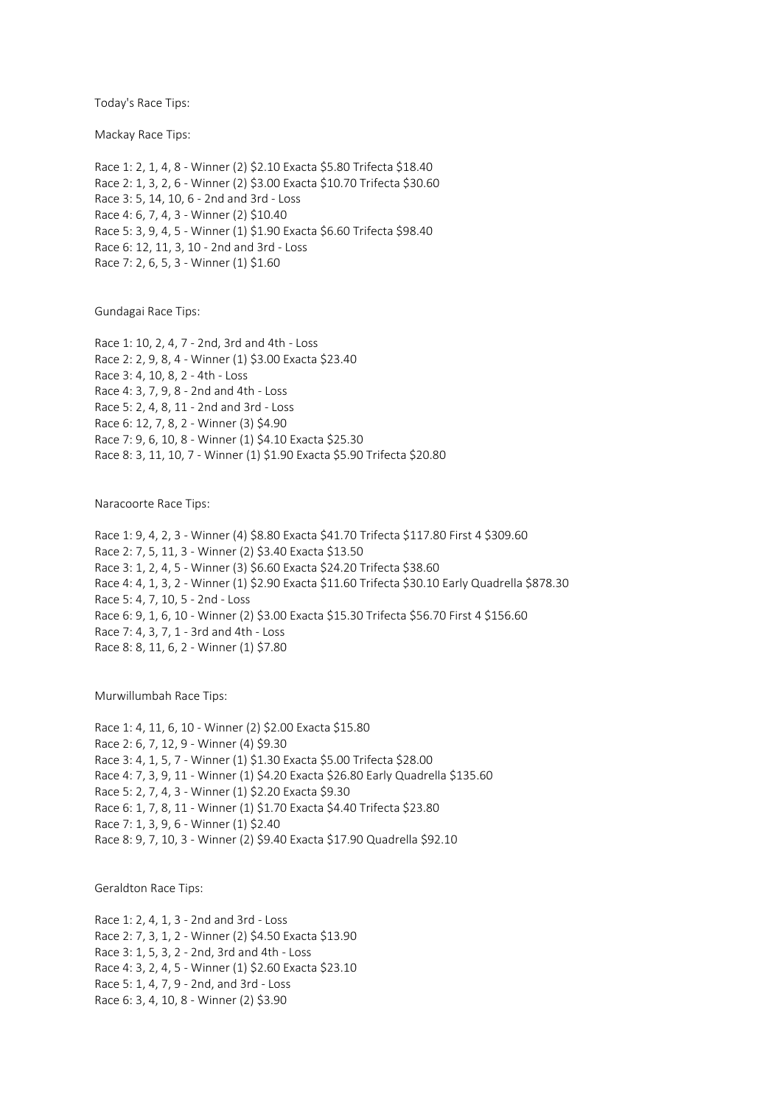Today's Race Tips:

Mackay Race Tips:

Race 1: 2, 1, 4, 8 - Winner (2) \$2.10 Exacta \$5.80 Trifecta \$18.40 Race 2: 1, 3, 2, 6 - Winner (2) \$3.00 Exacta \$10.70 Trifecta \$30.60 Race 3: 5, 14, 10, 6 - 2nd and 3rd - Loss Race 4: 6, 7, 4, 3 - Winner (2) \$10.40 Race 5: 3, 9, 4, 5 - Winner (1) \$1.90 Exacta \$6.60 Trifecta \$98.40 Race 6: 12, 11, 3, 10 - 2nd and 3rd - Loss Race 7: 2, 6, 5, 3 - Winner (1) \$1.60

Gundagai Race Tips:

Race 1: 10, 2, 4, 7 - 2nd, 3rd and 4th - Loss Race 2: 2, 9, 8, 4 - Winner (1) \$3.00 Exacta \$23.40 Race 3: 4, 10, 8, 2 - 4th - Loss Race 4: 3, 7, 9, 8 - 2nd and 4th - Loss Race 5: 2, 4, 8, 11 - 2nd and 3rd - Loss Race 6: 12, 7, 8, 2 - Winner (3) \$4.90 Race 7: 9, 6, 10, 8 - Winner (1) \$4.10 Exacta \$25.30 Race 8: 3, 11, 10, 7 - Winner (1) \$1.90 Exacta \$5.90 Trifecta \$20.80

Naracoorte Race Tips:

Race 1: 9, 4, 2, 3 - Winner (4) \$8.80 Exacta \$41.70 Trifecta \$117.80 First 4 \$309.60 Race 2: 7, 5, 11, 3 - Winner (2) \$3.40 Exacta \$13.50 Race 3: 1, 2, 4, 5 - Winner (3) \$6.60 Exacta \$24.20 Trifecta \$38.60 Race 4: 4, 1, 3, 2 - Winner (1) \$2.90 Exacta \$11.60 Trifecta \$30.10 Early Quadrella \$878.30 Race 5: 4, 7, 10, 5 - 2nd - Loss Race 6: 9, 1, 6, 10 - Winner (2) \$3.00 Exacta \$15.30 Trifecta \$56.70 First 4 \$156.60 Race 7: 4, 3, 7, 1 - 3rd and 4th - Loss Race 8: 8, 11, 6, 2 - Winner (1) \$7.80

Murwillumbah Race Tips:

Race 1: 4, 11, 6, 10 - Winner (2) \$2.00 Exacta \$15.80 Race 2: 6, 7, 12, 9 - Winner (4) \$9.30 Race 3: 4, 1, 5, 7 - Winner (1) \$1.30 Exacta \$5.00 Trifecta \$28.00 Race 4: 7, 3, 9, 11 - Winner (1) \$4.20 Exacta \$26.80 Early Quadrella \$135.60 Race 5: 2, 7, 4, 3 - Winner (1) \$2.20 Exacta \$9.30 Race 6: 1, 7, 8, 11 - Winner (1) \$1.70 Exacta \$4.40 Trifecta \$23.80 Race 7: 1, 3, 9, 6 - Winner (1) \$2.40 Race 8: 9, 7, 10, 3 - Winner (2) \$9.40 Exacta \$17.90 Quadrella \$92.10

Geraldton Race Tips:

Race 1: 2, 4, 1, 3 - 2nd and 3rd - Loss Race 2: 7, 3, 1, 2 - Winner (2) \$4.50 Exacta \$13.90 Race 3: 1, 5, 3, 2 - 2nd, 3rd and 4th - Loss Race 4: 3, 2, 4, 5 - Winner (1) \$2.60 Exacta \$23.10 Race 5: 1, 4, 7, 9 - 2nd, and 3rd - Loss Race 6: 3, 4, 10, 8 - Winner (2) \$3.90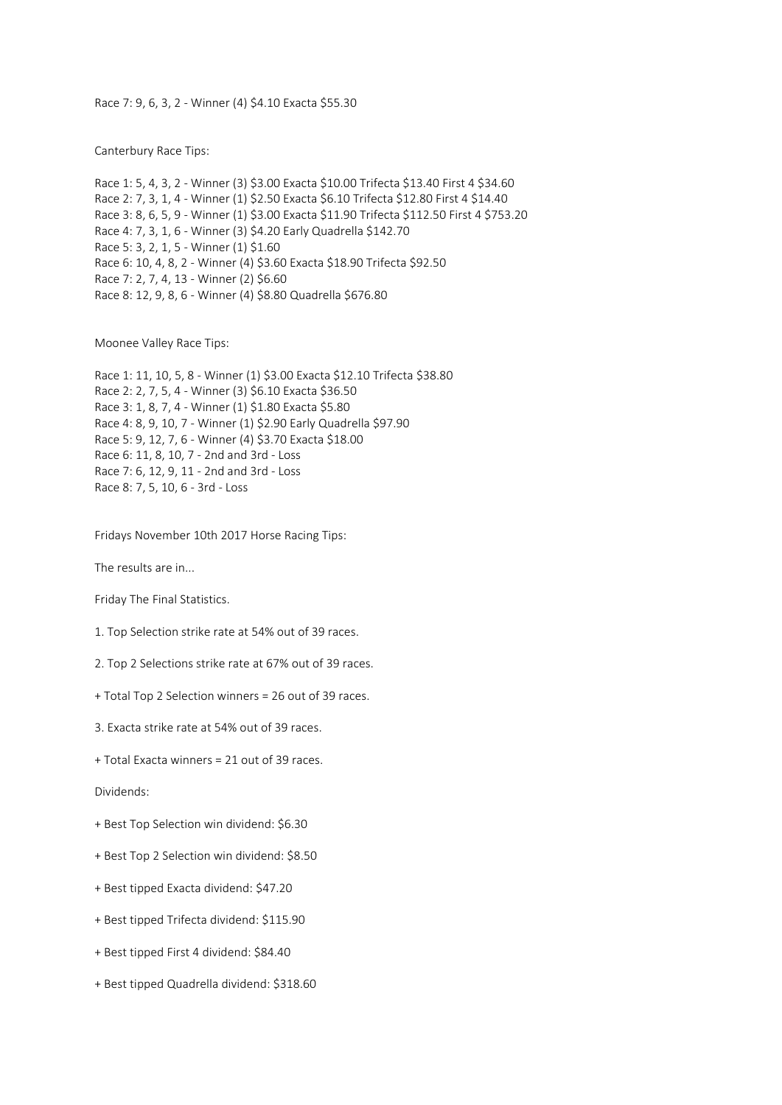## Race 7: 9, 6, 3, 2 - Winner (4) \$4.10 Exacta \$55.30

Canterbury Race Tips:

Race 1: 5, 4, 3, 2 - Winner (3) \$3.00 Exacta \$10.00 Trifecta \$13.40 First 4 \$34.60 Race 2: 7, 3, 1, 4 - Winner (1) \$2.50 Exacta \$6.10 Trifecta \$12.80 First 4 \$14.40 Race 3: 8, 6, 5, 9 - Winner (1) \$3.00 Exacta \$11.90 Trifecta \$112.50 First 4 \$753.20 Race 4: 7, 3, 1, 6 - Winner (3) \$4.20 Early Quadrella \$142.70 Race 5: 3, 2, 1, 5 - Winner (1) \$1.60 Race 6: 10, 4, 8, 2 - Winner (4) \$3.60 Exacta \$18.90 Trifecta \$92.50 Race 7: 2, 7, 4, 13 - Winner (2) \$6.60 Race 8: 12, 9, 8, 6 - Winner (4) \$8.80 Quadrella \$676.80

Moonee Valley Race Tips:

Race 1: 11, 10, 5, 8 - Winner (1) \$3.00 Exacta \$12.10 Trifecta \$38.80 Race 2: 2, 7, 5, 4 - Winner (3) \$6.10 Exacta \$36.50 Race 3: 1, 8, 7, 4 - Winner (1) \$1.80 Exacta \$5.80 Race 4: 8, 9, 10, 7 - Winner (1) \$2.90 Early Quadrella \$97.90 Race 5: 9, 12, 7, 6 - Winner (4) \$3.70 Exacta \$18.00 Race 6: 11, 8, 10, 7 - 2nd and 3rd - Loss Race 7: 6, 12, 9, 11 - 2nd and 3rd - Loss Race 8: 7, 5, 10, 6 - 3rd - Loss

Fridays November 10th 2017 Horse Racing Tips:

The results are in...

Friday The Final Statistics.

- 1. Top Selection strike rate at 54% out of 39 races.
- 2. Top 2 Selections strike rate at 67% out of 39 races.
- + Total Top 2 Selection winners = 26 out of 39 races.
- 3. Exacta strike rate at 54% out of 39 races.
- + Total Exacta winners = 21 out of 39 races.

Dividends:

- + Best Top Selection win dividend: \$6.30
- + Best Top 2 Selection win dividend: \$8.50
- + Best tipped Exacta dividend: \$47.20
- + Best tipped Trifecta dividend: \$115.90
- + Best tipped First 4 dividend: \$84.40
- + Best tipped Quadrella dividend: \$318.60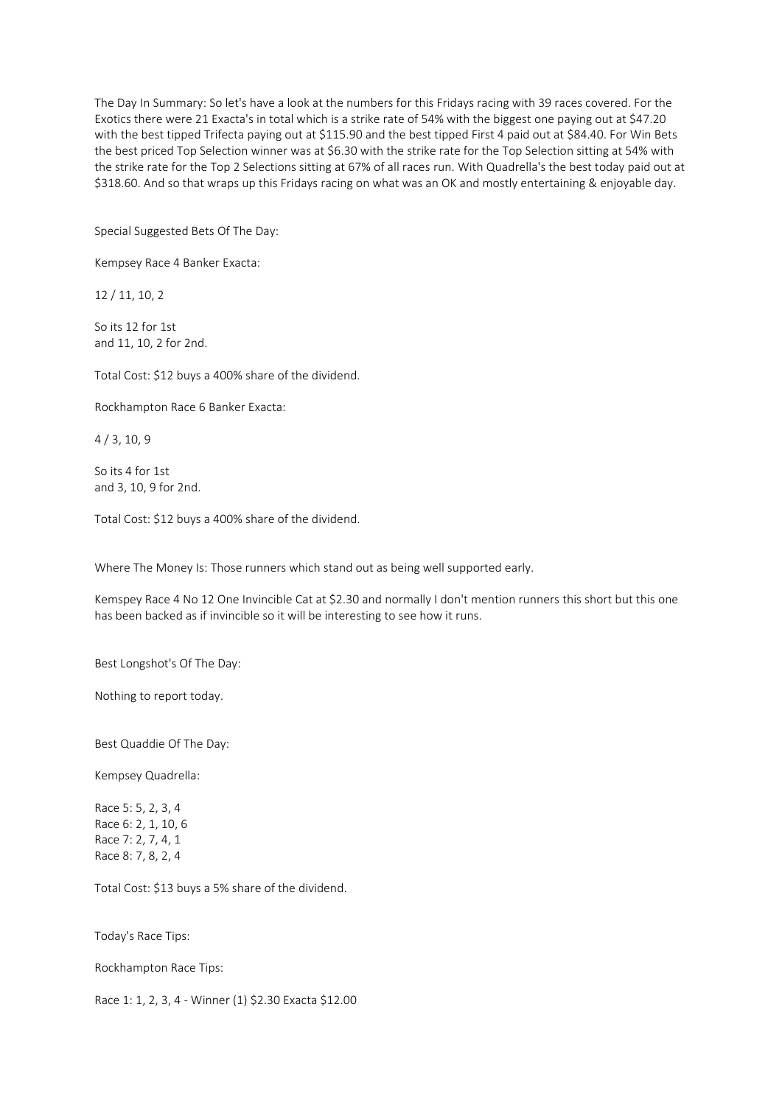The Day In Summary: So let's have a look at the numbers for this Fridays racing with 39 races covered. For the Exotics there were 21 Exacta's in total which is a strike rate of 54% with the biggest one paying out at \$47.20 with the best tipped Trifecta paying out at \$115.90 and the best tipped First 4 paid out at \$84.40. For Win Bets the best priced Top Selection winner was at \$6.30 with the strike rate for the Top Selection sitting at 54% with the strike rate for the Top 2 Selections sitting at 67% of all races run. With Quadrella's the best today paid out at \$318.60. And so that wraps up this Fridays racing on what was an OK and mostly entertaining & enjoyable day.

Special Suggested Bets Of The Day:

Kempsey Race 4 Banker Exacta:

12 / 11, 10, 2

So its 12 for 1st and 11, 10, 2 for 2nd.

Total Cost: \$12 buys a 400% share of the dividend.

Rockhampton Race 6 Banker Exacta:

4 / 3, 10, 9

So its 4 for 1st and 3, 10, 9 for 2nd.

Total Cost: \$12 buys a 400% share of the dividend.

Where The Money Is: Those runners which stand out as being well supported early.

Kemspey Race 4 No 12 One Invincible Cat at \$2.30 and normally I don't mention runners this short but this one has been backed as if invincible so it will be interesting to see how it runs.

Best Longshot's Of The Day:

Nothing to report today.

Best Quaddie Of The Day:

Kempsey Quadrella:

Race 5: 5, 2, 3, 4 Race 6: 2, 1, 10, 6 Race 7: 2, 7, 4, 1 Race 8: 7, 8, 2, 4

Total Cost: \$13 buys a 5% share of the dividend.

Today's Race Tips:

Rockhampton Race Tips:

Race 1: 1, 2, 3, 4 - Winner (1) \$2.30 Exacta \$12.00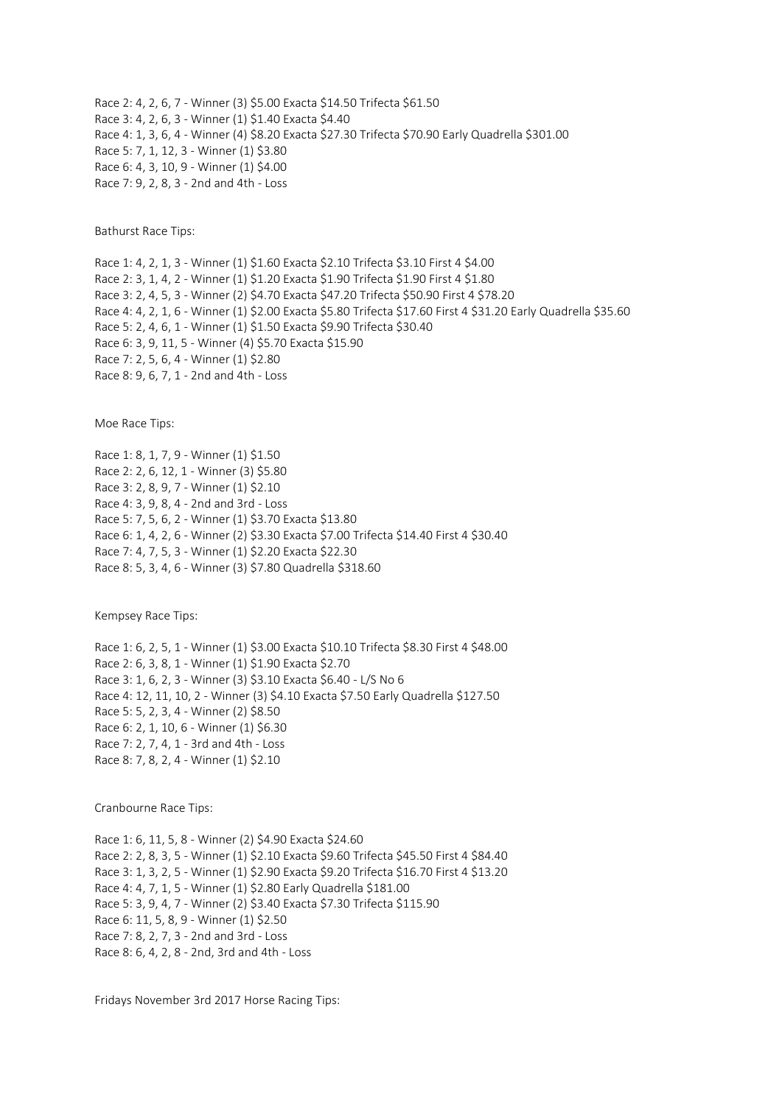Race 2: 4, 2, 6, 7 - Winner (3) \$5.00 Exacta \$14.50 Trifecta \$61.50 Race 3: 4, 2, 6, 3 - Winner (1) \$1.40 Exacta \$4.40 Race 4: 1, 3, 6, 4 - Winner (4) \$8.20 Exacta \$27.30 Trifecta \$70.90 Early Quadrella \$301.00 Race 5: 7, 1, 12, 3 - Winner (1) \$3.80 Race 6: 4, 3, 10, 9 - Winner (1) \$4.00 Race 7: 9, 2, 8, 3 - 2nd and 4th - Loss

Bathurst Race Tips:

Race 1: 4, 2, 1, 3 - Winner (1) \$1.60 Exacta \$2.10 Trifecta \$3.10 First 4 \$4.00 Race 2: 3, 1, 4, 2 - Winner (1) \$1.20 Exacta \$1.90 Trifecta \$1.90 First 4 \$1.80 Race 3: 2, 4, 5, 3 - Winner (2) \$4.70 Exacta \$47.20 Trifecta \$50.90 First 4 \$78.20 Race 4: 4, 2, 1, 6 - Winner (1) \$2.00 Exacta \$5.80 Trifecta \$17.60 First 4 \$31.20 Early Quadrella \$35.60 Race 5: 2, 4, 6, 1 - Winner (1) \$1.50 Exacta \$9.90 Trifecta \$30.40 Race 6: 3, 9, 11, 5 - Winner (4) \$5.70 Exacta \$15.90 Race 7: 2, 5, 6, 4 - Winner (1) \$2.80 Race 8: 9, 6, 7, 1 - 2nd and 4th - Loss

Moe Race Tips:

Race 1: 8, 1, 7, 9 - Winner (1) \$1.50 Race 2: 2, 6, 12, 1 - Winner (3) \$5.80 Race 3: 2, 8, 9, 7 - Winner (1) \$2.10 Race 4: 3, 9, 8, 4 - 2nd and 3rd - Loss Race 5: 7, 5, 6, 2 - Winner (1) \$3.70 Exacta \$13.80 Race 6: 1, 4, 2, 6 - Winner (2) \$3.30 Exacta \$7.00 Trifecta \$14.40 First 4 \$30.40 Race 7: 4, 7, 5, 3 - Winner (1) \$2.20 Exacta \$22.30 Race 8: 5, 3, 4, 6 - Winner (3) \$7.80 Quadrella \$318.60

Kempsey Race Tips:

Race 1: 6, 2, 5, 1 - Winner (1) \$3.00 Exacta \$10.10 Trifecta \$8.30 First 4 \$48.00 Race 2: 6, 3, 8, 1 - Winner (1) \$1.90 Exacta \$2.70 Race 3: 1, 6, 2, 3 - Winner (3) \$3.10 Exacta \$6.40 - L/S No 6 Race 4: 12, 11, 10, 2 - Winner (3) \$4.10 Exacta \$7.50 Early Quadrella \$127.50 Race 5: 5, 2, 3, 4 - Winner (2) \$8.50 Race 6: 2, 1, 10, 6 - Winner (1) \$6.30 Race 7: 2, 7, 4, 1 - 3rd and 4th - Loss Race 8: 7, 8, 2, 4 - Winner (1) \$2.10

Cranbourne Race Tips:

Race 1: 6, 11, 5, 8 - Winner (2) \$4.90 Exacta \$24.60 Race 2: 2, 8, 3, 5 - Winner (1) \$2.10 Exacta \$9.60 Trifecta \$45.50 First 4 \$84.40 Race 3: 1, 3, 2, 5 - Winner (1) \$2.90 Exacta \$9.20 Trifecta \$16.70 First 4 \$13.20 Race 4: 4, 7, 1, 5 - Winner (1) \$2.80 Early Quadrella \$181.00 Race 5: 3, 9, 4, 7 - Winner (2) \$3.40 Exacta \$7.30 Trifecta \$115.90 Race 6: 11, 5, 8, 9 - Winner (1) \$2.50 Race 7: 8, 2, 7, 3 - 2nd and 3rd - Loss Race 8: 6, 4, 2, 8 - 2nd, 3rd and 4th - Loss

Fridays November 3rd 2017 Horse Racing Tips: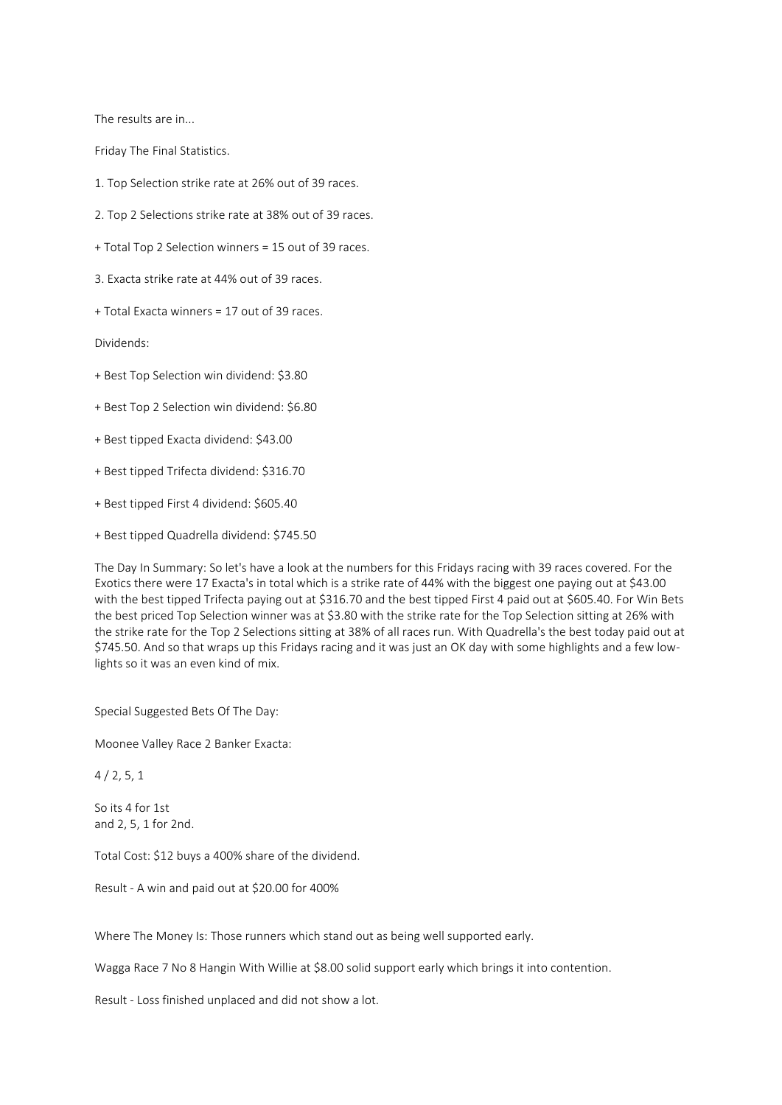The results are in...

Friday The Final Statistics.

1. Top Selection strike rate at 26% out of 39 races.

2. Top 2 Selections strike rate at 38% out of 39 races.

+ Total Top 2 Selection winners = 15 out of 39 races.

3. Exacta strike rate at 44% out of 39 races.

+ Total Exacta winners = 17 out of 39 races.

Dividends:

+ Best Top Selection win dividend: \$3.80

+ Best Top 2 Selection win dividend: \$6.80

+ Best tipped Exacta dividend: \$43.00

+ Best tipped Trifecta dividend: \$316.70

+ Best tipped First 4 dividend: \$605.40

+ Best tipped Quadrella dividend: \$745.50

The Day In Summary: So let's have a look at the numbers for this Fridays racing with 39 races covered. For the Exotics there were 17 Exacta's in total which is a strike rate of 44% with the biggest one paying out at \$43.00 with the best tipped Trifecta paying out at \$316.70 and the best tipped First 4 paid out at \$605.40. For Win Bets the best priced Top Selection winner was at \$3.80 with the strike rate for the Top Selection sitting at 26% with the strike rate for the Top 2 Selections sitting at 38% of all races run. With Quadrella's the best today paid out at \$745.50. And so that wraps up this Fridays racing and it was just an OK day with some highlights and a few lowlights so it was an even kind of mix.

Special Suggested Bets Of The Day:

Moonee Valley Race 2 Banker Exacta:

## $4/2, 5, 1$

So its 4 for 1st and 2, 5, 1 for 2nd.

Total Cost: \$12 buys a 400% share of the dividend.

Result - A win and paid out at \$20.00 for 400%

Where The Money Is: Those runners which stand out as being well supported early.

Wagga Race 7 No 8 Hangin With Willie at \$8.00 solid support early which brings it into contention.

Result - Loss finished unplaced and did not show a lot.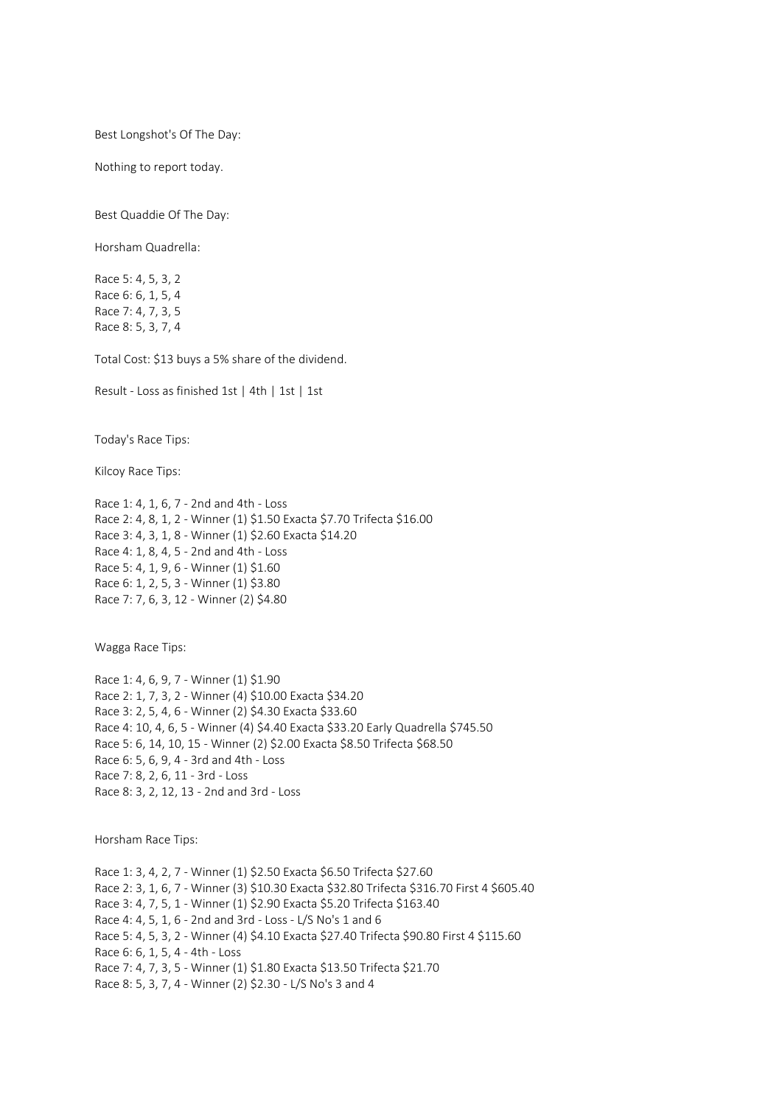Best Longshot's Of The Day:

Nothing to report today.

Best Quaddie Of The Day:

Horsham Quadrella:

Race 5: 4, 5, 3, 2 Race 6: 6, 1, 5, 4 Race 7: 4, 7, 3, 5 Race 8: 5, 3, 7, 4

Total Cost: \$13 buys a 5% share of the dividend.

Result - Loss as finished 1st | 4th | 1st | 1st

Today's Race Tips:

Kilcoy Race Tips:

Race 1: 4, 1, 6, 7 - 2nd and 4th - Loss Race 2: 4, 8, 1, 2 - Winner (1) \$1.50 Exacta \$7.70 Trifecta \$16.00 Race 3: 4, 3, 1, 8 - Winner (1) \$2.60 Exacta \$14.20 Race 4: 1, 8, 4, 5 - 2nd and 4th - Loss Race 5: 4, 1, 9, 6 - Winner (1) \$1.60 Race 6: 1, 2, 5, 3 - Winner (1) \$3.80 Race 7: 7, 6, 3, 12 - Winner (2) \$4.80

Wagga Race Tips:

Race 1: 4, 6, 9, 7 - Winner (1) \$1.90 Race 2: 1, 7, 3, 2 - Winner (4) \$10.00 Exacta \$34.20 Race 3: 2, 5, 4, 6 - Winner (2) \$4.30 Exacta \$33.60 Race 4: 10, 4, 6, 5 - Winner (4) \$4.40 Exacta \$33.20 Early Quadrella \$745.50 Race 5: 6, 14, 10, 15 - Winner (2) \$2.00 Exacta \$8.50 Trifecta \$68.50 Race 6: 5, 6, 9, 4 - 3rd and 4th - Loss Race 7: 8, 2, 6, 11 - 3rd - Loss Race 8: 3, 2, 12, 13 - 2nd and 3rd - Loss

Horsham Race Tips:

Race 1: 3, 4, 2, 7 - Winner (1) \$2.50 Exacta \$6.50 Trifecta \$27.60 Race 2: 3, 1, 6, 7 - Winner (3) \$10.30 Exacta \$32.80 Trifecta \$316.70 First 4 \$605.40 Race 3: 4, 7, 5, 1 - Winner (1) \$2.90 Exacta \$5.20 Trifecta \$163.40 Race 4: 4, 5, 1, 6 - 2nd and 3rd - Loss - L/S No's 1 and 6 Race 5: 4, 5, 3, 2 - Winner (4) \$4.10 Exacta \$27.40 Trifecta \$90.80 First 4 \$115.60 Race 6: 6, 1, 5, 4 - 4th - Loss Race 7: 4, 7, 3, 5 - Winner (1) \$1.80 Exacta \$13.50 Trifecta \$21.70 Race 8: 5, 3, 7, 4 - Winner (2) \$2.30 - L/S No's 3 and 4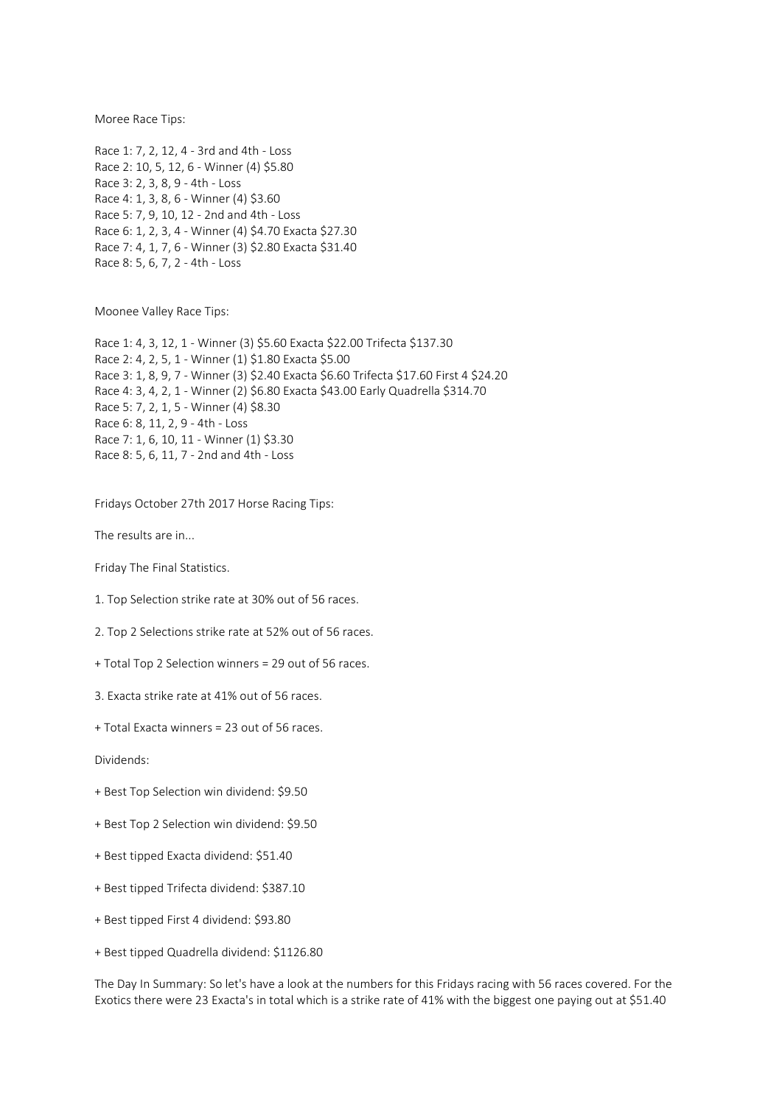Moree Race Tips:

Race 1: 7, 2, 12, 4 - 3rd and 4th - Loss Race 2: 10, 5, 12, 6 - Winner (4) \$5.80 Race 3: 2, 3, 8, 9 - 4th - Loss Race 4: 1, 3, 8, 6 - Winner (4) \$3.60 Race 5: 7, 9, 10, 12 - 2nd and 4th - Loss Race 6: 1, 2, 3, 4 - Winner (4) \$4.70 Exacta \$27.30 Race 7: 4, 1, 7, 6 - Winner (3) \$2.80 Exacta \$31.40 Race 8: 5, 6, 7, 2 - 4th - Loss

Moonee Valley Race Tips:

Race 1: 4, 3, 12, 1 - Winner (3) \$5.60 Exacta \$22.00 Trifecta \$137.30 Race 2: 4, 2, 5, 1 - Winner (1) \$1.80 Exacta \$5.00 Race 3: 1, 8, 9, 7 - Winner (3) \$2.40 Exacta \$6.60 Trifecta \$17.60 First 4 \$24.20 Race 4: 3, 4, 2, 1 - Winner (2) \$6.80 Exacta \$43.00 Early Quadrella \$314.70 Race 5: 7, 2, 1, 5 - Winner (4) \$8.30 Race 6: 8, 11, 2, 9 - 4th - Loss Race 7: 1, 6, 10, 11 - Winner (1) \$3.30 Race 8: 5, 6, 11, 7 - 2nd and 4th - Loss

Fridays October 27th 2017 Horse Racing Tips:

The results are in...

Friday The Final Statistics.

1. Top Selection strike rate at 30% out of 56 races.

2. Top 2 Selections strike rate at 52% out of 56 races.

+ Total Top 2 Selection winners = 29 out of 56 races.

3. Exacta strike rate at 41% out of 56 races.

+ Total Exacta winners = 23 out of 56 races.

Dividends:

- + Best Top Selection win dividend: \$9.50
- + Best Top 2 Selection win dividend: \$9.50
- + Best tipped Exacta dividend: \$51.40
- + Best tipped Trifecta dividend: \$387.10
- + Best tipped First 4 dividend: \$93.80
- + Best tipped Quadrella dividend: \$1126.80

The Day In Summary: So let's have a look at the numbers for this Fridays racing with 56 races covered. For the Exotics there were 23 Exacta's in total which is a strike rate of 41% with the biggest one paying out at \$51.40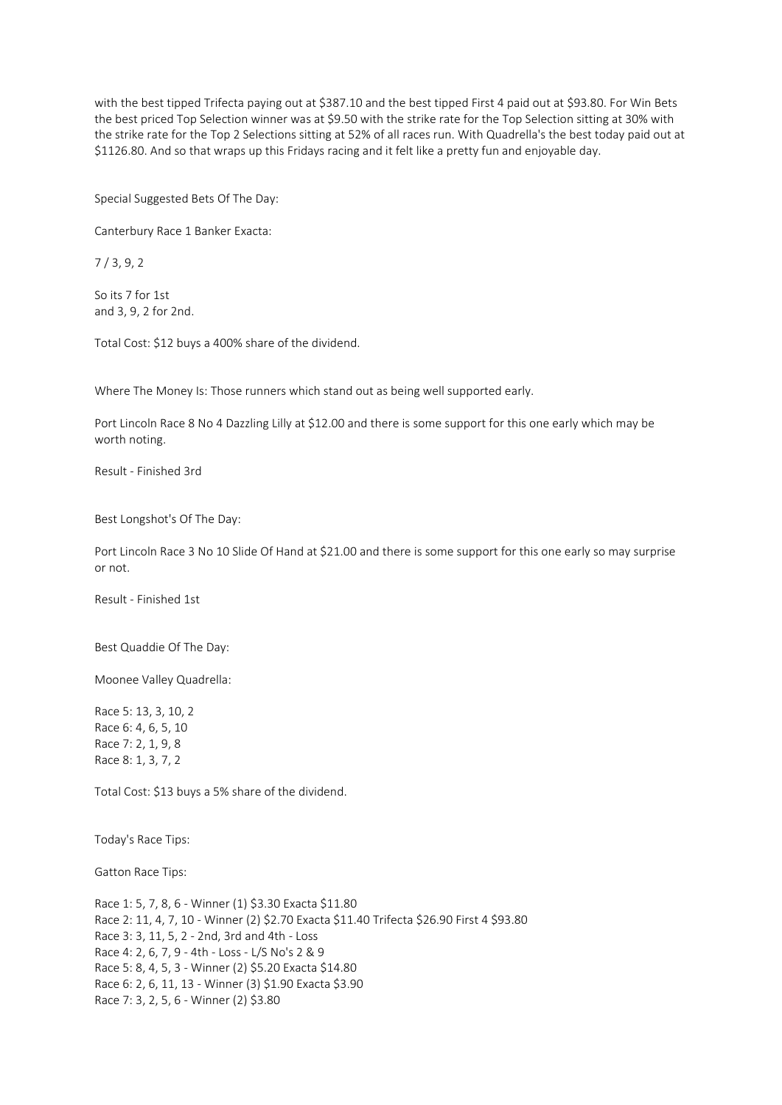with the best tipped Trifecta paying out at \$387.10 and the best tipped First 4 paid out at \$93.80. For Win Bets the best priced Top Selection winner was at \$9.50 with the strike rate for the Top Selection sitting at 30% with the strike rate for the Top 2 Selections sitting at 52% of all races run. With Quadrella's the best today paid out at \$1126.80. And so that wraps up this Fridays racing and it felt like a pretty fun and enjoyable day.

Special Suggested Bets Of The Day:

Canterbury Race 1 Banker Exacta:

7 / 3, 9, 2

So its 7 for 1st and 3, 9, 2 for 2nd.

Total Cost: \$12 buys a 400% share of the dividend.

Where The Money Is: Those runners which stand out as being well supported early.

Port Lincoln Race 8 No 4 Dazzling Lilly at \$12.00 and there is some support for this one early which may be worth noting.

Result - Finished 3rd

Best Longshot's Of The Day:

Port Lincoln Race 3 No 10 Slide Of Hand at \$21.00 and there is some support for this one early so may surprise or not.

Result - Finished 1st

Best Quaddie Of The Day:

Moonee Valley Quadrella:

Race 5: 13, 3, 10, 2 Race 6: 4, 6, 5, 10 Race 7: 2, 1, 9, 8 Race 8: 1, 3, 7, 2

Total Cost: \$13 buys a 5% share of the dividend.

Today's Race Tips:

Gatton Race Tips:

Race 1: 5, 7, 8, 6 - Winner (1) \$3.30 Exacta \$11.80 Race 2: 11, 4, 7, 10 - Winner (2) \$2.70 Exacta \$11.40 Trifecta \$26.90 First 4 \$93.80 Race 3: 3, 11, 5, 2 - 2nd, 3rd and 4th - Loss Race 4: 2, 6, 7, 9 - 4th - Loss - L/S No's 2 & 9 Race 5: 8, 4, 5, 3 - Winner (2) \$5.20 Exacta \$14.80 Race 6: 2, 6, 11, 13 - Winner (3) \$1.90 Exacta \$3.90 Race 7: 3, 2, 5, 6 - Winner (2) \$3.80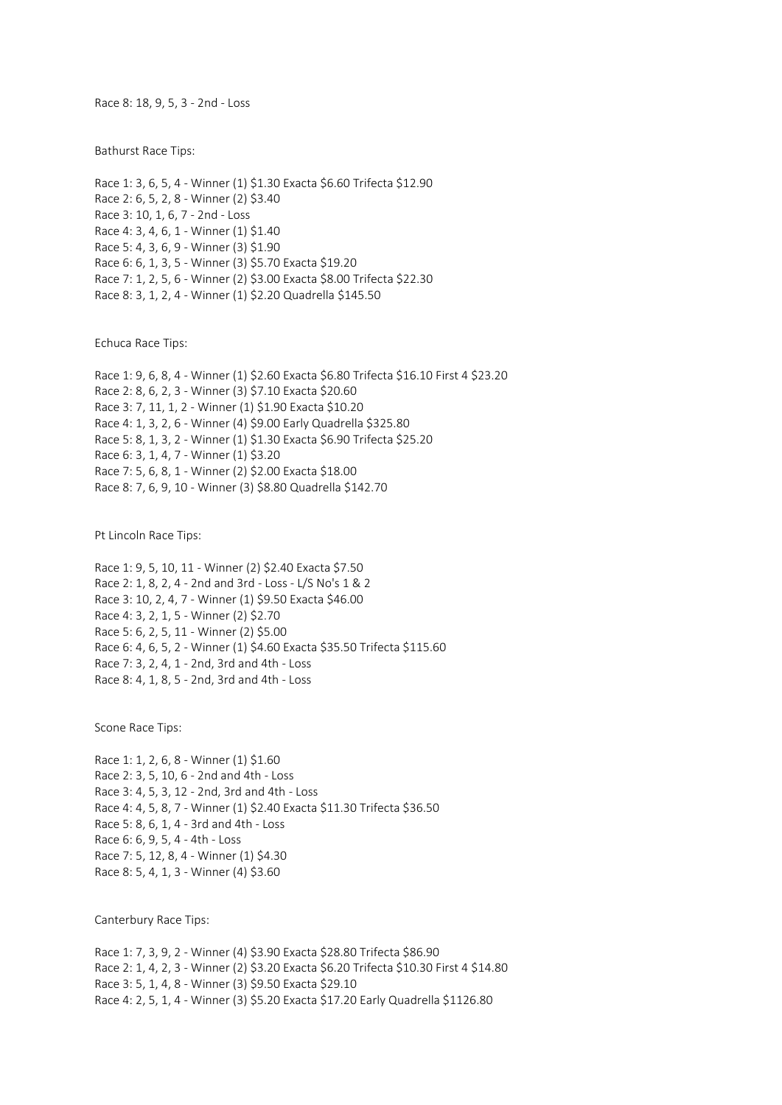Race 8: 18, 9, 5, 3 - 2nd - Loss

Bathurst Race Tips:

Race 1: 3, 6, 5, 4 - Winner (1) \$1.30 Exacta \$6.60 Trifecta \$12.90 Race 2: 6, 5, 2, 8 - Winner (2) \$3.40 Race 3: 10, 1, 6, 7 - 2nd - Loss Race 4: 3, 4, 6, 1 - Winner (1) \$1.40 Race 5: 4, 3, 6, 9 - Winner (3) \$1.90 Race 6: 6, 1, 3, 5 - Winner (3) \$5.70 Exacta \$19.20 Race 7: 1, 2, 5, 6 - Winner (2) \$3.00 Exacta \$8.00 Trifecta \$22.30 Race 8: 3, 1, 2, 4 - Winner (1) \$2.20 Quadrella \$145.50

Echuca Race Tips:

Race 1: 9, 6, 8, 4 - Winner (1) \$2.60 Exacta \$6.80 Trifecta \$16.10 First 4 \$23.20 Race 2: 8, 6, 2, 3 - Winner (3) \$7.10 Exacta \$20.60 Race 3: 7, 11, 1, 2 - Winner (1) \$1.90 Exacta \$10.20 Race 4: 1, 3, 2, 6 - Winner (4) \$9.00 Early Quadrella \$325.80 Race 5: 8, 1, 3, 2 - Winner (1) \$1.30 Exacta \$6.90 Trifecta \$25.20 Race 6: 3, 1, 4, 7 - Winner (1) \$3.20 Race 7: 5, 6, 8, 1 - Winner (2) \$2.00 Exacta \$18.00 Race 8: 7, 6, 9, 10 - Winner (3) \$8.80 Quadrella \$142.70

Pt Lincoln Race Tips:

Race 1: 9, 5, 10, 11 - Winner (2) \$2.40 Exacta \$7.50 Race 2: 1, 8, 2, 4 - 2nd and 3rd - Loss - L/S No's 1 & 2 Race 3: 10, 2, 4, 7 - Winner (1) \$9.50 Exacta \$46.00 Race 4: 3, 2, 1, 5 - Winner (2) \$2.70 Race 5: 6, 2, 5, 11 - Winner (2) \$5.00 Race 6: 4, 6, 5, 2 - Winner (1) \$4.60 Exacta \$35.50 Trifecta \$115.60 Race 7: 3, 2, 4, 1 - 2nd, 3rd and 4th - Loss Race 8: 4, 1, 8, 5 - 2nd, 3rd and 4th - Loss

Scone Race Tips:

Race 1: 1, 2, 6, 8 - Winner (1) \$1.60 Race 2: 3, 5, 10, 6 - 2nd and 4th - Loss Race 3: 4, 5, 3, 12 - 2nd, 3rd and 4th - Loss Race 4: 4, 5, 8, 7 - Winner (1) \$2.40 Exacta \$11.30 Trifecta \$36.50 Race 5: 8, 6, 1, 4 - 3rd and 4th - Loss Race 6: 6, 9, 5, 4 - 4th - Loss Race 7: 5, 12, 8, 4 - Winner (1) \$4.30 Race 8: 5, 4, 1, 3 - Winner (4) \$3.60

Canterbury Race Tips:

Race 1: 7, 3, 9, 2 - Winner (4) \$3.90 Exacta \$28.80 Trifecta \$86.90 Race 2: 1, 4, 2, 3 - Winner (2) \$3.20 Exacta \$6.20 Trifecta \$10.30 First 4 \$14.80 Race 3: 5, 1, 4, 8 - Winner (3) \$9.50 Exacta \$29.10 Race 4: 2, 5, 1, 4 - Winner (3) \$5.20 Exacta \$17.20 Early Quadrella \$1126.80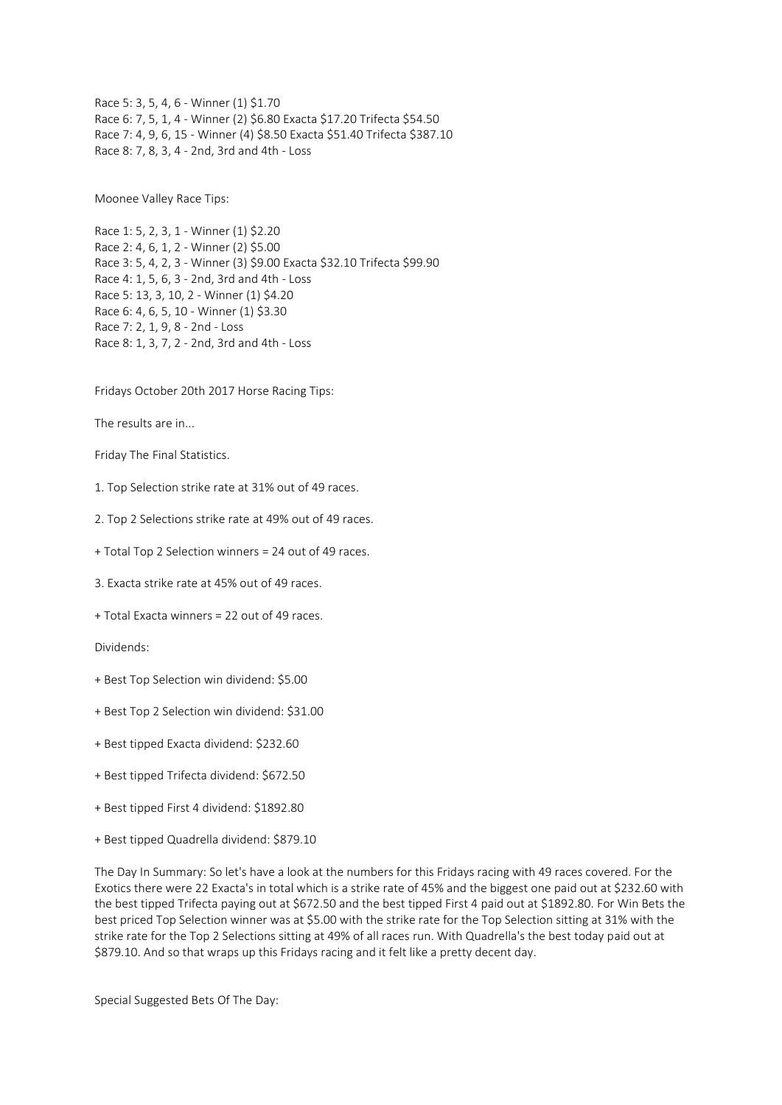Race 5: 3, 5, 4, 6 - Winner (1) \$1.70 Race 6: 7, 5, 1, 4 - Winner (2) \$6.80 Exacta \$17.20 Trifecta \$54.50 Race 7: 4, 9, 6, 15 - Winner (4) \$8.50 Exacta \$51.40 Trifecta \$387.10 Race 8: 7, 8, 3, 4 - 2nd, 3rd and 4th - Loss

Moonee Valley Race Tips:

Race 1: 5, 2, 3, 1 - Winner (1) \$2.20 Race 2: 4, 6, 1, 2 - Winner (2) \$5.00 Race 3: 5, 4, 2, 3 - Winner (3) \$9.00 Exacta \$32.10 Trifecta \$99.90 Race 4: 1, 5, 6, 3 - 2nd, 3rd and 4th - Loss Race 5: 13, 3, 10, 2 - Winner (1) \$4.20 Race 6: 4, 6, 5, 10 - Winner (1) \$3.30 Race 7: 2, 1, 9, 8 - 2nd - Loss Race 8: 1, 3, 7, 2 - 2nd, 3rd and 4th - Loss

Fridays October 20th 2017 Horse Racing Tips:

The results are in...

Friday The Final Statistics.

1. Top Selection strike rate at 31% out of 49 races.

2. Top 2 Selections strike rate at 49% out of 49 races.

+ Total Top 2 Selection winners = 24 out of 49 races.

3. Exacta strike rate at 45% out of 49 races.

+ Total Exacta winners = 22 out of 49 races.

Dividends:

- + Best Top Selection win dividend: \$5.00
- + Best Top 2 Selection win dividend: \$31.00
- + Best tipped Exacta dividend: \$232.60
- + Best tipped Trifecta dividend: \$672.50
- + Best tipped First 4 dividend: \$1892.80
- + Best tipped Quadrella dividend: \$879.10

The Day In Summary: So let's have a look at the numbers for this Fridays racing with 49 races covered. For the Exotics there were 22 Exacta's in total which is a strike rate of 45% and the biggest one paid out at \$232.60 with the best tipped Trifecta paying out at \$672.50 and the best tipped First 4 paid out at \$1892.80. For Win Bets the best priced Top Selection winner was at \$5.00 with the strike rate for the Top Selection sitting at 31% with the strike rate for the Top 2 Selections sitting at 49% of all races run. With Quadrella's the best today paid out at \$879.10. And so that wraps up this Fridays racing and it felt like a pretty decent day.

Special Suggested Bets Of The Day: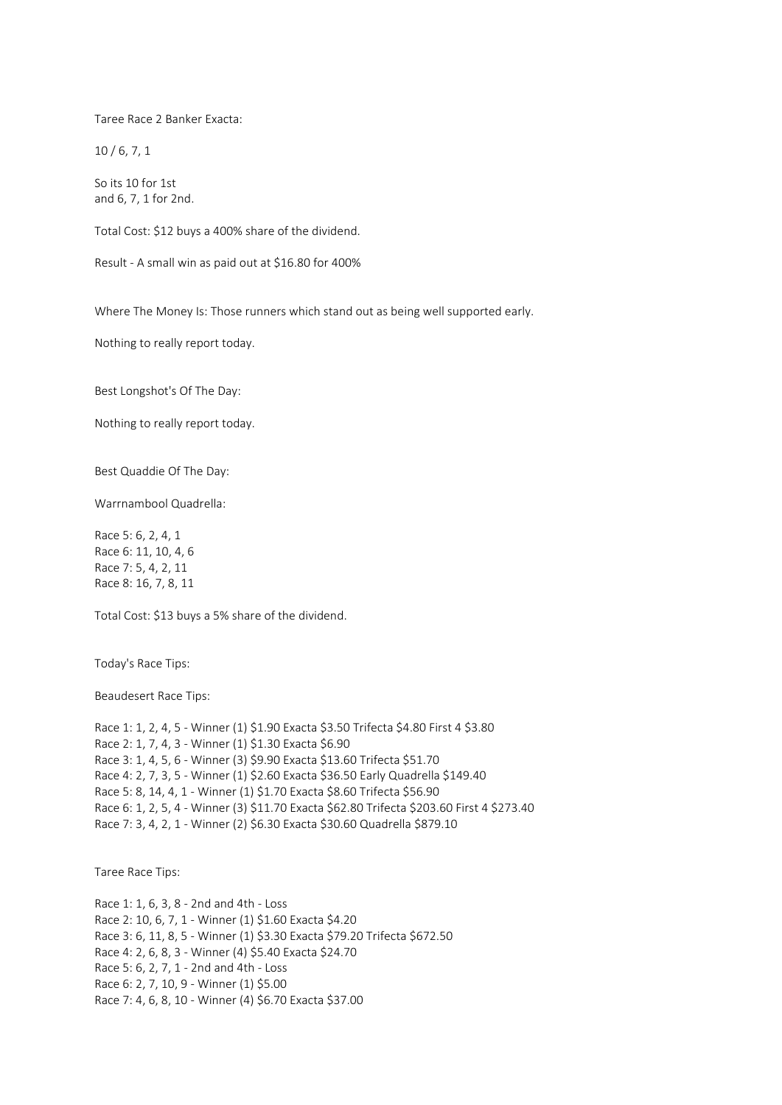Taree Race 2 Banker Exacta:

10 / 6, 7, 1

So its 10 for 1st and 6, 7, 1 for 2nd.

Total Cost: \$12 buys a 400% share of the dividend.

Result - A small win as paid out at \$16.80 for 400%

Where The Money Is: Those runners which stand out as being well supported early.

Nothing to really report today.

Best Longshot's Of The Day:

Nothing to really report today.

Best Quaddie Of The Day:

Warrnambool Quadrella:

Race 5: 6, 2, 4, 1 Race 6: 11, 10, 4, 6 Race 7: 5, 4, 2, 11 Race 8: 16, 7, 8, 11

Total Cost: \$13 buys a 5% share of the dividend.

Today's Race Tips:

Beaudesert Race Tips:

Race 1: 1, 2, 4, 5 - Winner (1) \$1.90 Exacta \$3.50 Trifecta \$4.80 First 4 \$3.80 Race 2: 1, 7, 4, 3 - Winner (1) \$1.30 Exacta \$6.90 Race 3: 1, 4, 5, 6 - Winner (3) \$9.90 Exacta \$13.60 Trifecta \$51.70 Race 4: 2, 7, 3, 5 - Winner (1) \$2.60 Exacta \$36.50 Early Quadrella \$149.40 Race 5: 8, 14, 4, 1 - Winner (1) \$1.70 Exacta \$8.60 Trifecta \$56.90 Race 6: 1, 2, 5, 4 - Winner (3) \$11.70 Exacta \$62.80 Trifecta \$203.60 First 4 \$273.40 Race 7: 3, 4, 2, 1 - Winner (2) \$6.30 Exacta \$30.60 Quadrella \$879.10

Taree Race Tips:

Race 1: 1, 6, 3, 8 - 2nd and 4th - Loss Race 2: 10, 6, 7, 1 - Winner (1) \$1.60 Exacta \$4.20 Race 3: 6, 11, 8, 5 - Winner (1) \$3.30 Exacta \$79.20 Trifecta \$672.50 Race 4: 2, 6, 8, 3 - Winner (4) \$5.40 Exacta \$24.70 Race 5: 6, 2, 7, 1 - 2nd and 4th - Loss Race 6: 2, 7, 10, 9 - Winner (1) \$5.00 Race 7: 4, 6, 8, 10 - Winner (4) \$6.70 Exacta \$37.00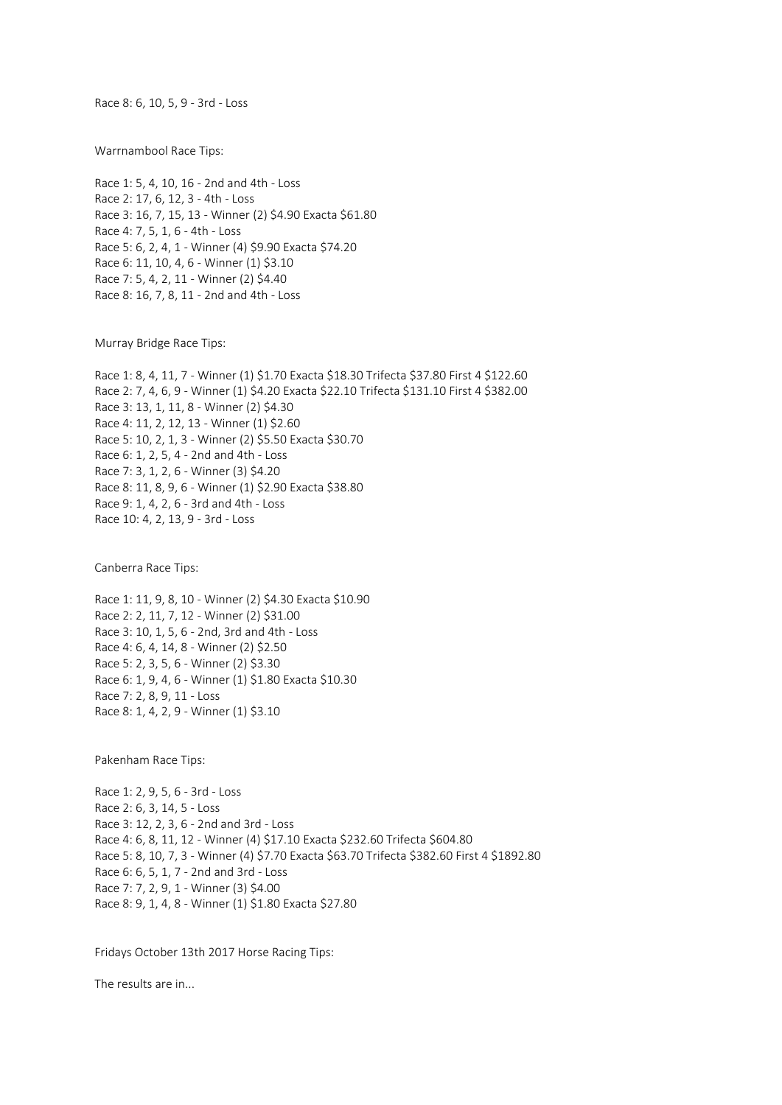Race 8: 6, 10, 5, 9 - 3rd - Loss

Warrnambool Race Tips:

Race 1: 5, 4, 10, 16 - 2nd and 4th - Loss Race 2: 17, 6, 12, 3 - 4th - Loss Race 3: 16, 7, 15, 13 - Winner (2) \$4.90 Exacta \$61.80 Race 4: 7, 5, 1, 6 - 4th - Loss Race 5: 6, 2, 4, 1 - Winner (4) \$9.90 Exacta \$74.20 Race 6: 11, 10, 4, 6 - Winner (1) \$3.10 Race 7: 5, 4, 2, 11 - Winner (2) \$4.40 Race 8: 16, 7, 8, 11 - 2nd and 4th - Loss

Murray Bridge Race Tips:

Race 1: 8, 4, 11, 7 - Winner (1) \$1.70 Exacta \$18.30 Trifecta \$37.80 First 4 \$122.60 Race 2: 7, 4, 6, 9 - Winner (1) \$4.20 Exacta \$22.10 Trifecta \$131.10 First 4 \$382.00 Race 3: 13, 1, 11, 8 - Winner (2) \$4.30 Race 4: 11, 2, 12, 13 - Winner (1) \$2.60 Race 5: 10, 2, 1, 3 - Winner (2) \$5.50 Exacta \$30.70 Race 6: 1, 2, 5, 4 - 2nd and 4th - Loss Race 7: 3, 1, 2, 6 - Winner (3) \$4.20 Race 8: 11, 8, 9, 6 - Winner (1) \$2.90 Exacta \$38.80 Race 9: 1, 4, 2, 6 - 3rd and 4th - Loss Race 10: 4, 2, 13, 9 - 3rd - Loss

Canberra Race Tips:

Race 1: 11, 9, 8, 10 - Winner (2) \$4.30 Exacta \$10.90 Race 2: 2, 11, 7, 12 - Winner (2) \$31.00 Race 3: 10, 1, 5, 6 - 2nd, 3rd and 4th - Loss Race 4: 6, 4, 14, 8 - Winner (2) \$2.50 Race 5: 2, 3, 5, 6 - Winner (2) \$3.30 Race 6: 1, 9, 4, 6 - Winner (1) \$1.80 Exacta \$10.30 Race 7: 2, 8, 9, 11 - Loss Race 8: 1, 4, 2, 9 - Winner (1) \$3.10

Pakenham Race Tips:

Race 1: 2, 9, 5, 6 - 3rd - Loss Race 2: 6, 3, 14, 5 - Loss Race 3: 12, 2, 3, 6 - 2nd and 3rd - Loss Race 4: 6, 8, 11, 12 - Winner (4) \$17.10 Exacta \$232.60 Trifecta \$604.80 Race 5: 8, 10, 7, 3 - Winner (4) \$7.70 Exacta \$63.70 Trifecta \$382.60 First 4 \$1892.80 Race 6: 6, 5, 1, 7 - 2nd and 3rd - Loss Race 7: 7, 2, 9, 1 - Winner (3) \$4.00 Race 8: 9, 1, 4, 8 - Winner (1) \$1.80 Exacta \$27.80

Fridays October 13th 2017 Horse Racing Tips:

The results are in...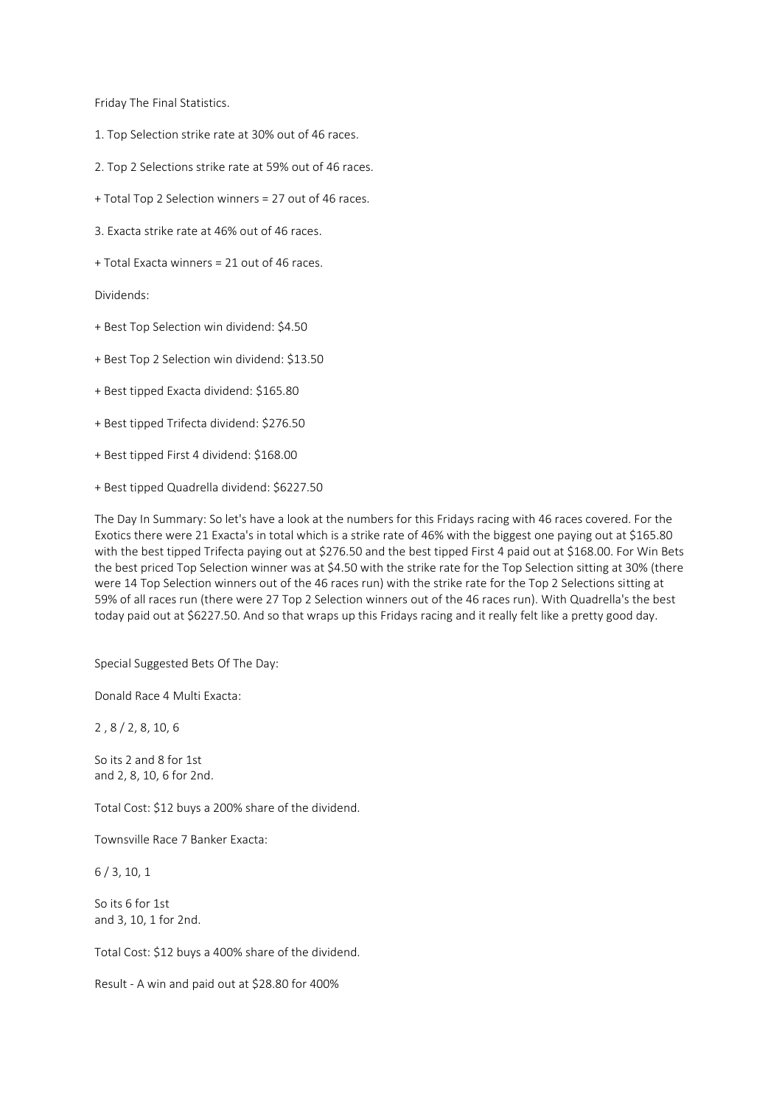Friday The Final Statistics.

- 1. Top Selection strike rate at 30% out of 46 races.
- 2. Top 2 Selections strike rate at 59% out of 46 races.
- + Total Top 2 Selection winners = 27 out of 46 races.
- 3. Exacta strike rate at 46% out of 46 races.
- + Total Exacta winners = 21 out of 46 races.

Dividends:

- + Best Top Selection win dividend: \$4.50
- + Best Top 2 Selection win dividend: \$13.50
- + Best tipped Exacta dividend: \$165.80
- + Best tipped Trifecta dividend: \$276.50
- + Best tipped First 4 dividend: \$168.00
- + Best tipped Quadrella dividend: \$6227.50

The Day In Summary: So let's have a look at the numbers for this Fridays racing with 46 races covered. For the Exotics there were 21 Exacta's in total which is a strike rate of 46% with the biggest one paying out at \$165.80 with the best tipped Trifecta paying out at \$276.50 and the best tipped First 4 paid out at \$168.00. For Win Bets the best priced Top Selection winner was at \$4.50 with the strike rate for the Top Selection sitting at 30% (there were 14 Top Selection winners out of the 46 races run) with the strike rate for the Top 2 Selections sitting at 59% of all races run (there were 27 Top 2 Selection winners out of the 46 races run). With Quadrella's the best today paid out at \$6227.50. And so that wraps up this Fridays racing and it really felt like a pretty good day.

Special Suggested Bets Of The Day:

Donald Race 4 Multi Exacta:

2 , 8 / 2, 8, 10, 6

So its 2 and 8 for 1st and 2, 8, 10, 6 for 2nd.

Total Cost: \$12 buys a 200% share of the dividend.

Townsville Race 7 Banker Exacta:

6 / 3, 10, 1

So its 6 for 1st and 3, 10, 1 for 2nd.

Total Cost: \$12 buys a 400% share of the dividend.

Result - A win and paid out at \$28.80 for 400%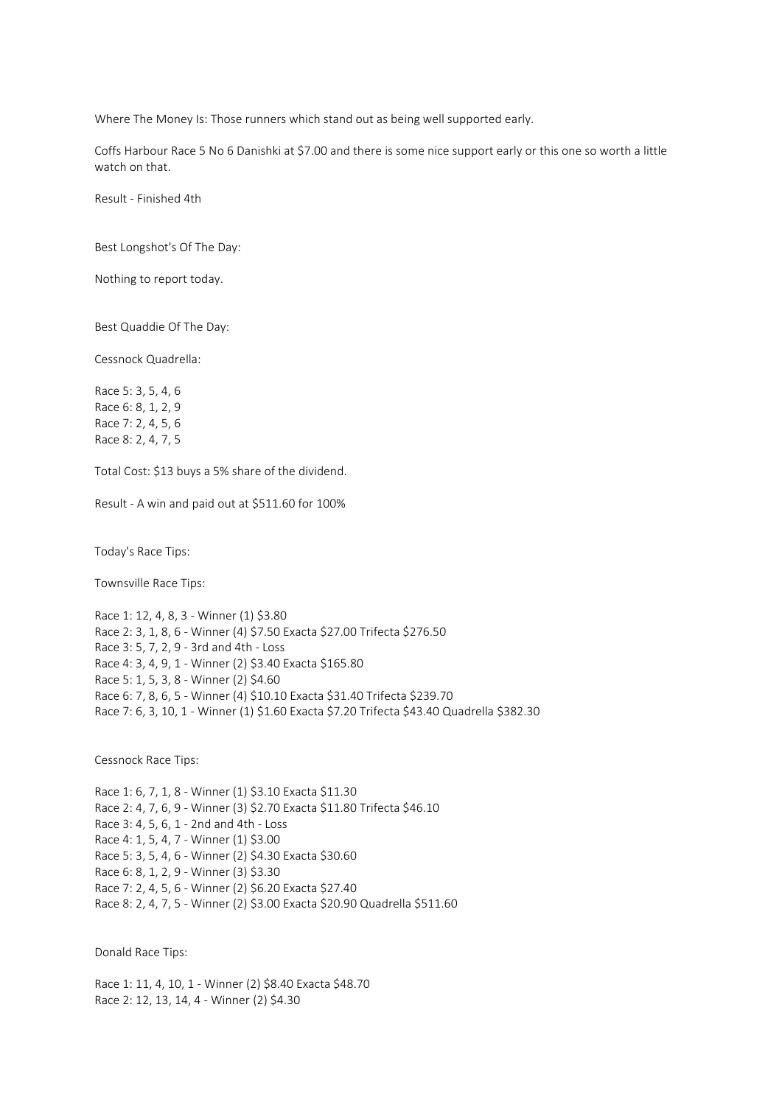Where The Money Is: Those runners which stand out as being well supported early.

Coffs Harbour Race 5 No 6 Danishki at \$7.00 and there is some nice support early or this one so worth a little watch on that.

Result - Finished 4th

Best Longshot's Of The Day:

Nothing to report today.

Best Quaddie Of The Day:

Cessnock Quadrella:

Race 5: 3, 5, 4, 6 Race 6: 8, 1, 2, 9 Race 7: 2, 4, 5, 6 Race 8: 2, 4, 7, 5

Total Cost: \$13 buys a 5% share of the dividend.

Result - A win and paid out at \$511.60 for 100%

Today's Race Tips:

Townsville Race Tips:

Race 1: 12, 4, 8, 3 - Winner (1) \$3.80 Race 2: 3, 1, 8, 6 - Winner (4) \$7.50 Exacta \$27.00 Trifecta \$276.50 Race 3: 5, 7, 2, 9 - 3rd and 4th - Loss Race 4: 3, 4, 9, 1 - Winner (2) \$3.40 Exacta \$165.80 Race 5: 1, 5, 3, 8 - Winner (2) \$4.60 Race 6: 7, 8, 6, 5 - Winner (4) \$10.10 Exacta \$31.40 Trifecta \$239.70 Race 7: 6, 3, 10, 1 - Winner (1) \$1.60 Exacta \$7.20 Trifecta \$43.40 Quadrella \$382.30

Cessnock Race Tips:

Race 1: 6, 7, 1, 8 - Winner (1) \$3.10 Exacta \$11.30 Race 2: 4, 7, 6, 9 - Winner (3) \$2.70 Exacta \$11.80 Trifecta \$46.10 Race 3: 4, 5, 6, 1 - 2nd and 4th - Loss Race 4: 1, 5, 4, 7 - Winner (1) \$3.00 Race 5: 3, 5, 4, 6 - Winner (2) \$4.30 Exacta \$30.60 Race 6: 8, 1, 2, 9 - Winner (3) \$3.30 Race 7: 2, 4, 5, 6 - Winner (2) \$6.20 Exacta \$27.40 Race 8: 2, 4, 7, 5 - Winner (2) \$3.00 Exacta \$20.90 Quadrella \$511.60

Donald Race Tips:

Race 1: 11, 4, 10, 1 - Winner (2) \$8.40 Exacta \$48.70 Race 2: 12, 13, 14, 4 - Winner (2) \$4.30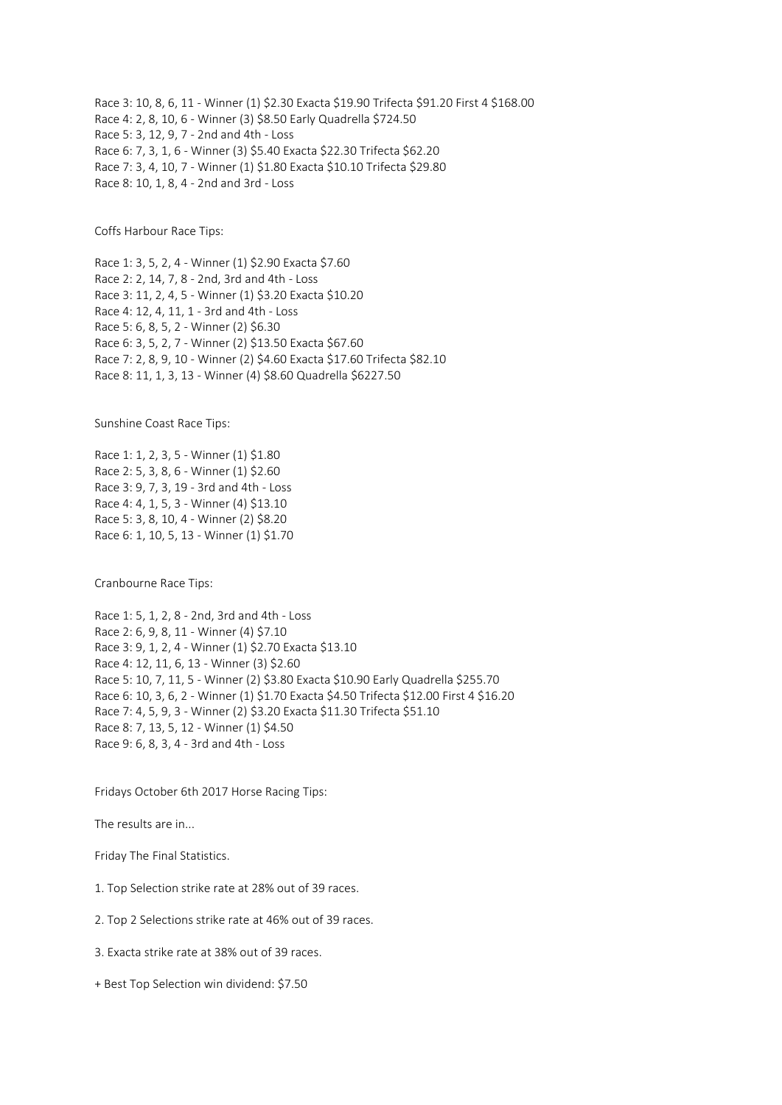Race 3: 10, 8, 6, 11 - Winner (1) \$2.30 Exacta \$19.90 Trifecta \$91.20 First 4 \$168.00 Race 4: 2, 8, 10, 6 - Winner (3) \$8.50 Early Quadrella \$724.50 Race 5: 3, 12, 9, 7 - 2nd and 4th - Loss Race 6: 7, 3, 1, 6 - Winner (3) \$5.40 Exacta \$22.30 Trifecta \$62.20 Race 7: 3, 4, 10, 7 - Winner (1) \$1.80 Exacta \$10.10 Trifecta \$29.80 Race 8: 10, 1, 8, 4 - 2nd and 3rd - Loss

Coffs Harbour Race Tips:

Race 1: 3, 5, 2, 4 - Winner (1) \$2.90 Exacta \$7.60 Race 2: 2, 14, 7, 8 - 2nd, 3rd and 4th - Loss Race 3: 11, 2, 4, 5 - Winner (1) \$3.20 Exacta \$10.20 Race 4: 12, 4, 11, 1 - 3rd and 4th - Loss Race 5: 6, 8, 5, 2 - Winner (2) \$6.30 Race 6: 3, 5, 2, 7 - Winner (2) \$13.50 Exacta \$67.60 Race 7: 2, 8, 9, 10 - Winner (2) \$4.60 Exacta \$17.60 Trifecta \$82.10 Race 8: 11, 1, 3, 13 - Winner (4) \$8.60 Quadrella \$6227.50

Sunshine Coast Race Tips:

Race 1: 1, 2, 3, 5 - Winner (1) \$1.80 Race 2: 5, 3, 8, 6 - Winner (1) \$2.60 Race 3: 9, 7, 3, 19 - 3rd and 4th - Loss Race 4: 4, 1, 5, 3 - Winner (4) \$13.10 Race 5: 3, 8, 10, 4 - Winner (2) \$8.20 Race 6: 1, 10, 5, 13 - Winner (1) \$1.70

Cranbourne Race Tips:

Race 1: 5, 1, 2, 8 - 2nd, 3rd and 4th - Loss Race 2: 6, 9, 8, 11 - Winner (4) \$7.10 Race 3: 9, 1, 2, 4 - Winner (1) \$2.70 Exacta \$13.10 Race 4: 12, 11, 6, 13 - Winner (3) \$2.60 Race 5: 10, 7, 11, 5 - Winner (2) \$3.80 Exacta \$10.90 Early Quadrella \$255.70 Race 6: 10, 3, 6, 2 - Winner (1) \$1.70 Exacta \$4.50 Trifecta \$12.00 First 4 \$16.20 Race 7: 4, 5, 9, 3 - Winner (2) \$3.20 Exacta \$11.30 Trifecta \$51.10 Race 8: 7, 13, 5, 12 - Winner (1) \$4.50 Race 9: 6, 8, 3, 4 - 3rd and 4th - Loss

Fridays October 6th 2017 Horse Racing Tips:

The results are in...

Friday The Final Statistics.

1. Top Selection strike rate at 28% out of 39 races.

2. Top 2 Selections strike rate at 46% out of 39 races.

3. Exacta strike rate at 38% out of 39 races.

+ Best Top Selection win dividend: \$7.50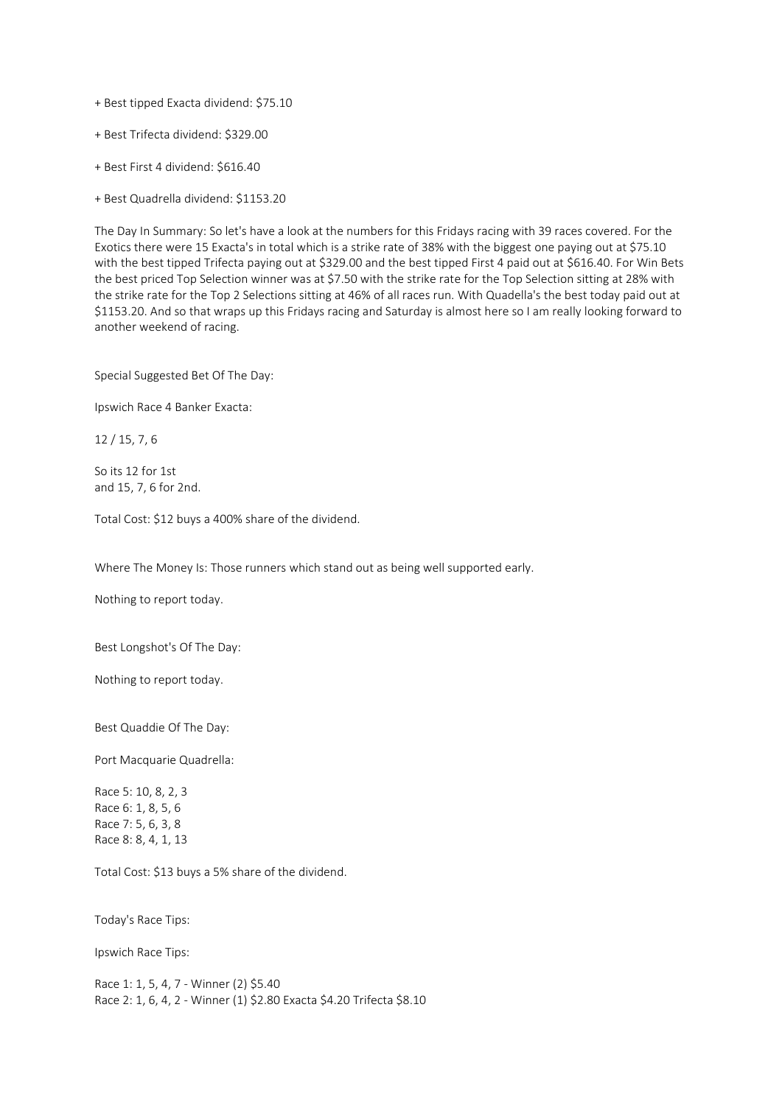+ Best tipped Exacta dividend: \$75.10

+ Best Trifecta dividend: \$329.00

+ Best First 4 dividend: \$616.40

+ Best Quadrella dividend: \$1153.20

The Day In Summary: So let's have a look at the numbers for this Fridays racing with 39 races covered. For the Exotics there were 15 Exacta's in total which is a strike rate of 38% with the biggest one paying out at \$75.10 with the best tipped Trifecta paying out at \$329.00 and the best tipped First 4 paid out at \$616.40. For Win Bets the best priced Top Selection winner was at \$7.50 with the strike rate for the Top Selection sitting at 28% with the strike rate for the Top 2 Selections sitting at 46% of all races run. With Quadella's the best today paid out at \$1153.20. And so that wraps up this Fridays racing and Saturday is almost here so I am really looking forward to another weekend of racing.

Special Suggested Bet Of The Day:

Ipswich Race 4 Banker Exacta:

12 / 15, 7, 6

So its 12 for 1st and 15, 7, 6 for 2nd.

Total Cost: \$12 buys a 400% share of the dividend.

Where The Money Is: Those runners which stand out as being well supported early.

Nothing to report today.

Best Longshot's Of The Day:

Nothing to report today.

Best Quaddie Of The Day:

Port Macquarie Quadrella:

Race 5: 10, 8, 2, 3 Race 6: 1, 8, 5, 6 Race 7: 5, 6, 3, 8 Race 8: 8, 4, 1, 13

Total Cost: \$13 buys a 5% share of the dividend.

Today's Race Tips:

Ipswich Race Tips:

Race 1: 1, 5, 4, 7 - Winner (2) \$5.40 Race 2: 1, 6, 4, 2 - Winner (1) \$2.80 Exacta \$4.20 Trifecta \$8.10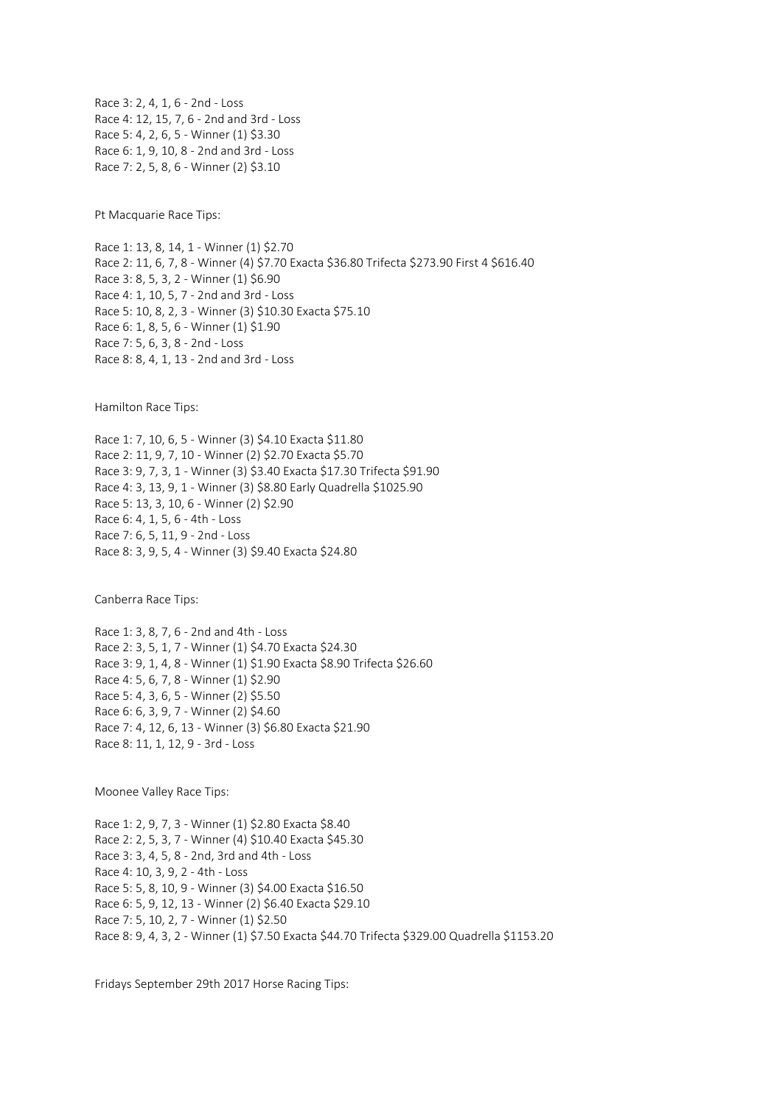Race 3: 2, 4, 1, 6 - 2nd - Loss Race 4: 12, 15, 7, 6 - 2nd and 3rd - Loss Race 5: 4, 2, 6, 5 - Winner (1) \$3.30 Race 6: 1, 9, 10, 8 - 2nd and 3rd - Loss Race 7: 2, 5, 8, 6 - Winner (2) \$3.10

Pt Macquarie Race Tips:

Race 1: 13, 8, 14, 1 - Winner (1) \$2.70 Race 2: 11, 6, 7, 8 - Winner (4) \$7.70 Exacta \$36.80 Trifecta \$273.90 First 4 \$616.40 Race 3: 8, 5, 3, 2 - Winner (1) \$6.90 Race 4: 1, 10, 5, 7 - 2nd and 3rd - Loss Race 5: 10, 8, 2, 3 - Winner (3) \$10.30 Exacta \$75.10 Race 6: 1, 8, 5, 6 - Winner (1) \$1.90 Race 7: 5, 6, 3, 8 - 2nd - Loss Race 8: 8, 4, 1, 13 - 2nd and 3rd - Loss

Hamilton Race Tips:

Race 1: 7, 10, 6, 5 - Winner (3) \$4.10 Exacta \$11.80 Race 2: 11, 9, 7, 10 - Winner (2) \$2.70 Exacta \$5.70 Race 3: 9, 7, 3, 1 - Winner (3) \$3.40 Exacta \$17.30 Trifecta \$91.90 Race 4: 3, 13, 9, 1 - Winner (3) \$8.80 Early Quadrella \$1025.90 Race 5: 13, 3, 10, 6 - Winner (2) \$2.90 Race 6: 4, 1, 5, 6 - 4th - Loss Race 7: 6, 5, 11, 9 - 2nd - Loss Race 8: 3, 9, 5, 4 - Winner (3) \$9.40 Exacta \$24.80

Canberra Race Tips:

Race 1: 3, 8, 7, 6 - 2nd and 4th - Loss Race 2: 3, 5, 1, 7 - Winner (1) \$4.70 Exacta \$24.30 Race 3: 9, 1, 4, 8 - Winner (1) \$1.90 Exacta \$8.90 Trifecta \$26.60 Race 4: 5, 6, 7, 8 - Winner (1) \$2.90 Race 5: 4, 3, 6, 5 - Winner (2) \$5.50 Race 6: 6, 3, 9, 7 - Winner (2) \$4.60 Race 7: 4, 12, 6, 13 - Winner (3) \$6.80 Exacta \$21.90 Race 8: 11, 1, 12, 9 - 3rd - Loss

Moonee Valley Race Tips:

Race 1: 2, 9, 7, 3 - Winner (1) \$2.80 Exacta \$8.40 Race 2: 2, 5, 3, 7 - Winner (4) \$10.40 Exacta \$45.30 Race 3: 3, 4, 5, 8 - 2nd, 3rd and 4th - Loss Race 4: 10, 3, 9, 2 - 4th - Loss Race 5: 5, 8, 10, 9 - Winner (3) \$4.00 Exacta \$16.50 Race 6: 5, 9, 12, 13 - Winner (2) \$6.40 Exacta \$29.10 Race 7: 5, 10, 2, 7 - Winner (1) \$2.50 Race 8: 9, 4, 3, 2 - Winner (1) \$7.50 Exacta \$44.70 Trifecta \$329.00 Quadrella \$1153.20

Fridays September 29th 2017 Horse Racing Tips: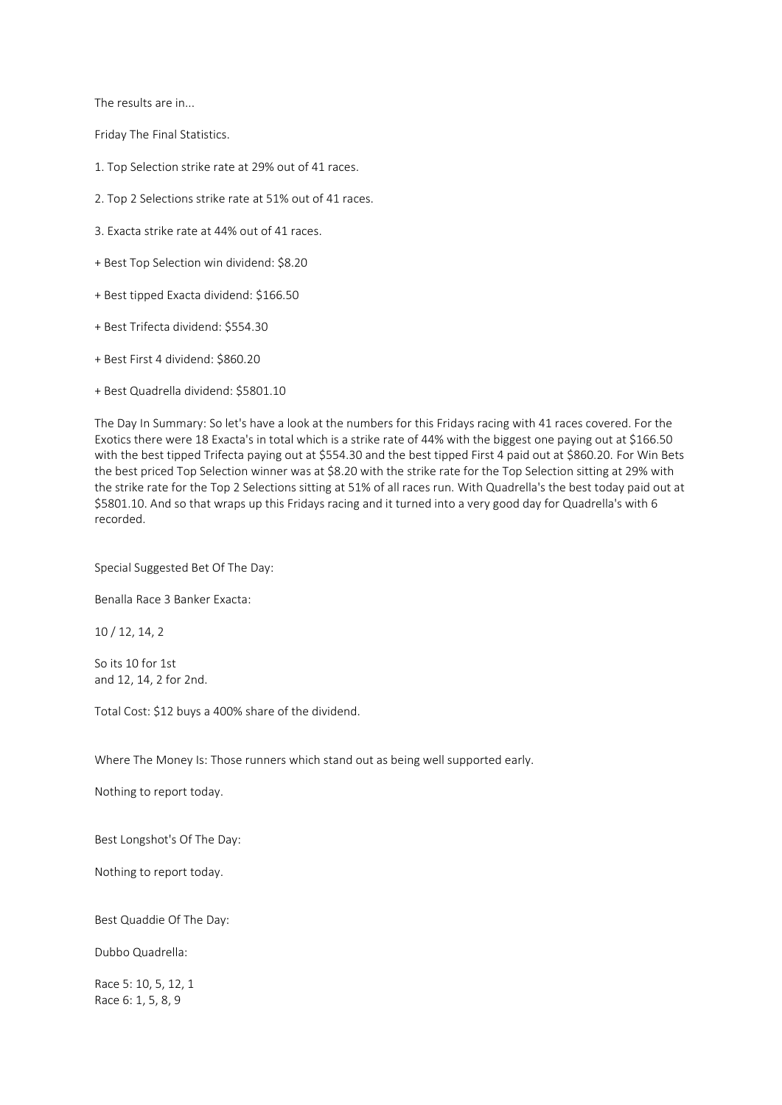The results are in...

Friday The Final Statistics.

- 1. Top Selection strike rate at 29% out of 41 races.
- 2. Top 2 Selections strike rate at 51% out of 41 races.
- 3. Exacta strike rate at 44% out of 41 races.
- + Best Top Selection win dividend: \$8.20
- + Best tipped Exacta dividend: \$166.50
- + Best Trifecta dividend: \$554.30
- + Best First 4 dividend: \$860.20
- + Best Quadrella dividend: \$5801.10

The Day In Summary: So let's have a look at the numbers for this Fridays racing with 41 races covered. For the Exotics there were 18 Exacta's in total which is a strike rate of 44% with the biggest one paying out at \$166.50 with the best tipped Trifecta paying out at \$554.30 and the best tipped First 4 paid out at \$860.20. For Win Bets the best priced Top Selection winner was at \$8.20 with the strike rate for the Top Selection sitting at 29% with the strike rate for the Top 2 Selections sitting at 51% of all races run. With Quadrella's the best today paid out at \$5801.10. And so that wraps up this Fridays racing and it turned into a very good day for Quadrella's with 6 recorded.

Special Suggested Bet Of The Day:

Benalla Race 3 Banker Exacta:

10 / 12, 14, 2

So its 10 for 1st and 12, 14, 2 for 2nd.

Total Cost: \$12 buys a 400% share of the dividend.

Where The Money Is: Those runners which stand out as being well supported early.

Nothing to report today.

Best Longshot's Of The Day:

Nothing to report today.

Best Quaddie Of The Day:

Dubbo Quadrella:

Race 5: 10, 5, 12, 1 Race 6: 1, 5, 8, 9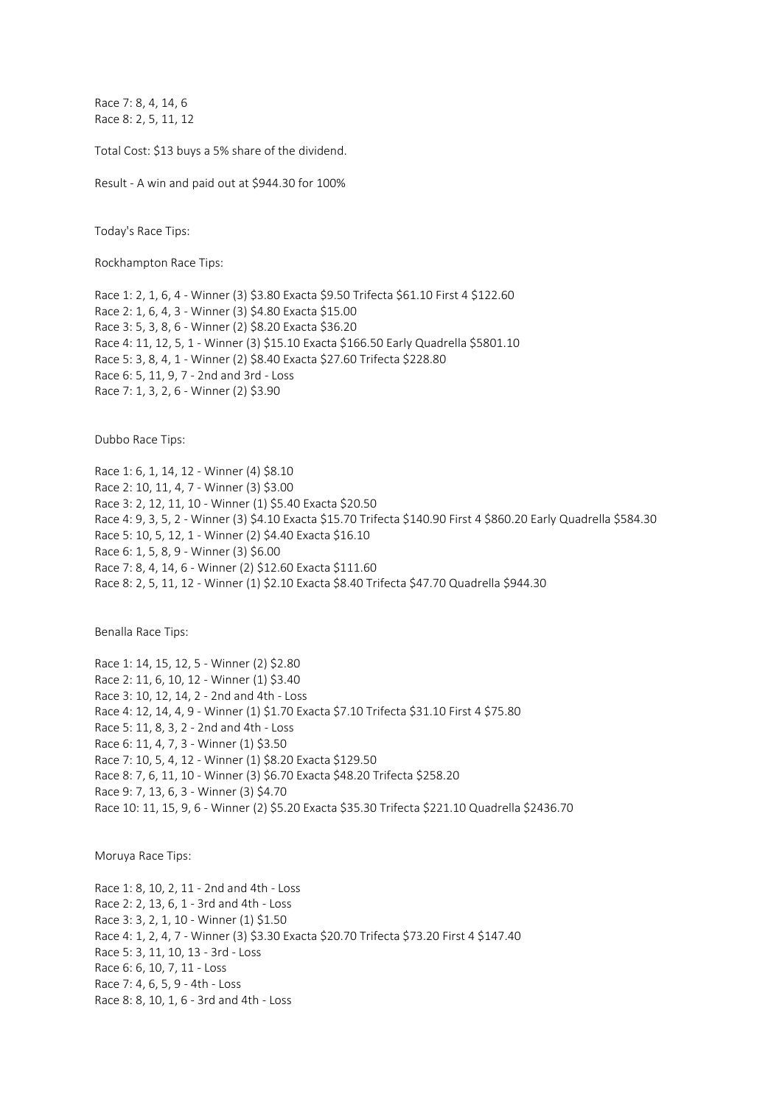Race 7: 8, 4, 14, 6 Race 8: 2, 5, 11, 12

Total Cost: \$13 buys a 5% share of the dividend.

Result - A win and paid out at \$944.30 for 100%

Today's Race Tips:

Rockhampton Race Tips:

Race 1: 2, 1, 6, 4 - Winner (3) \$3.80 Exacta \$9.50 Trifecta \$61.10 First 4 \$122.60 Race 2: 1, 6, 4, 3 - Winner (3) \$4.80 Exacta \$15.00 Race 3: 5, 3, 8, 6 - Winner (2) \$8.20 Exacta \$36.20 Race 4: 11, 12, 5, 1 - Winner (3) \$15.10 Exacta \$166.50 Early Quadrella \$5801.10 Race 5: 3, 8, 4, 1 - Winner (2) \$8.40 Exacta \$27.60 Trifecta \$228.80 Race 6: 5, 11, 9, 7 - 2nd and 3rd - Loss Race 7: 1, 3, 2, 6 - Winner (2) \$3.90

Dubbo Race Tips:

Race 1: 6, 1, 14, 12 - Winner (4) \$8.10 Race 2: 10, 11, 4, 7 - Winner (3) \$3.00 Race 3: 2, 12, 11, 10 - Winner (1) \$5.40 Exacta \$20.50 Race 4: 9, 3, 5, 2 - Winner (3) \$4.10 Exacta \$15.70 Trifecta \$140.90 First 4 \$860.20 Early Quadrella \$584.30 Race 5: 10, 5, 12, 1 - Winner (2) \$4.40 Exacta \$16.10 Race 6: 1, 5, 8, 9 - Winner (3) \$6.00 Race 7: 8, 4, 14, 6 - Winner (2) \$12.60 Exacta \$111.60 Race 8: 2, 5, 11, 12 - Winner (1) \$2.10 Exacta \$8.40 Trifecta \$47.70 Quadrella \$944.30

Benalla Race Tips:

Race 1: 14, 15, 12, 5 - Winner (2) \$2.80 Race 2: 11, 6, 10, 12 - Winner (1) \$3.40 Race 3: 10, 12, 14, 2 - 2nd and 4th - Loss Race 4: 12, 14, 4, 9 - Winner (1) \$1.70 Exacta \$7.10 Trifecta \$31.10 First 4 \$75.80 Race 5: 11, 8, 3, 2 - 2nd and 4th - Loss Race 6: 11, 4, 7, 3 - Winner (1) \$3.50 Race 7: 10, 5, 4, 12 - Winner (1) \$8.20 Exacta \$129.50 Race 8: 7, 6, 11, 10 - Winner (3) \$6.70 Exacta \$48.20 Trifecta \$258.20 Race 9: 7, 13, 6, 3 - Winner (3) \$4.70 Race 10: 11, 15, 9, 6 - Winner (2) \$5.20 Exacta \$35.30 Trifecta \$221.10 Quadrella \$2436.70

Moruya Race Tips:

Race 1: 8, 10, 2, 11 - 2nd and 4th - Loss Race 2: 2, 13, 6, 1 - 3rd and 4th - Loss Race 3: 3, 2, 1, 10 - Winner (1) \$1.50 Race 4: 1, 2, 4, 7 - Winner (3) \$3.30 Exacta \$20.70 Trifecta \$73.20 First 4 \$147.40 Race 5: 3, 11, 10, 13 - 3rd - Loss Race 6: 6, 10, 7, 11 - Loss Race 7: 4, 6, 5, 9 - 4th - Loss Race 8: 8, 10, 1, 6 - 3rd and 4th - Loss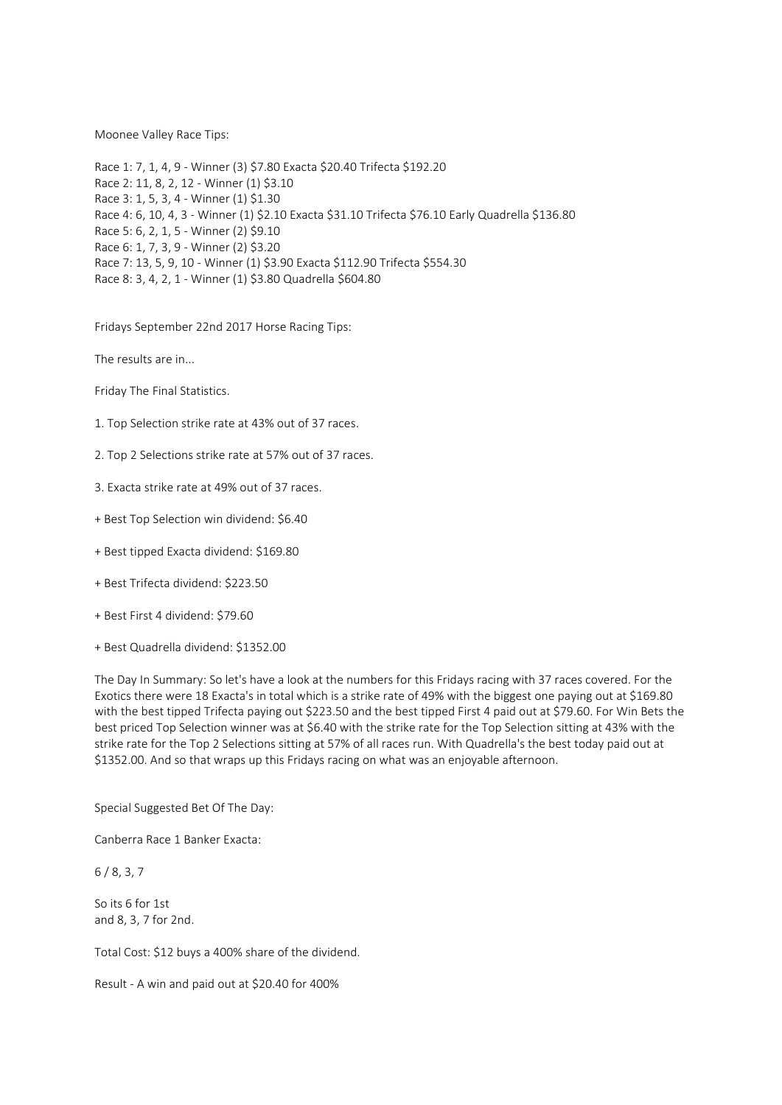## Moonee Valley Race Tips:

Race 1: 7, 1, 4, 9 - Winner (3) \$7.80 Exacta \$20.40 Trifecta \$192.20 Race 2: 11, 8, 2, 12 - Winner (1) \$3.10 Race 3: 1, 5, 3, 4 - Winner (1) \$1.30 Race 4: 6, 10, 4, 3 - Winner (1) \$2.10 Exacta \$31.10 Trifecta \$76.10 Early Quadrella \$136.80 Race 5: 6, 2, 1, 5 - Winner (2) \$9.10 Race 6: 1, 7, 3, 9 - Winner (2) \$3.20 Race 7: 13, 5, 9, 10 - Winner (1) \$3.90 Exacta \$112.90 Trifecta \$554.30 Race 8: 3, 4, 2, 1 - Winner (1) \$3.80 Quadrella \$604.80

Fridays September 22nd 2017 Horse Racing Tips:

The results are in...

Friday The Final Statistics.

- 1. Top Selection strike rate at 43% out of 37 races.
- 2. Top 2 Selections strike rate at 57% out of 37 races.
- 3. Exacta strike rate at 49% out of 37 races.
- + Best Top Selection win dividend: \$6.40
- + Best tipped Exacta dividend: \$169.80
- + Best Trifecta dividend: \$223.50
- + Best First 4 dividend: \$79.60
- + Best Quadrella dividend: \$1352.00

The Day In Summary: So let's have a look at the numbers for this Fridays racing with 37 races covered. For the Exotics there were 18 Exacta's in total which is a strike rate of 49% with the biggest one paying out at \$169.80 with the best tipped Trifecta paying out \$223.50 and the best tipped First 4 paid out at \$79.60. For Win Bets the best priced Top Selection winner was at \$6.40 with the strike rate for the Top Selection sitting at 43% with the strike rate for the Top 2 Selections sitting at 57% of all races run. With Quadrella's the best today paid out at \$1352.00. And so that wraps up this Fridays racing on what was an enjoyable afternoon.

Special Suggested Bet Of The Day:

Canberra Race 1 Banker Exacta:

6 / 8, 3, 7

So its 6 for 1st and 8, 3, 7 for 2nd.

Total Cost: \$12 buys a 400% share of the dividend.

Result - A win and paid out at \$20.40 for 400%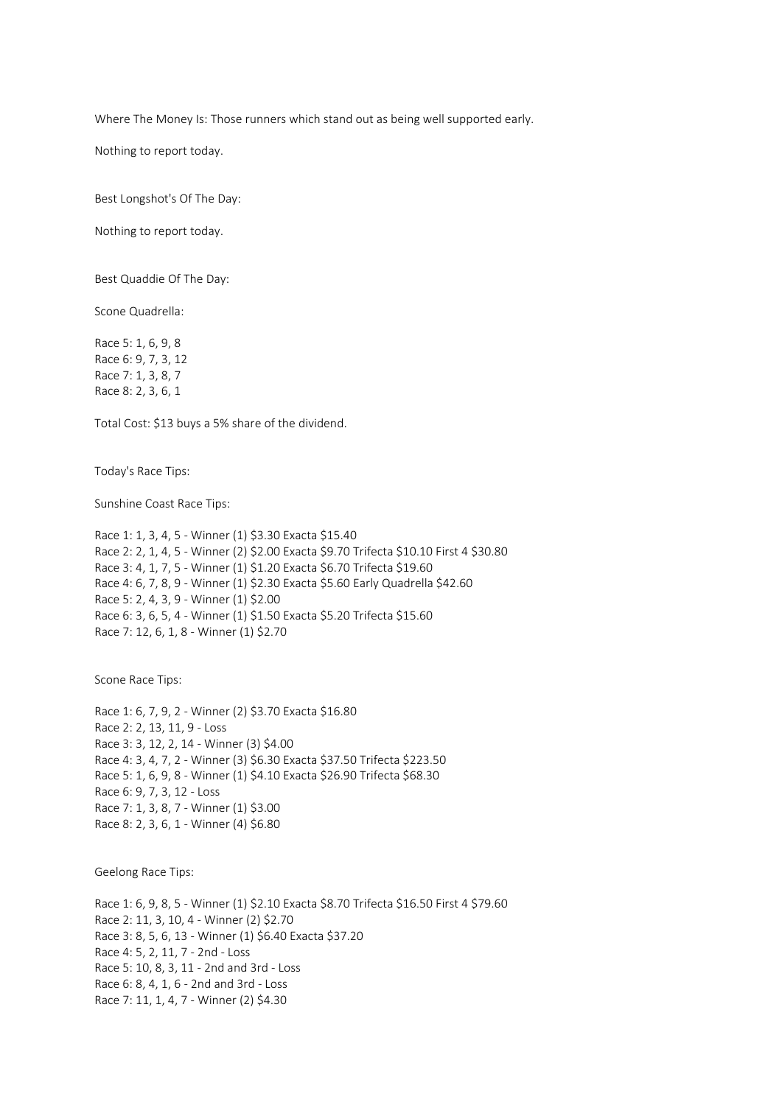Where The Money Is: Those runners which stand out as being well supported early.

Nothing to report today.

Best Longshot's Of The Day:

Nothing to report today.

Best Quaddie Of The Day:

Scone Quadrella:

Race 5: 1, 6, 9, 8 Race 6: 9, 7, 3, 12 Race 7: 1, 3, 8, 7 Race 8: 2, 3, 6, 1

Total Cost: \$13 buys a 5% share of the dividend.

Today's Race Tips:

Sunshine Coast Race Tips:

```
Race 1: 1, 3, 4, 5 - Winner (1) $3.30 Exacta $15.40
Race 2: 2, 1, 4, 5 - Winner (2) $2.00 Exacta $9.70 Trifecta $10.10 First 4 $30.80
Race 3: 4, 1, 7, 5 - Winner (1) $1.20 Exacta $6.70 Trifecta $19.60
Race 4: 6, 7, 8, 9 - Winner (1) $2.30 Exacta $5.60 Early Quadrella $42.60
Race 5: 2, 4, 3, 9 - Winner (1) $2.00
Race 6: 3, 6, 5, 4 - Winner (1) $1.50 Exacta $5.20 Trifecta $15.60
Race 7: 12, 6, 1, 8 - Winner (1) $2.70
```
Scone Race Tips:

Race 1: 6, 7, 9, 2 - Winner (2) \$3.70 Exacta \$16.80 Race 2: 2, 13, 11, 9 - Loss Race 3: 3, 12, 2, 14 - Winner (3) \$4.00 Race 4: 3, 4, 7, 2 - Winner (3) \$6.30 Exacta \$37.50 Trifecta \$223.50 Race 5: 1, 6, 9, 8 - Winner (1) \$4.10 Exacta \$26.90 Trifecta \$68.30 Race 6: 9, 7, 3, 12 - Loss Race 7: 1, 3, 8, 7 - Winner (1) \$3.00 Race 8: 2, 3, 6, 1 - Winner (4) \$6.80

Geelong Race Tips:

Race 1: 6, 9, 8, 5 - Winner (1) \$2.10 Exacta \$8.70 Trifecta \$16.50 First 4 \$79.60 Race 2: 11, 3, 10, 4 - Winner (2) \$2.70 Race 3: 8, 5, 6, 13 - Winner (1) \$6.40 Exacta \$37.20 Race 4: 5, 2, 11, 7 - 2nd - Loss Race 5: 10, 8, 3, 11 - 2nd and 3rd - Loss Race 6: 8, 4, 1, 6 - 2nd and 3rd - Loss Race 7: 11, 1, 4, 7 - Winner (2) \$4.30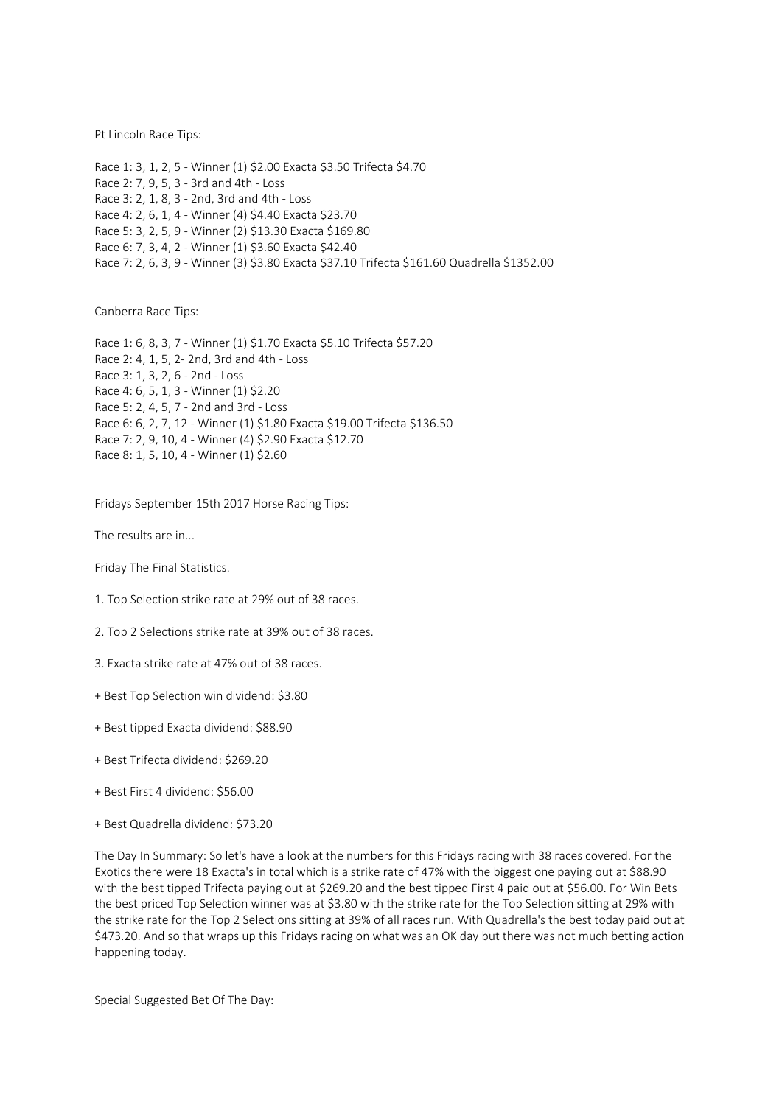Pt Lincoln Race Tips:

Race 1: 3, 1, 2, 5 - Winner (1) \$2.00 Exacta \$3.50 Trifecta \$4.70 Race 2: 7, 9, 5, 3 - 3rd and 4th - Loss Race 3: 2, 1, 8, 3 - 2nd, 3rd and 4th - Loss Race 4: 2, 6, 1, 4 - Winner (4) \$4.40 Exacta \$23.70 Race 5: 3, 2, 5, 9 - Winner (2) \$13.30 Exacta \$169.80 Race 6: 7, 3, 4, 2 - Winner (1) \$3.60 Exacta \$42.40 Race 7: 2, 6, 3, 9 - Winner (3) \$3.80 Exacta \$37.10 Trifecta \$161.60 Quadrella \$1352.00

Canberra Race Tips:

Race 1: 6, 8, 3, 7 - Winner (1) \$1.70 Exacta \$5.10 Trifecta \$57.20 Race 2: 4, 1, 5, 2- 2nd, 3rd and 4th - Loss Race 3: 1, 3, 2, 6 - 2nd - Loss Race 4: 6, 5, 1, 3 - Winner (1) \$2.20 Race 5: 2, 4, 5, 7 - 2nd and 3rd - Loss Race 6: 6, 2, 7, 12 - Winner (1) \$1.80 Exacta \$19.00 Trifecta \$136.50 Race 7: 2, 9, 10, 4 - Winner (4) \$2.90 Exacta \$12.70 Race 8: 1, 5, 10, 4 - Winner (1) \$2.60

Fridays September 15th 2017 Horse Racing Tips:

The results are in...

Friday The Final Statistics.

- 1. Top Selection strike rate at 29% out of 38 races.
- 2. Top 2 Selections strike rate at 39% out of 38 races.
- 3. Exacta strike rate at 47% out of 38 races.
- + Best Top Selection win dividend: \$3.80
- + Best tipped Exacta dividend: \$88.90
- + Best Trifecta dividend: \$269.20
- + Best First 4 dividend: \$56.00
- + Best Quadrella dividend: \$73.20

The Day In Summary: So let's have a look at the numbers for this Fridays racing with 38 races covered. For the Exotics there were 18 Exacta's in total which is a strike rate of 47% with the biggest one paying out at \$88.90 with the best tipped Trifecta paying out at \$269.20 and the best tipped First 4 paid out at \$56.00. For Win Bets the best priced Top Selection winner was at \$3.80 with the strike rate for the Top Selection sitting at 29% with the strike rate for the Top 2 Selections sitting at 39% of all races run. With Quadrella's the best today paid out at \$473.20. And so that wraps up this Fridays racing on what was an OK day but there was not much betting action happening today.

Special Suggested Bet Of The Day: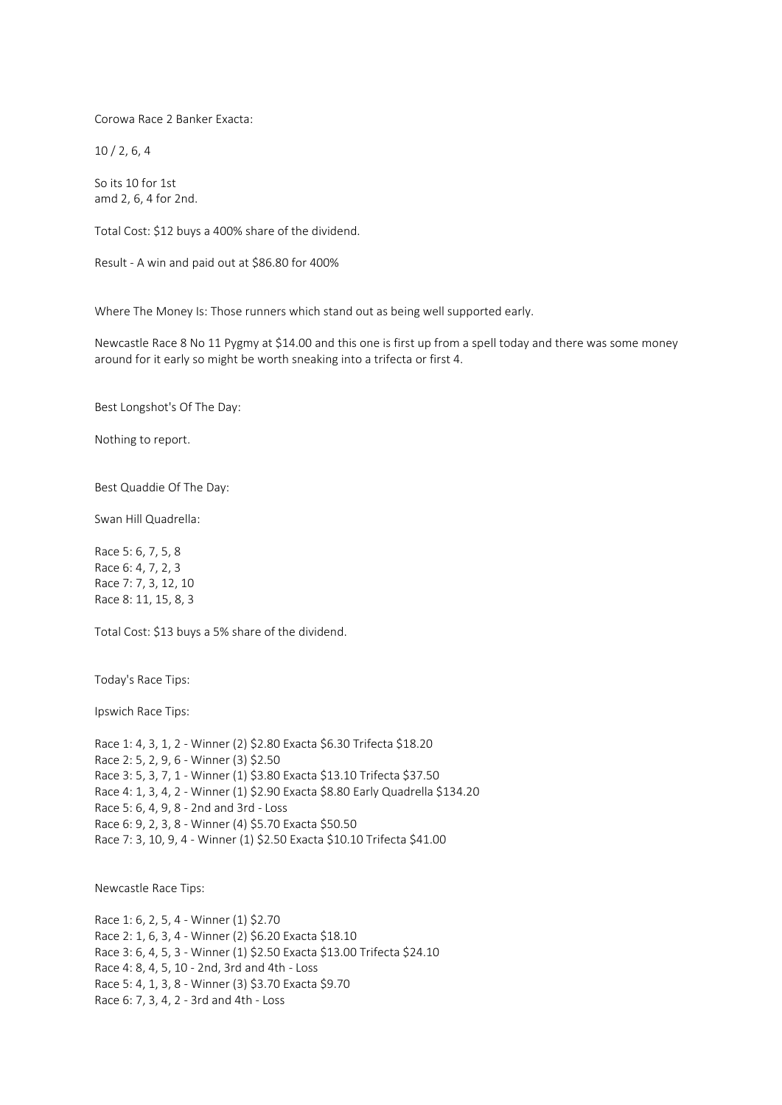Corowa Race 2 Banker Exacta:

10 / 2, 6, 4

So its 10 for 1st amd 2, 6, 4 for 2nd.

Total Cost: \$12 buys a 400% share of the dividend.

Result - A win and paid out at \$86.80 for 400%

Where The Money Is: Those runners which stand out as being well supported early.

Newcastle Race 8 No 11 Pygmy at \$14.00 and this one is first up from a spell today and there was some money around for it early so might be worth sneaking into a trifecta or first 4.

Best Longshot's Of The Day:

Nothing to report.

Best Quaddie Of The Day:

Swan Hill Quadrella:

Race 5: 6, 7, 5, 8 Race 6: 4, 7, 2, 3 Race 7: 7, 3, 12, 10 Race 8: 11, 15, 8, 3

Total Cost: \$13 buys a 5% share of the dividend.

Today's Race Tips:

Ipswich Race Tips:

Race 1: 4, 3, 1, 2 - Winner (2) \$2.80 Exacta \$6.30 Trifecta \$18.20 Race 2: 5, 2, 9, 6 - Winner (3) \$2.50 Race 3: 5, 3, 7, 1 - Winner (1) \$3.80 Exacta \$13.10 Trifecta \$37.50 Race 4: 1, 3, 4, 2 - Winner (1) \$2.90 Exacta \$8.80 Early Quadrella \$134.20 Race 5: 6, 4, 9, 8 - 2nd and 3rd - Loss Race 6: 9, 2, 3, 8 - Winner (4) \$5.70 Exacta \$50.50 Race 7: 3, 10, 9, 4 - Winner (1) \$2.50 Exacta \$10.10 Trifecta \$41.00

Newcastle Race Tips:

Race 1: 6, 2, 5, 4 - Winner (1) \$2.70 Race 2: 1, 6, 3, 4 - Winner (2) \$6.20 Exacta \$18.10 Race 3: 6, 4, 5, 3 - Winner (1) \$2.50 Exacta \$13.00 Trifecta \$24.10 Race 4: 8, 4, 5, 10 - 2nd, 3rd and 4th - Loss Race 5: 4, 1, 3, 8 - Winner (3) \$3.70 Exacta \$9.70 Race 6: 7, 3, 4, 2 - 3rd and 4th - Loss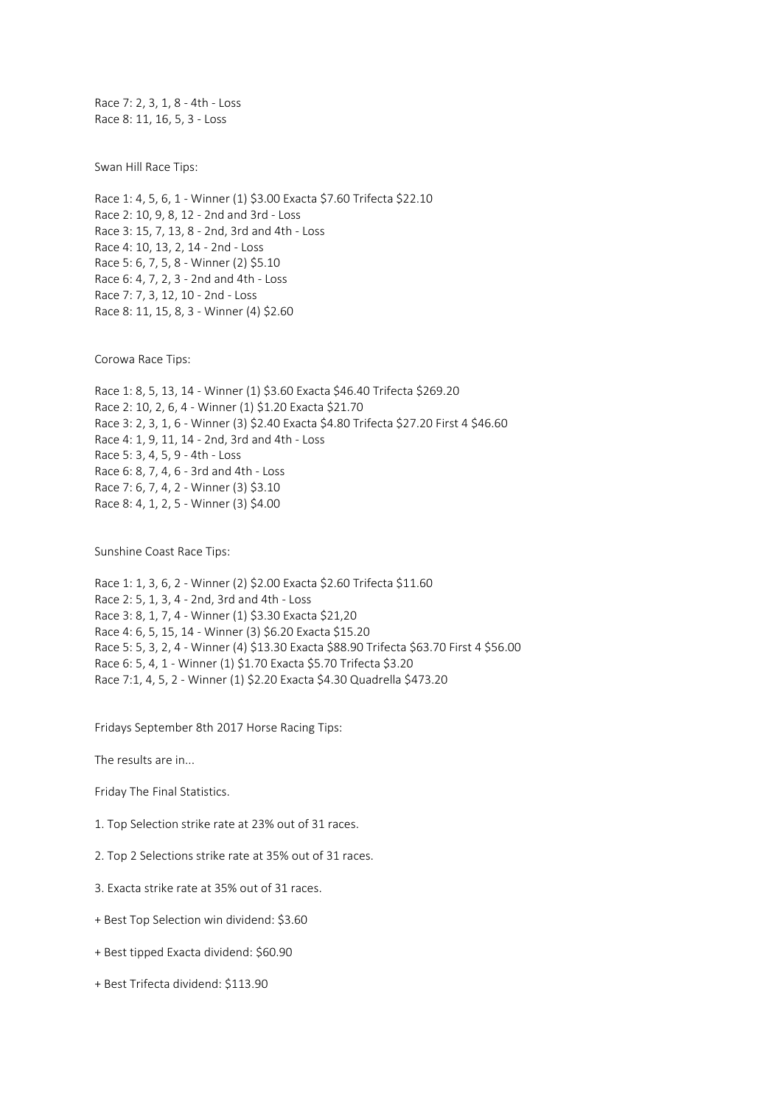Race 7: 2, 3, 1, 8 - 4th - Loss Race 8: 11, 16, 5, 3 - Loss

Swan Hill Race Tips:

Race 1: 4, 5, 6, 1 - Winner (1) \$3.00 Exacta \$7.60 Trifecta \$22.10 Race 2: 10, 9, 8, 12 - 2nd and 3rd - Loss Race 3: 15, 7, 13, 8 - 2nd, 3rd and 4th - Loss Race 4: 10, 13, 2, 14 - 2nd - Loss Race 5: 6, 7, 5, 8 - Winner (2) \$5.10 Race 6: 4, 7, 2, 3 - 2nd and 4th - Loss Race 7: 7, 3, 12, 10 - 2nd - Loss Race 8: 11, 15, 8, 3 - Winner (4) \$2.60

Corowa Race Tips:

Race 1: 8, 5, 13, 14 - Winner (1) \$3.60 Exacta \$46.40 Trifecta \$269.20 Race 2: 10, 2, 6, 4 - Winner (1) \$1.20 Exacta \$21.70 Race 3: 2, 3, 1, 6 - Winner (3) \$2.40 Exacta \$4.80 Trifecta \$27.20 First 4 \$46.60 Race 4: 1, 9, 11, 14 - 2nd, 3rd and 4th - Loss Race 5: 3, 4, 5, 9 - 4th - Loss Race 6: 8, 7, 4, 6 - 3rd and 4th - Loss Race 7: 6, 7, 4, 2 - Winner (3) \$3.10 Race 8: 4, 1, 2, 5 - Winner (3) \$4.00

Sunshine Coast Race Tips:

Race 1: 1, 3, 6, 2 - Winner (2) \$2.00 Exacta \$2.60 Trifecta \$11.60 Race 2: 5, 1, 3, 4 - 2nd, 3rd and 4th - Loss Race 3: 8, 1, 7, 4 - Winner (1) \$3.30 Exacta \$21,20 Race 4: 6, 5, 15, 14 - Winner (3) \$6.20 Exacta \$15.20 Race 5: 5, 3, 2, 4 - Winner (4) \$13.30 Exacta \$88.90 Trifecta \$63.70 First 4 \$56.00 Race 6: 5, 4, 1 - Winner (1) \$1.70 Exacta \$5.70 Trifecta \$3.20 Race 7:1, 4, 5, 2 - Winner (1) \$2.20 Exacta \$4.30 Quadrella \$473.20

Fridays September 8th 2017 Horse Racing Tips:

The results are in...

Friday The Final Statistics.

- 1. Top Selection strike rate at 23% out of 31 races.
- 2. Top 2 Selections strike rate at 35% out of 31 races.
- 3. Exacta strike rate at 35% out of 31 races.
- + Best Top Selection win dividend: \$3.60
- + Best tipped Exacta dividend: \$60.90
- + Best Trifecta dividend: \$113.90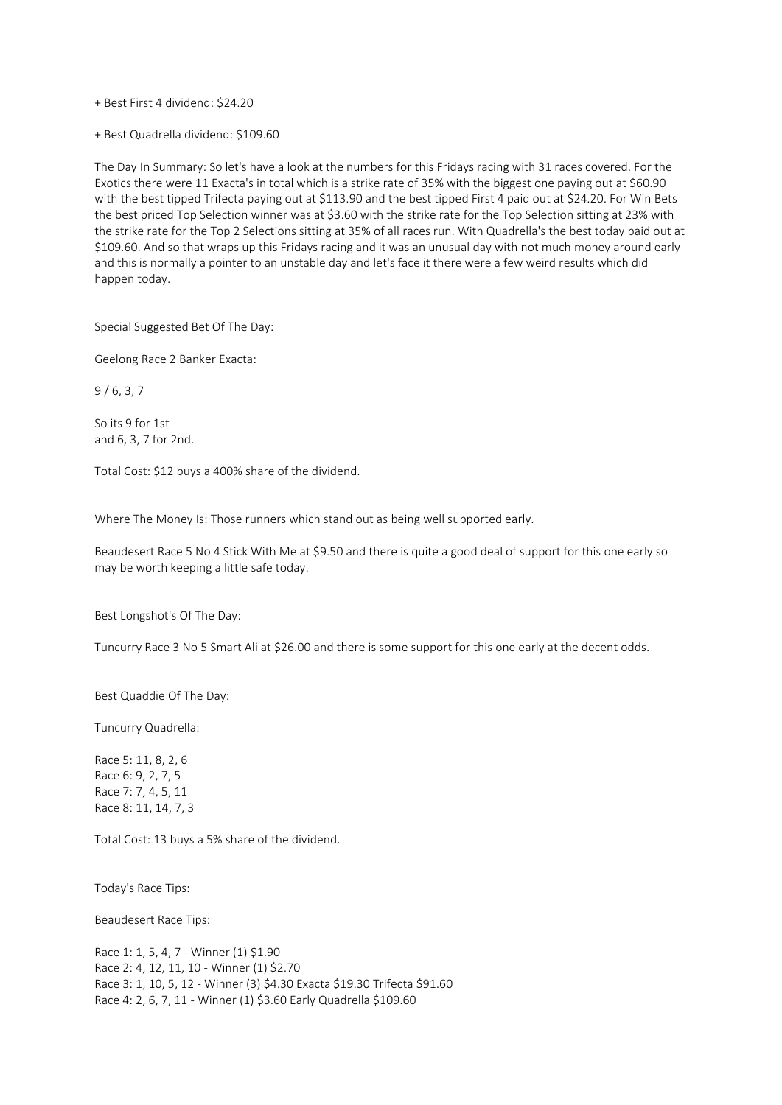+ Best First 4 dividend: \$24.20

+ Best Quadrella dividend: \$109.60

The Day In Summary: So let's have a look at the numbers for this Fridays racing with 31 races covered. For the Exotics there were 11 Exacta's in total which is a strike rate of 35% with the biggest one paying out at \$60.90 with the best tipped Trifecta paying out at \$113.90 and the best tipped First 4 paid out at \$24.20. For Win Bets the best priced Top Selection winner was at \$3.60 with the strike rate for the Top Selection sitting at 23% with the strike rate for the Top 2 Selections sitting at 35% of all races run. With Quadrella's the best today paid out at \$109.60. And so that wraps up this Fridays racing and it was an unusual day with not much money around early and this is normally a pointer to an unstable day and let's face it there were a few weird results which did happen today.

Special Suggested Bet Of The Day:

Geelong Race 2 Banker Exacta:

9 / 6, 3, 7

So its 9 for 1st and 6, 3, 7 for 2nd.

Total Cost: \$12 buys a 400% share of the dividend.

Where The Money Is: Those runners which stand out as being well supported early.

Beaudesert Race 5 No 4 Stick With Me at \$9.50 and there is quite a good deal of support for this one early so may be worth keeping a little safe today.

Best Longshot's Of The Day:

Tuncurry Race 3 No 5 Smart Ali at \$26.00 and there is some support for this one early at the decent odds.

Best Quaddie Of The Day:

Tuncurry Quadrella:

Race 5: 11, 8, 2, 6 Race 6: 9, 2, 7, 5 Race 7: 7, 4, 5, 11 Race 8: 11, 14, 7, 3

Total Cost: 13 buys a 5% share of the dividend.

Today's Race Tips:

Beaudesert Race Tips:

Race 1: 1, 5, 4, 7 - Winner (1) \$1.90 Race 2: 4, 12, 11, 10 - Winner (1) \$2.70 Race 3: 1, 10, 5, 12 - Winner (3) \$4.30 Exacta \$19.30 Trifecta \$91.60 Race 4: 2, 6, 7, 11 - Winner (1) \$3.60 Early Quadrella \$109.60